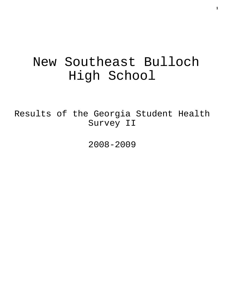# New Southeast Bulloch High School

Results of the Georgia Student Health Survey II

2008-2009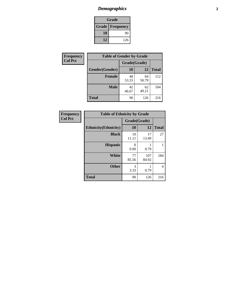# *Demographics* **2**

| Grade                    |     |  |  |  |
|--------------------------|-----|--|--|--|
| <b>Grade   Frequency</b> |     |  |  |  |
| 10                       | 90  |  |  |  |
| 12                       | 126 |  |  |  |

| <b>Frequency</b> | <b>Table of Gender by Grade</b> |              |             |              |  |  |
|------------------|---------------------------------|--------------|-------------|--------------|--|--|
| <b>Col Pct</b>   |                                 | Grade(Grade) |             |              |  |  |
|                  | Gender(Gender)                  | 10           | 12          | <b>Total</b> |  |  |
|                  | <b>Female</b>                   | 48<br>53.33  | 64<br>50.79 | 112          |  |  |
|                  | <b>Male</b>                     | 42<br>46.67  | 62<br>49.21 | 104          |  |  |
|                  | <b>Total</b>                    | 90           | 126         | 216          |  |  |

| <b>Frequency</b> |
|------------------|
| <b>Col Pct</b>   |

| <b>Table of Ethnicity by Grade</b> |              |              |              |  |  |  |
|------------------------------------|--------------|--------------|--------------|--|--|--|
|                                    | Grade(Grade) |              |              |  |  |  |
| <b>Ethnicity</b> (Ethnicity)       | 10           | 12           | <b>Total</b> |  |  |  |
| <b>Black</b>                       | 10<br>11.11  | 17<br>13.49  | 27           |  |  |  |
| <b>Hispanic</b>                    | 0<br>0.00    | 0.79         | 1            |  |  |  |
| White                              | 77<br>85.56  | 107<br>84.92 | 184          |  |  |  |
| <b>Other</b>                       | 3<br>3.33    | 0.79         | 4            |  |  |  |
| <b>Total</b>                       | 90           | 126          | 216          |  |  |  |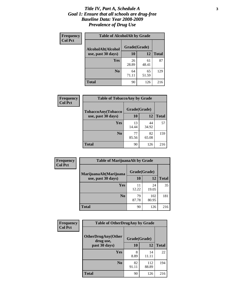#### *Title IV, Part A, Schedule A* **3** *Goal 1: Ensure that all schools are drug-free Baseline Data: Year 2008-2009 Prevalence of Drug Use*

| Frequency      | <b>Table of AlcoholAlt by Grade</b> |              |             |              |  |  |
|----------------|-------------------------------------|--------------|-------------|--------------|--|--|
| <b>Col Pct</b> | AlcoholAlt(Alcohol                  | Grade(Grade) |             |              |  |  |
|                | use, past 30 days)                  | 10           | 12          | <b>Total</b> |  |  |
|                | Yes                                 | 26<br>28.89  | 61<br>48.41 | 87           |  |  |
|                | N <sub>0</sub>                      | 64<br>71.11  | 65<br>51.59 | 129          |  |  |
|                | Total                               | 90           | 126         | 216          |  |  |

| <b>Frequency</b><br><b>Col Pct</b> | <b>Table of TobaccoAny by Grade</b> |              |             |              |  |
|------------------------------------|-------------------------------------|--------------|-------------|--------------|--|
|                                    | TobaccoAny(Tobacco                  | Grade(Grade) |             |              |  |
|                                    | use, past 30 days)                  | <b>10</b>    | 12          | <b>Total</b> |  |
|                                    | Yes                                 | 13<br>14.44  | 44<br>34.92 | 57           |  |
|                                    | N <sub>0</sub>                      | 77<br>85.56  | 82<br>65.08 | 159          |  |
|                                    | Total                               | 90           | 126         | 216          |  |

| Frequency      | <b>Table of MarijuanaAlt by Grade</b> |              |              |              |  |
|----------------|---------------------------------------|--------------|--------------|--------------|--|
| <b>Col Pct</b> | MarijuanaAlt(Marijuana                | Grade(Grade) |              |              |  |
|                | use, past 30 days)                    | 10           | 12           | <b>Total</b> |  |
|                | Yes                                   | 11<br>12.22  | 24<br>19.05  | 35           |  |
|                | N <sub>0</sub>                        | 79<br>87.78  | 102<br>80.95 | 181          |  |
|                | <b>Total</b>                          | 90           | 126          | 216          |  |

| Frequency      | <b>Table of OtherDrugAny by Grade</b>  |              |              |              |  |  |
|----------------|----------------------------------------|--------------|--------------|--------------|--|--|
| <b>Col Pct</b> | <b>OtherDrugAny(Other</b><br>drug use, | Grade(Grade) |              |              |  |  |
|                | past 30 days)                          | 10           | 12           | <b>Total</b> |  |  |
|                | Yes                                    | 8<br>8.89    | 14<br>11.11  | 22           |  |  |
|                | N <sub>0</sub>                         | 82<br>91.11  | 112<br>88.89 | 194          |  |  |
|                | <b>Total</b>                           | 90           | 126          | 216          |  |  |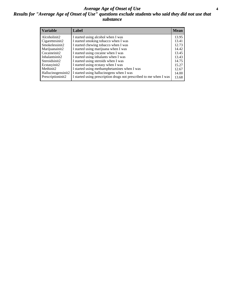#### *Average Age of Onset of Use* **4** *Results for "Average Age of Onset of Use" questions exclude students who said they did not use that substance*

| <b>Variable</b>    | Label                                                              | <b>Mean</b> |
|--------------------|--------------------------------------------------------------------|-------------|
| Alcoholinit2       | I started using alcohol when I was                                 | 13.95       |
| Cigarettesinit2    | I started smoking tobacco when I was                               | 13.41       |
| Smokelessinit2     | I started chewing tobacco when I was                               | 12.73       |
| Marijuanainit2     | I started using marijuana when I was                               | 14.42       |
| Cocaineinit2       | I started using cocaine when I was                                 | 13.45       |
| Inhalantsinit2     | I started using inhalants when I was                               | 13.43       |
| Steroidsinit2      | I started using steroids when I was                                | 14.75       |
| Ecstasyinit2       | I started using ecstasy when I was                                 | 15.27       |
| Methinit2          | I started using methamphetamines when I was                        | 12.67       |
| Hallucinogensinit2 | I started using hallucinogens when I was                           | 14.00       |
| Prescriptioninit2  | I started using prescription drugs not prescribed to me when I was | 13.68       |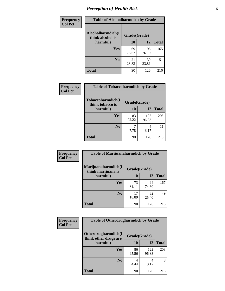# *Perception of Health Risk* **5**

| <b>Frequency</b> | <b>Table of Alcoholharmdich by Grade</b> |              |             |              |  |
|------------------|------------------------------------------|--------------|-------------|--------------|--|
| <b>Col Pct</b>   | Alcoholharmdich(I<br>think alcohol is    | Grade(Grade) |             |              |  |
|                  | harmful)                                 | 10           | 12          | <b>Total</b> |  |
|                  | <b>Yes</b>                               | 69           | 96          | 165          |  |
|                  |                                          | 76.67        | 76.19       |              |  |
|                  | N <sub>0</sub>                           | 21<br>23.33  | 30<br>23.81 | 51           |  |
|                  | <b>Total</b>                             | 90           | 126         | 216          |  |

| Frequency      | <b>Table of Tobaccoharmdich by Grade</b> |              |              |              |  |
|----------------|------------------------------------------|--------------|--------------|--------------|--|
| <b>Col Pct</b> | Tobaccoharmdich(I<br>think tobacco is    | Grade(Grade) |              |              |  |
|                | harmful)                                 | 10           | 12           | <b>Total</b> |  |
|                | Yes                                      | 83<br>92.22  | 122<br>96.83 | 205          |  |
|                | N <sub>0</sub>                           | 7.78         | 4<br>3.17    | 11           |  |
|                | <b>Total</b>                             | 90           | 126          | 216          |  |

| Frequency      | <b>Table of Marijuanaharmdich by Grade</b> |              |             |              |  |  |
|----------------|--------------------------------------------|--------------|-------------|--------------|--|--|
| <b>Col Pct</b> | Marijuanaharmdich(I<br>think marijuana is  | Grade(Grade) |             |              |  |  |
|                | harmful)                                   | 10           | <b>12</b>   | <b>Total</b> |  |  |
|                | Yes                                        | 73<br>81.11  | 94<br>74.60 | 167          |  |  |
|                | N <sub>0</sub>                             | 17<br>18.89  | 32<br>25.40 | 49           |  |  |
|                | <b>Total</b>                               | 90           | 126         | 216          |  |  |

| <b>Frequency</b> | <b>Table of Otherdrugharmdich by Grade</b>   |              |              |              |  |  |
|------------------|----------------------------------------------|--------------|--------------|--------------|--|--|
| <b>Col Pct</b>   | Otherdrugharmdich(I<br>think other drugs are | Grade(Grade) |              |              |  |  |
|                  | harmful)                                     | 10           | 12           | <b>Total</b> |  |  |
|                  | <b>Yes</b>                                   | 86<br>95.56  | 122<br>96.83 | 208          |  |  |
|                  | N <sub>0</sub>                               | 4.44         | 4<br>3.17    | 8            |  |  |
|                  | <b>Total</b>                                 | 90           | 126          | 216          |  |  |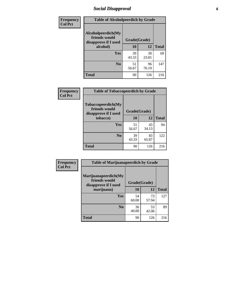# *Social Disapproval* **6**

| Frequency      | <b>Table of Alcoholpeerdich by Grade</b>                    |              |             |              |  |  |  |
|----------------|-------------------------------------------------------------|--------------|-------------|--------------|--|--|--|
| <b>Col Pct</b> | Alcoholpeerdich(My<br>friends would<br>disapprove if I used | Grade(Grade) |             |              |  |  |  |
|                | alcohol)                                                    | 10           | 12          | <b>Total</b> |  |  |  |
|                | <b>Yes</b>                                                  | 39<br>43.33  | 30<br>23.81 | 69           |  |  |  |
|                | N <sub>0</sub>                                              | 51<br>56.67  | 96<br>76.19 | 147          |  |  |  |
|                | <b>Total</b>                                                | 90           | 126         | 216          |  |  |  |

| <b>Frequency</b> |
|------------------|
| <b>Col Pct</b>   |

| <b>Table of Tobaccopeerdich by Grade</b>                    |              |             |              |  |  |
|-------------------------------------------------------------|--------------|-------------|--------------|--|--|
| Tobaccopeerdich(My<br>friends would<br>disapprove if I used | Grade(Grade) |             |              |  |  |
| tobacco)                                                    | 10           | 12          | <b>Total</b> |  |  |
| Yes                                                         | 51<br>56.67  | 43<br>34.13 | 94           |  |  |
| N <sub>0</sub>                                              | 39<br>43.33  | 83<br>65.87 | 122          |  |  |
| <b>Total</b>                                                | 90           | 126         | 216          |  |  |

| Frequency      | <b>Table of Marijuanapeerdich by Grade</b>                    |              |             |              |  |  |
|----------------|---------------------------------------------------------------|--------------|-------------|--------------|--|--|
| <b>Col Pct</b> | Marijuanapeerdich(My<br>friends would<br>disapprove if I used | Grade(Grade) |             |              |  |  |
|                | marijuana)                                                    | 10           | 12          | <b>Total</b> |  |  |
|                | <b>Yes</b>                                                    | 54<br>60.00  | 73<br>57.94 | 127          |  |  |
|                | N <sub>0</sub>                                                | 36<br>40.00  | 53<br>42.06 | 89           |  |  |
|                | <b>Total</b>                                                  | 90           | 126         | 216          |  |  |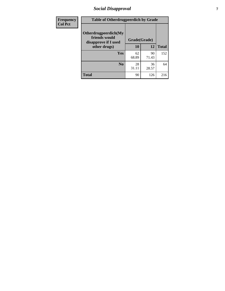# *Social Disapproval* **7**

| Frequency      | <b>Table of Otherdrugpeerdich by Grade</b>                    |              |             |              |  |  |  |
|----------------|---------------------------------------------------------------|--------------|-------------|--------------|--|--|--|
| <b>Col Pct</b> | Otherdrugpeerdich(My<br>friends would<br>disapprove if I used | Grade(Grade) |             |              |  |  |  |
|                | other drugs)                                                  | 10           | 12          | <b>Total</b> |  |  |  |
|                | Yes                                                           | 62<br>68.89  | 90<br>71.43 | 152          |  |  |  |
|                | N <sub>0</sub>                                                | 28<br>31.11  | 36<br>28.57 | 64           |  |  |  |
|                | <b>Total</b>                                                  | 90           | 126         | 216          |  |  |  |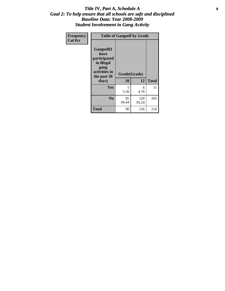### Title IV, Part A, Schedule A **8** *Goal 2: To help ensure that all schools are safe and disciplined Baseline Data: Year 2008-2009 Student Involvement in Gang Activity*

| Frequency      | <b>Table of Gangself by Grade</b>                                                                 |                    |              |              |  |  |
|----------------|---------------------------------------------------------------------------------------------------|--------------------|--------------|--------------|--|--|
| <b>Col Pct</b> | Gangself(I<br>have<br>participated<br>in illegal<br>gang<br>activities in<br>the past 30<br>days) | Grade(Grade)<br>10 | 12           | <b>Total</b> |  |  |
|                | Yes                                                                                               | 5<br>5.56          | 6<br>4.76    | 11           |  |  |
|                | N <sub>0</sub>                                                                                    | 85<br>94.44        | 120<br>95.24 | 205          |  |  |
|                | <b>Total</b>                                                                                      | 90                 | 126          | 216          |  |  |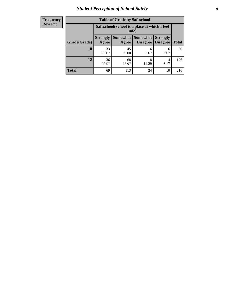# *Student Perception of School Safety* **9**

| <b>Frequency</b><br>Row Pct |
|-----------------------------|
|                             |

| <b>Table of Grade by Safeschool</b> |                                                                                                                            |                                                        |             |           |     |  |  |
|-------------------------------------|----------------------------------------------------------------------------------------------------------------------------|--------------------------------------------------------|-------------|-----------|-----|--|--|
|                                     |                                                                                                                            | Safeschool (School is a place at which I feel<br>safe) |             |           |     |  |  |
| Grade(Grade)                        | Somewhat   Somewhat<br><b>Strongly</b><br><b>Strongly</b><br><b>Disagree</b><br>Agree<br>Disagree<br><b>Total</b><br>Agree |                                                        |             |           |     |  |  |
| 10                                  | 33<br>36.67                                                                                                                | 45<br>50.00                                            | 6<br>6.67   | 6<br>6.67 | 90  |  |  |
| 12                                  | 36<br>28.57                                                                                                                | 68<br>53.97                                            | 18<br>14.29 | 4<br>3.17 | 126 |  |  |
| <b>Total</b>                        | 69                                                                                                                         | 113                                                    | 24          | 10        | 216 |  |  |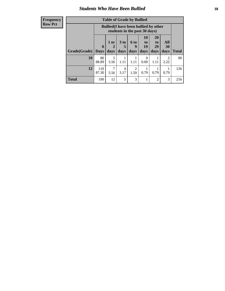### *Students Who Have Been Bullied* **10**

#### **Frequency Row Pct**

| <b>Table of Grade by Bullied</b> |                  |                                                                               |                              |                        |                        |                        |                          |              |
|----------------------------------|------------------|-------------------------------------------------------------------------------|------------------------------|------------------------|------------------------|------------------------|--------------------------|--------------|
|                                  |                  | <b>Bullied</b> (I have been bullied by other<br>students in the past 30 days) |                              |                        |                        |                        |                          |              |
| Grade(Grade)                     | 0<br><b>Days</b> | 1 or<br>days                                                                  | 3 <sub>to</sub><br>5<br>days | 6 to<br>9<br>days      | 10<br>to<br>19<br>days | 20<br>to<br>29<br>days | All<br><b>30</b><br>days | <b>Total</b> |
| 10                               | 80<br>88.89      | 5<br>5.56                                                                     | 1.11                         | 1.11                   | 0<br>0.00              | 1.11                   | $\mathfrak{D}$<br>2.22   | 90           |
| 12                               | 110<br>87.30     | 5.56                                                                          | 4<br>3.17                    | $\overline{2}$<br>1.59 | 0.79                   | 0.79                   | 0.79                     | 126          |
| <b>Total</b>                     | 190              | 12                                                                            | 5                            | 3                      | 1                      | $\overline{2}$         | 3                        | 216          |

 $\blacksquare$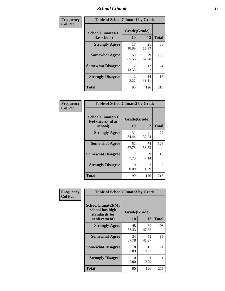### *School Climate* **11**

| Frequency      | <b>Table of SchoolClimate1 by Grade</b> |                    |             |              |  |  |
|----------------|-----------------------------------------|--------------------|-------------|--------------|--|--|
| <b>Col Pct</b> | SchoolClimate1(I<br>like school)        | Grade(Grade)<br>10 | 12          | <b>Total</b> |  |  |
|                | <b>Strongly Agree</b>                   | 17<br>18.89        | 21<br>16.67 | 38           |  |  |
|                | <b>Somewhat Agree</b>                   | 59<br>65.56        | 79<br>62.70 | 138          |  |  |
|                | <b>Somewhat Disagree</b>                | 12<br>13.33        | 12<br>9.52  | 24           |  |  |
|                | <b>Strongly Disagree</b>                | 2<br>2.22          | 14<br>11.11 | 16           |  |  |
|                | <b>Total</b>                            | 90                 | 126         | 216          |  |  |

| <b>Frequency</b> |
|------------------|
| <b>Col Pct</b>   |

| <b>Table of SchoolClimate2 by Grade</b>           |                    |                        |              |  |  |
|---------------------------------------------------|--------------------|------------------------|--------------|--|--|
| SchoolClimate2(I<br>feel successful at<br>school) | Grade(Grade)<br>10 | 12                     | <b>Total</b> |  |  |
| <b>Strongly Agree</b>                             | 31<br>34.44        | 41<br>32.54            | 72           |  |  |
| <b>Somewhat Agree</b>                             | 52<br>57.78        | 74<br>58.73            | 126          |  |  |
| <b>Somewhat Disagree</b>                          | 7<br>7.78          | 9<br>7.14              | 16           |  |  |
| <b>Strongly Disagree</b>                          | 0.00               | $\mathfrak{D}$<br>1.59 | 2            |  |  |
| Total                                             | 90                 | 126                    | 216          |  |  |

| Frequency      | <b>Table of SchoolClimate3 by Grade</b>                      |                           |             |              |  |
|----------------|--------------------------------------------------------------|---------------------------|-------------|--------------|--|
| <b>Col Pct</b> | <b>SchoolClimate3(My</b><br>school has high<br>standards for | Grade(Grade)              |             |              |  |
|                | achievement)                                                 | 10                        | 12          | <b>Total</b> |  |
|                | <b>Strongly Agree</b>                                        | 48<br>53.33               | 60<br>47.62 | 108          |  |
|                | <b>Somewhat Agree</b>                                        | 34<br>37.78               | 52<br>41.27 | 86           |  |
|                | <b>Somewhat Disagree</b>                                     | 8<br>8.89                 | 13<br>10.32 | 21           |  |
|                | <b>Strongly Disagree</b>                                     | $\mathbf{\Omega}$<br>0.00 | 0.79        |              |  |
|                | Total                                                        | 90                        | 126         | 216          |  |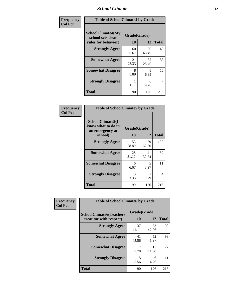### *School Climate* **12**

| Frequency      | <b>Table of SchoolClimate4 by Grade</b>                              |                    |             |              |
|----------------|----------------------------------------------------------------------|--------------------|-------------|--------------|
| <b>Col Pct</b> | <b>SchoolClimate4(My</b><br>school sets clear<br>rules for behavior) | Grade(Grade)<br>10 | 12          | <b>Total</b> |
|                | <b>Strongly Agree</b>                                                | 60<br>66.67        | 80<br>63.49 | 140          |
|                | <b>Somewhat Agree</b>                                                | 21<br>23.33        | 32<br>25.40 | 53           |
|                | <b>Somewhat Disagree</b>                                             | 8<br>8.89          | 8<br>6.35   | 16           |
|                | <b>Strongly Disagree</b>                                             | 1.11               | 6<br>4.76   | 7            |
|                | <b>Total</b>                                                         | 90                 | 126         | 216          |

| <b>Table of SchoolClimate5 by Grade</b>                              |                    |             |              |  |  |
|----------------------------------------------------------------------|--------------------|-------------|--------------|--|--|
| SchoolClimate5(I<br>know what to do in<br>an emergency at<br>school) | Grade(Grade)<br>10 | 12          | <b>Total</b> |  |  |
| <b>Strongly Agree</b>                                                | 53<br>58.89        | 79<br>62.70 | 132          |  |  |
| <b>Somewhat Agree</b>                                                | 28<br>31.11        | 41<br>32.54 | 69           |  |  |
| <b>Somewhat Disagree</b>                                             | 6<br>6.67          | 5<br>3.97   | 11           |  |  |
| <b>Strongly Disagree</b>                                             | 3<br>3.33          | 0.79        | 4            |  |  |
| <b>Total</b>                                                         | 90                 | 126         | 216          |  |  |

| Frequency      | <b>Table of SchoolClimate6 by Grade</b>                  |                    |             |              |
|----------------|----------------------------------------------------------|--------------------|-------------|--------------|
| <b>Col Pct</b> | <b>SchoolClimate6(Teachers</b><br>treat me with respect) | Grade(Grade)<br>10 | 12          | <b>Total</b> |
|                | <b>Strongly Agree</b>                                    | 37<br>41.11        | 53<br>42.06 | 90           |
|                | <b>Somewhat Agree</b>                                    | 41<br>45.56        | 52<br>41.27 | 93           |
|                | <b>Somewhat Disagree</b>                                 | 7.78               | 15<br>11.90 | 22           |
|                | <b>Strongly Disagree</b>                                 | 5<br>5.56          | 6<br>4.76   | 11           |
|                | <b>Total</b>                                             | 90                 | 126         | 216          |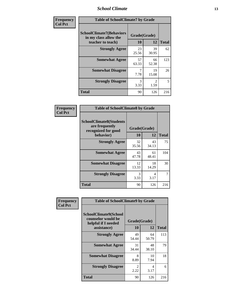### *School Climate* **13**

| Frequency      | <b>Table of SchoolClimate7 by Grade</b>                                       |                           |                        |              |
|----------------|-------------------------------------------------------------------------------|---------------------------|------------------------|--------------|
| <b>Col Pct</b> | <b>SchoolClimate7(Behaviors</b><br>in my class allow the<br>teacher to teach) | Grade(Grade)<br><b>10</b> | 12                     | <b>Total</b> |
|                | <b>Strongly Agree</b>                                                         | 23<br>25.56               | 39<br>30.95            | 62           |
|                | <b>Somewhat Agree</b>                                                         | 57<br>63.33               | 66<br>52.38            | 123          |
|                | <b>Somewhat Disagree</b>                                                      | $\overline{7}$<br>7.78    | 19<br>15.08            | 26           |
|                | <b>Strongly Disagree</b>                                                      | 3<br>3.33                 | $\mathfrak{D}$<br>1.59 | 5            |
|                | <b>Total</b>                                                                  | 90                        | 126                    | 216          |

| Frequency      | <b>Table of SchoolClimate8 by Grade</b>                                 |              |             |              |
|----------------|-------------------------------------------------------------------------|--------------|-------------|--------------|
| <b>Col Pct</b> | <b>SchoolClimate8(Students</b><br>are frequently<br>recognized for good | Grade(Grade) |             |              |
|                | behavior)                                                               | 10           | 12          | <b>Total</b> |
|                | <b>Strongly Agree</b>                                                   | 32<br>35.56  | 43<br>34.13 | 75           |
|                | <b>Somewhat Agree</b>                                                   | 43<br>47.78  | 61<br>48.41 | 104          |
|                | <b>Somewhat Disagree</b>                                                | 12<br>13.33  | 18<br>14.29 | 30           |
|                | <b>Strongly Disagree</b>                                                | 3<br>3.33    | 4<br>3.17   |              |
|                | <b>Total</b>                                                            | 90           | 126         | 216          |

| Frequency      | <b>Table of SchoolClimate9 by Grade</b>                                           |                    |             |              |
|----------------|-----------------------------------------------------------------------------------|--------------------|-------------|--------------|
| <b>Col Pct</b> | SchoolClimate9(School<br>counselor would be<br>helpful if I needed<br>assistance) | Grade(Grade)<br>10 | 12          | <b>Total</b> |
|                | <b>Strongly Agree</b>                                                             | 49<br>54.44        | 64<br>50.79 | 113          |
|                | <b>Somewhat Agree</b>                                                             | 31<br>34.44        | 48<br>38.10 | 79           |
|                | <b>Somewhat Disagree</b>                                                          | 8<br>8.89          | 10<br>7.94  | 18           |
|                | <b>Strongly Disagree</b>                                                          | 2<br>2.22          | 4<br>3.17   | 6            |
|                | Total                                                                             | 90                 | 126         | 216          |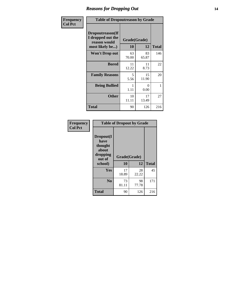### *Reasons for Dropping Out* **14**

| Frequency      |                                                                          | <b>Table of Dropoutreason by Grade</b> |                    |              |  |
|----------------|--------------------------------------------------------------------------|----------------------------------------|--------------------|--------------|--|
| <b>Col Pct</b> | Dropoutreason(If<br>I dropped out the<br>reason would<br>most likely be) | 10                                     | Grade(Grade)<br>12 | <b>Total</b> |  |
|                | <b>Won't Drop out</b>                                                    | 63<br>70.00                            | 83<br>65.87        | 146          |  |
|                | <b>Bored</b>                                                             | 11<br>12.22                            | 11<br>8.73         | 22           |  |
|                | <b>Family Reasons</b>                                                    | 5<br>5.56                              | 15<br>11.90        | 20           |  |
|                | <b>Being Bullied</b>                                                     | 1<br>1.11                              | $\Omega$<br>0.00   | 1            |  |
|                | <b>Other</b>                                                             | 10<br>11.11                            | 17<br>13.49        | 27           |  |
|                | <b>Total</b>                                                             | 90                                     | 126                | 216          |  |

| Frequency<br><b>Col Pct</b> | <b>Table of Dropout by Grade</b>                                       |                    |             |              |  |
|-----------------------------|------------------------------------------------------------------------|--------------------|-------------|--------------|--|
|                             | Dropout(I<br>have<br>thought<br>about<br>dropping<br>out of<br>school) | Grade(Grade)<br>10 | 12          | <b>Total</b> |  |
|                             |                                                                        |                    |             |              |  |
|                             | Yes                                                                    | 17<br>18.89        | 28<br>22.22 | 45           |  |
|                             | N <sub>0</sub>                                                         | 73<br>81.11        | 98<br>77.78 | 171          |  |
|                             | <b>Total</b>                                                           | 90                 | 126         | 216          |  |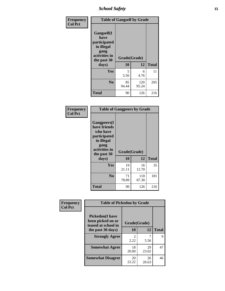*School Safety* **15**

| Frequency      | <b>Table of Gangself by Grade</b>                                                                 |                    |              |              |
|----------------|---------------------------------------------------------------------------------------------------|--------------------|--------------|--------------|
| <b>Col Pct</b> | Gangself(I<br>have<br>participated<br>in illegal<br>gang<br>activities in<br>the past 30<br>days) | Grade(Grade)<br>10 | 12           | <b>Total</b> |
|                | Yes                                                                                               | 5<br>5.56          | 6<br>4.76    | 11           |
|                | N <sub>0</sub>                                                                                    | 85<br>94.44        | 120<br>95.24 | 205          |
|                | <b>Total</b>                                                                                      | 90                 | 126          | 216          |

| Frequency<br><b>Col Pct</b> | <b>Table of Gangpeers by Grade</b>                                                                                             |                    |              |              |
|-----------------------------|--------------------------------------------------------------------------------------------------------------------------------|--------------------|--------------|--------------|
|                             | <b>Gangpeers</b> (I<br>have friends<br>who have<br>participated<br>in illegal<br>gang<br>activities in<br>the past 30<br>days) | Grade(Grade)<br>10 | 12           | <b>Total</b> |
|                             | Yes                                                                                                                            | 19<br>21.11        | 16<br>12.70  | 35           |
|                             | N <sub>0</sub>                                                                                                                 | 71<br>78.89        | 110<br>87.30 | 181          |
|                             | Total                                                                                                                          | 90                 | 126          | 216          |

| Frequency      | <b>Table of Pickedon by Grade</b>                                   |                        |             |              |
|----------------|---------------------------------------------------------------------|------------------------|-------------|--------------|
| <b>Col Pct</b> | <b>Pickedon</b> (I have<br>been picked on or<br>teased at school in | Grade(Grade)           |             |              |
|                | the past 30 days)                                                   | 10                     | 12          | <b>Total</b> |
|                | <b>Strongly Agree</b>                                               | $\mathfrak{D}$<br>2.22 | 5.56        | 9            |
|                | <b>Somewhat Agree</b>                                               | 18<br>20.00            | 29<br>23.02 | 47           |
|                | <b>Somewhat Disagree</b>                                            | 20<br>22.22            | 26<br>20.63 | 46           |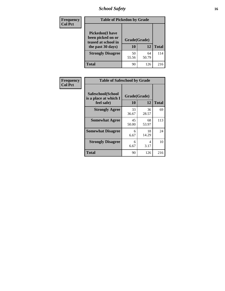# *School Safety* **16**

| <b>Frequency</b> | <b>Table of Pickedon by Grade</b>                                                        |                    |             |              |
|------------------|------------------------------------------------------------------------------------------|--------------------|-------------|--------------|
| <b>Col Pct</b>   | <b>Pickedon</b> (I have<br>been picked on or<br>teased at school in<br>the past 30 days) | Grade(Grade)<br>10 | 12          | <b>Total</b> |
|                  | <b>Strongly Disagree</b>                                                                 | 50<br>55.56        | 64<br>50.79 | 114          |
|                  | Total                                                                                    | 90                 | 126         | 216          |

| Frequency      | <b>Table of Safeschool by Grade</b>                      |                    |             |              |
|----------------|----------------------------------------------------------|--------------------|-------------|--------------|
| <b>Col Pct</b> | Safeschool(School<br>is a place at which I<br>feel safe) | Grade(Grade)<br>10 | 12          | <b>Total</b> |
|                | <b>Strongly Agree</b>                                    | 33<br>36.67        | 36<br>28.57 | 69           |
|                | <b>Somewhat Agree</b>                                    | 45<br>50.00        | 68<br>53.97 | 113          |
|                | <b>Somewhat Disagree</b>                                 | 6<br>6.67          | 18<br>14.29 | 24           |
|                | <b>Strongly Disagree</b>                                 | 6<br>6.67          | 4<br>3.17   | 10           |
|                | <b>Total</b>                                             | 90                 | 126         | 216          |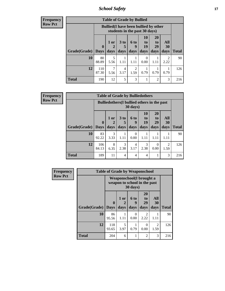*School Safety* **17**

| <b>Table of Grade by Bullied</b> |                        |                                                                               |                              |                        |                        |                               |                   |              |  |  |  |
|----------------------------------|------------------------|-------------------------------------------------------------------------------|------------------------------|------------------------|------------------------|-------------------------------|-------------------|--------------|--|--|--|
|                                  |                        | <b>Bullied</b> (I have been bullied by other<br>students in the past 30 days) |                              |                        |                        |                               |                   |              |  |  |  |
| Grade(Grade)                     | $\mathbf{0}$<br>  Days | 1 or<br>days                                                                  | 3 <sub>to</sub><br>5<br>days | 6 to<br>9<br>days      | 10<br>to<br>19<br>days | <b>20</b><br>to<br>29<br>days | All<br>30<br>days | <b>Total</b> |  |  |  |
| 10                               | 80<br>88.89            | 5<br>5.56                                                                     | 1.11                         | 1.11                   | 0<br>0.00              | 1.11                          | 2.22              | 90           |  |  |  |
| 12                               | 110<br>87.30           | 7<br>5.56                                                                     | $\overline{4}$<br>3.17       | $\mathfrak{D}$<br>1.59 | 0.79                   | 0.79                          | 0.79              | 126          |  |  |  |
| Total                            | 190                    | 12                                                                            | 5                            | 3                      | 1                      | $\overline{c}$                | 3                 | 216          |  |  |  |

| <b>Frequency</b> |
|------------------|
| <b>Row Pct</b>   |

| <b>Table of Grade by Bulliedothers</b> |                                                                |                   |                              |                   |                        |                        |                        |              |  |  |
|----------------------------------------|----------------------------------------------------------------|-------------------|------------------------------|-------------------|------------------------|------------------------|------------------------|--------------|--|--|
|                                        | <b>Bulliedothers</b> (I bullied others in the past<br>30 days) |                   |                              |                   |                        |                        |                        |              |  |  |
| <b>Grade</b> (Grade)                   | $\mathbf{0}$<br><b>Days</b>                                    | 1 or<br>2<br>days | 3 <sub>to</sub><br>5<br>days | 6 to<br>g<br>days | 10<br>to<br>19<br>days | 20<br>to<br>29<br>days | All<br>30<br>days      | <b>Total</b> |  |  |
| <b>10</b>                              | 83<br>92.22                                                    | 3<br>3.33         | 1.11                         | 0.00              | 1.11                   | 1.11                   | 1.11                   | 90           |  |  |
| 12                                     | 106<br>84.13                                                   | 8<br>6.35         | 3<br>2.38                    | 4<br>3.17         | 3<br>2.38              | $\Omega$<br>0.00       | $\mathfrak{D}$<br>1.59 | 126          |  |  |
| <b>Total</b>                           | 189                                                            | 11                | $\overline{4}$               | 4                 | $\overline{4}$         |                        | 3                      | 216          |  |  |

| <b>Frequency</b> |              | <b>Table of Grade by Weaponschool</b>                            |              |                          |                               |                                     |              |
|------------------|--------------|------------------------------------------------------------------|--------------|--------------------------|-------------------------------|-------------------------------------|--------------|
| <b>Row Pct</b>   |              | <b>Weaponschool</b> (I brought a<br>weapon to school in the past |              |                          |                               |                                     |              |
|                  | Grade(Grade) | 0<br><b>Days</b>                                                 | 1 or<br>days | <b>6 to</b><br>9<br>days | <b>20</b><br>to<br>29<br>days | All<br><b>30</b><br>days            | <b>Total</b> |
|                  | 10           | 86<br>95.56                                                      | 1.11         | 0<br>0.00                | $\mathfrak{D}$<br>2.22        | 1.11                                | 90           |
|                  | 12           | 118<br>93.65                                                     | 5<br>3.97    | 0.79                     | 0<br>0.00                     | $\mathcal{D}_{\mathcal{L}}$<br>1.59 | 126          |
|                  | Total        | 204                                                              | 6            |                          | $\overline{2}$                | 3                                   | 216          |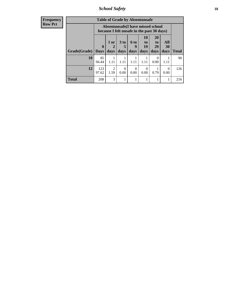*School Safety* **18**

| <b>Frequency</b> | <b>Table of Grade by Absentunsafe</b> |              |                        |                      |                                                                                 |                          |                       |                  |              |  |  |  |
|------------------|---------------------------------------|--------------|------------------------|----------------------|---------------------------------------------------------------------------------|--------------------------|-----------------------|------------------|--------------|--|--|--|
| <b>Row Pct</b>   |                                       |              |                        |                      | Absentunsafe(I have missed school<br>because I felt unsafe in the past 30 days) |                          |                       |                  |              |  |  |  |
|                  |                                       | $\bf{0}$     | $1$ or<br>2            | 3 <sub>to</sub><br>5 | 6 to<br>9                                                                       | 10<br>$\mathbf{t}$<br>19 | <b>20</b><br>to<br>29 | All<br>30        |              |  |  |  |
|                  | Grade(Grade)                          | <b>Days</b>  | days                   | days                 | days                                                                            | days                     | days                  | days             | <b>Total</b> |  |  |  |
|                  | 10                                    | 85<br>94.44  | 1.11                   | 1.11                 | 1.11                                                                            | 1.11                     | 0.00                  | 1.11             | 90           |  |  |  |
|                  | 12                                    | 123<br>97.62 | $\overline{2}$<br>1.59 | $\Omega$<br>0.00     | $\Omega$<br>0.00                                                                | $\Omega$<br>0.00         | 0.79                  | $\Omega$<br>0.00 | 126          |  |  |  |
|                  | <b>Total</b>                          | 208          | 3                      |                      |                                                                                 |                          |                       |                  | 216          |  |  |  |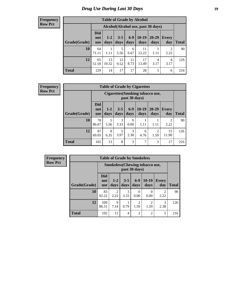# *Drug Use During Last 30 Days* **19**

#### **Frequency Row Pct**

| <b>Table of Grade by Alcohol</b> |                                 |                                    |                 |               |                 |               |                     |              |  |  |  |  |
|----------------------------------|---------------------------------|------------------------------------|-----------------|---------------|-----------------|---------------|---------------------|--------------|--|--|--|--|
|                                  |                                 | Alcohol(Alcohol use, past 30 days) |                 |               |                 |               |                     |              |  |  |  |  |
| Grade(Grade)                     | <b>Did</b><br>not<br><b>use</b> | $1-2$<br>days                      | $3 - 5$<br>days | $6-9$<br>days | $10-19$<br>days | 20-29<br>days | <b>Every</b><br>day | <b>Total</b> |  |  |  |  |
| 10                               | 64<br>71.11                     | 1.11                               | 5<br>5.56       | 6<br>6.67     | 11<br>12.22     | 1.11          | 2<br>2.22           | 90           |  |  |  |  |
| 12                               | 65<br>51.59                     | 13<br>10.32                        | 12<br>9.52      | 11<br>8.73    | 17<br>13.49     | 4<br>3.17     | 4<br>3.17           | 126          |  |  |  |  |
| <b>Total</b>                     | 129                             | 14                                 | 17              | 17            | 28              | 5             | 6                   | 216          |  |  |  |  |

#### **Frequency Row Pct**

| <b>Table of Grade by Cigarettes</b> |                                 |                                                   |                 |                  |                 |               |                        |              |  |  |  |
|-------------------------------------|---------------------------------|---------------------------------------------------|-----------------|------------------|-----------------|---------------|------------------------|--------------|--|--|--|
|                                     |                                 | Cigarettes (Smoking tobacco use,<br>past 30 days) |                 |                  |                 |               |                        |              |  |  |  |
| Grade(Grade)                        | <b>Did</b><br>not<br><b>use</b> | $1 - 2$<br>days                                   | $3 - 5$<br>days | $6-9$<br>days    | $10-19$<br>days | 20-29<br>days | <b>Every</b><br>day    | <b>Total</b> |  |  |  |
| 10                                  | 78<br>86.67                     | 5<br>5.56                                         | 3<br>3.33       | $\Omega$<br>0.00 | 1.11            | 1.11          | $\mathfrak{D}$<br>2.22 | 90           |  |  |  |
| 12                                  | 87<br>69.05                     | 8<br>6.35                                         | 5<br>3.97       | 3<br>2.38        | 6<br>4.76       | 2<br>1.59     | 15<br>11.90            | 126          |  |  |  |
| <b>Total</b>                        | 165                             | 13                                                | 8               | 3                | 7               | 3             | 17                     | 216          |  |  |  |

| <b>Table of Grade by Smokeless</b> |                                                        |               |                 |                |                        |                     |              |  |  |  |
|------------------------------------|--------------------------------------------------------|---------------|-----------------|----------------|------------------------|---------------------|--------------|--|--|--|
|                                    | <b>Smokeless</b> (Chewing tobaccouse,<br>past 30 days) |               |                 |                |                        |                     |              |  |  |  |
| Grade(Grade)                       | <b>Did</b><br>not<br><b>use</b>                        | $1-2$<br>days | $3 - 5$<br>days | $6-9$<br>days  | $10-19$<br>days        | <b>Every</b><br>day | <b>Total</b> |  |  |  |
| 10                                 | 83<br>92.22                                            | 2<br>2.22     | 3<br>3.33       | 0<br>0.00      | 0<br>0.00              | 2<br>2.22           | 90           |  |  |  |
| 12                                 | 109<br>86.51                                           | Q<br>7.14     | 0.79            | 2<br>1.59      | $\mathfrak{D}$<br>1.59 | 3<br>2.38           | 126          |  |  |  |
| <b>Total</b>                       | 192                                                    | 11            | 4               | $\overline{2}$ | $\overline{2}$         | 5                   | 216          |  |  |  |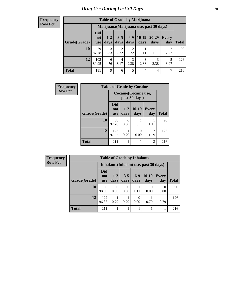| <b>Table of Grade by Marijuana</b> |                                 |                                         |                 |               |                 |               |              |       |  |  |  |  |
|------------------------------------|---------------------------------|-----------------------------------------|-----------------|---------------|-----------------|---------------|--------------|-------|--|--|--|--|
|                                    |                                 | Marijuana (Marijuana use, past 30 days) |                 |               |                 |               |              |       |  |  |  |  |
| Grade(Grade)                       | <b>Did</b><br>not<br><b>use</b> | $1 - 2$<br>days                         | $3 - 5$<br>days | $6-9$<br>days | $10-19$<br>days | 20-29<br>days | Every<br>day | Total |  |  |  |  |
| 10                                 | 79<br>87.78                     | 3<br>3.33                               | 2<br>2.22       | 2<br>2.22     | 1.11            | 1.11          | 2<br>2.22    | 90    |  |  |  |  |
| 12                                 | 102<br>80.95                    | 6<br>4.76                               | 4<br>3.17       | 3<br>2.38     | 3<br>2.38       | 3<br>2.38     | 5<br>3.97    | 126   |  |  |  |  |
| <b>Total</b>                       | 181                             | 9                                       | 6               | 5             | 4               | 4             | 7            | 216   |  |  |  |  |

| <b>Frequency</b> | <b>Table of Grade by Cocaine</b> |                                 |                 |                 |                     |       |  |
|------------------|----------------------------------|---------------------------------|-----------------|-----------------|---------------------|-------|--|
| <b>Row Pct</b>   |                                  | Cocaine (Cocaine use,           |                 |                 |                     |       |  |
|                  | Grade(Grade)                     | <b>Did</b><br>not<br><b>use</b> | $1 - 2$<br>days | $10-19$<br>days | <b>Every</b><br>day | Total |  |
|                  | 10                               | 88<br>97.78                     | 0<br>0.00       | 1.11            | 1.11                | 90    |  |
|                  | 12                               | 123<br>97.62                    | 0.79            | 0<br>0.00       | 2<br>1.59           | 126   |  |
|                  | <b>Total</b>                     | 211                             | 1               |                 | 3                   | 216   |  |

| <b>Frequency</b> |              |                                        |                  |                  |               |                  |                     |              |  |
|------------------|--------------|----------------------------------------|------------------|------------------|---------------|------------------|---------------------|--------------|--|
| <b>Row Pct</b>   |              | Inhalants (Inhalant use, past 30 days) |                  |                  |               |                  |                     |              |  |
|                  | Grade(Grade) | <b>Did</b><br>not<br>use               | $1-2$<br>days    | $3 - 5$<br>days  | $6-9$<br>days | $10-19$<br>days  | <b>Every</b><br>day | <b>Total</b> |  |
|                  | 10           | 89<br>98.89                            | $\theta$<br>0.00 | $\theta$<br>0.00 | 1.11          | $\theta$<br>0.00 | $\Omega$<br>0.00    | 90           |  |
|                  | 12           | 122<br>96.83                           | 0.79             | 0.79             | 0.00          | 0.79             | 0.79                | 126          |  |
|                  | <b>Total</b> | 211                                    |                  |                  |               |                  |                     | 216          |  |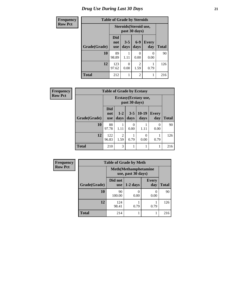# *Drug Use During Last 30 Days* **21**

| <b>Frequency</b> | <b>Table of Grade by Steroids</b> |                          |                 |                        |              |              |
|------------------|-----------------------------------|--------------------------|-----------------|------------------------|--------------|--------------|
| <b>Row Pct</b>   |                                   | Steroids (Steroid use,   |                 |                        |              |              |
|                  | Grade(Grade)                      | Did<br>not<br><b>use</b> | $3 - 5$<br>days | $6 - 9$<br>days        | Every<br>day | <b>Total</b> |
|                  | 10                                | 89<br>98.89              | 1.11            | 0.00                   | 0<br>0.00    | 90           |
|                  | 12                                | 123<br>97.62             | 0<br>0.00       | $\mathfrak{D}$<br>1.59 | 0.79         | 126          |
|                  | <b>Total</b>                      | 212                      | 1               | $\mathfrak{D}$         | 1            | 216          |

| <b>Frequency</b> | <b>Table of Grade by Ecstasy</b> |                                 |                 |                 |                  |                     |              |
|------------------|----------------------------------|---------------------------------|-----------------|-----------------|------------------|---------------------|--------------|
| <b>Row Pct</b>   |                                  |                                 |                 |                 |                  |                     |              |
|                  | Grade(Grade)                     | <b>Did</b><br>not<br><b>use</b> | $1 - 2$<br>days | $3 - 5$<br>days | $10-19$<br>days  | <b>Every</b><br>day | <b>Total</b> |
|                  | 10                               | 88<br>97.78                     | 1.11            | 0<br>0.00       | 1.11             | $\Omega$<br>0.00    | 90           |
|                  | 12                               | 122<br>96.83                    | 2<br>1.59       | 0.79            | $\theta$<br>0.00 | 0.79                | 126          |
|                  | <b>Total</b>                     | 210                             | 3               | 1               | 1                | 1                   | 216          |

| <b>Frequency</b> | <b>Table of Grade by Meth</b> |                       |                                                    |                     |              |  |
|------------------|-------------------------------|-----------------------|----------------------------------------------------|---------------------|--------------|--|
| <b>Row Pct</b>   |                               |                       | <b>Meth</b> (Methamphetamine<br>use, past 30 days) |                     |              |  |
|                  | Grade(Grade)                  | Did not<br><b>use</b> | $1-2$ days                                         | <b>Every</b><br>day | <b>Total</b> |  |
|                  | 10                            | 90<br>100.00          | 0.00                                               | 0<br>0.00           | 90           |  |
|                  | 12                            | 124<br>98.41          | 0.79                                               | 0.79                | 126          |  |
|                  | <b>Total</b>                  | 214                   |                                                    |                     | 216          |  |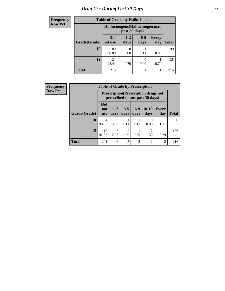# *Drug Use During Last 30 Days* **22**

| <b>Frequency</b> |              | <b>Table of Grade by Hallucinogens</b> |               |                       |                     |              |  |
|------------------|--------------|----------------------------------------|---------------|-----------------------|---------------------|--------------|--|
| <b>Row Pct</b>   |              | Hallucinogens (Hallucinogen use,       |               |                       |                     |              |  |
|                  | Grade(Grade) | Did<br>not use                         | $1-2$<br>days | $6-9$<br>days         | <b>Every</b><br>day | <b>Total</b> |  |
|                  | 10           | 89<br>98.89                            | 0.00          | 1.11                  | 0.00                | 90           |  |
|                  | 12           | 124<br>98.41                           | 0.79          | $\mathcal{O}$<br>0.00 | 0.79                | 126          |  |
|                  | <b>Total</b> | 213                                    |               |                       |                     | 216          |  |

| <b>Frequency</b> |              | <b>Table of Grade by Prescription</b> |                 |                        |                |                                                                                |                     |              |
|------------------|--------------|---------------------------------------|-----------------|------------------------|----------------|--------------------------------------------------------------------------------|---------------------|--------------|
| <b>Row Pct</b>   |              |                                       |                 |                        |                | <b>Prescription</b> (Prescription drugs not<br>prescribed to me, past 30 days) |                     |              |
|                  | Grade(Grade) | Did<br>not<br><b>use</b>              | $1 - 2$<br>days | $3 - 5$<br>days        | $6-9$<br>days  | $10-19$<br>days                                                                | <b>Every</b><br>day | <b>Total</b> |
|                  | 10           | 84<br>93.33                           | 3<br>3.33       | 1.11                   | 1.11           | $\Omega$<br>0.00                                                               | 1.11                | 90           |
|                  | 12           | 117<br>92.86                          | 3<br>2.38       | $\overline{c}$<br>1.59 | 0.79           | 2<br>1.59                                                                      | 0.79                | 126          |
|                  | <b>Total</b> | 201                                   | 6               | 3                      | $\overline{2}$ | 2                                                                              | $\overline{c}$      | 216          |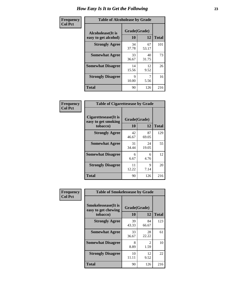| Frequency      | <b>Table of Alcoholease by Grade</b>              |                    |             |              |  |  |
|----------------|---------------------------------------------------|--------------------|-------------|--------------|--|--|
| <b>Col Pct</b> | <b>Alcoholease</b> (It is<br>easy to get alcohol) | Grade(Grade)<br>10 | 12          | <b>Total</b> |  |  |
|                | <b>Strongly Agree</b>                             | 34<br>37.78        | 67<br>53.17 | 101          |  |  |
|                | <b>Somewhat Agree</b>                             | 33<br>36.67        | 40<br>31.75 | 73           |  |  |
|                | <b>Somewhat Disagree</b>                          | 14<br>15.56        | 12<br>9.52  | 26           |  |  |
|                | <b>Strongly Disagree</b>                          | 9<br>10.00         | 5.56        | 16           |  |  |
|                | <b>Total</b>                                      | 90                 | 126         | 216          |  |  |

| Frequency      | <b>Table of Cigarettesease by Grade</b>                  |                    |             |              |  |
|----------------|----------------------------------------------------------|--------------------|-------------|--------------|--|
| <b>Col Pct</b> | Cigarettesease (It is<br>easy to get smoking<br>tobacco) | Grade(Grade)<br>10 | 12          | <b>Total</b> |  |
|                | <b>Strongly Agree</b>                                    | 42<br>46.67        | 87<br>69.05 | 129          |  |
|                | <b>Somewhat Agree</b>                                    | 31<br>34.44        | 24<br>19.05 | 55           |  |
|                | <b>Somewhat Disagree</b>                                 | 6<br>6.67          | 6<br>4.76   | 12           |  |
|                | <b>Strongly Disagree</b>                                 | 11<br>12.22        | 9<br>7.14   | 20           |  |
|                | <b>Total</b>                                             | 90                 | 126         | 216          |  |

| Frequency      | <b>Table of Smokelessease by Grade</b>                         |                           |                       |              |
|----------------|----------------------------------------------------------------|---------------------------|-----------------------|--------------|
| <b>Col Pct</b> | <b>Smokelessease</b> (It is<br>easy to get chewing<br>tobacco) | Grade(Grade)<br><b>10</b> | 12                    | <b>Total</b> |
|                | <b>Strongly Agree</b>                                          | 39<br>43.33               | 84<br>66.67           | 123          |
|                | <b>Somewhat Agree</b>                                          | 33<br>36.67               | 28<br>22.22           | 61           |
|                | <b>Somewhat Disagree</b>                                       | 8<br>8.89                 | $\mathcal{L}$<br>1.59 | 10           |
|                | <b>Strongly Disagree</b>                                       | 10<br>11.11               | 12<br>9.52            | 22           |
|                | <b>Total</b>                                                   | 90                        | 126                   | 216          |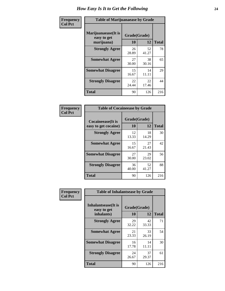| Frequency      | <b>Table of Marijuanaease by Grade</b>           |                    |             |              |  |  |
|----------------|--------------------------------------------------|--------------------|-------------|--------------|--|--|
| <b>Col Pct</b> | Marijuanaease(It is<br>easy to get<br>marijuana) | Grade(Grade)<br>10 | 12          | <b>Total</b> |  |  |
|                | <b>Strongly Agree</b>                            | 26<br>28.89        | 52<br>41.27 | 78           |  |  |
|                | <b>Somewhat Agree</b>                            | 27<br>30.00        | 38<br>30.16 | 65           |  |  |
|                | <b>Somewhat Disagree</b>                         | 15<br>16.67        | 14<br>11.11 | 29           |  |  |
|                | <b>Strongly Disagree</b>                         | 22<br>24.44        | 22<br>17.46 | 44           |  |  |
|                | <b>Total</b>                                     | 90                 | 126         | 216          |  |  |

| <b>Table of Cocaineease by Grade</b>              |                    |             |              |  |  |  |  |
|---------------------------------------------------|--------------------|-------------|--------------|--|--|--|--|
| <b>Cocaineease</b> (It is<br>easy to get cocaine) | Grade(Grade)<br>10 | 12          | <b>Total</b> |  |  |  |  |
| <b>Strongly Agree</b>                             | 12<br>13.33        | 18<br>14.29 | 30           |  |  |  |  |
| <b>Somewhat Agree</b>                             | 15<br>16.67        | 27<br>21.43 | 42           |  |  |  |  |
| <b>Somewhat Disagree</b>                          | 27<br>30.00        | 29<br>23.02 | 56           |  |  |  |  |
| <b>Strongly Disagree</b>                          | 36<br>40.00        | 52<br>41.27 | 88           |  |  |  |  |
| <b>Total</b>                                      | 90                 | 126         | 216          |  |  |  |  |

| Frequency      | <b>Table of Inhalantsease by Grade</b>     |              |             |              |
|----------------|--------------------------------------------|--------------|-------------|--------------|
| <b>Col Pct</b> | <b>Inhalantsease</b> (It is<br>easy to get | Grade(Grade) |             |              |
|                | inhalants)                                 | 10           | 12          | <b>Total</b> |
|                | <b>Strongly Agree</b>                      | 29<br>32.22  | 42<br>33.33 | 71           |
|                | <b>Somewhat Agree</b>                      | 21<br>23.33  | 33<br>26.19 | 54           |
|                | <b>Somewhat Disagree</b>                   | 16<br>17.78  | 14<br>11.11 | 30           |
|                | <b>Strongly Disagree</b>                   | 24<br>26.67  | 37<br>29.37 | 61           |
|                | <b>Total</b>                               | 90           | 126         | 216          |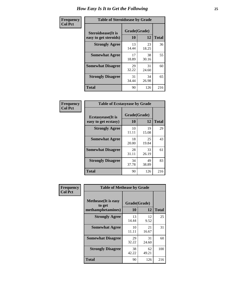| Frequency      | <b>Table of Steroidsease by Grade</b>               |                    |             |              |  |  |  |  |  |  |  |
|----------------|-----------------------------------------------------|--------------------|-------------|--------------|--|--|--|--|--|--|--|
| <b>Col Pct</b> | <b>Steroidsease</b> (It is<br>easy to get steroids) | Grade(Grade)<br>10 | 12          | <b>Total</b> |  |  |  |  |  |  |  |
|                | <b>Strongly Agree</b>                               | 13<br>14.44        | 23<br>18.25 | 36           |  |  |  |  |  |  |  |
|                | <b>Somewhat Agree</b>                               | 17<br>18.89        | 38<br>30.16 | 55           |  |  |  |  |  |  |  |
|                | <b>Somewhat Disagree</b>                            | 29<br>32.22        | 31<br>24.60 | 60           |  |  |  |  |  |  |  |
|                | <b>Strongly Disagree</b>                            | 31<br>34.44        | 34<br>26.98 | 65           |  |  |  |  |  |  |  |
|                | <b>Total</b>                                        | 90                 | 126         | 216          |  |  |  |  |  |  |  |

| Frequency      | <b>Table of Ecstasyease by Grade</b>              |                    |             |              |
|----------------|---------------------------------------------------|--------------------|-------------|--------------|
| <b>Col Pct</b> | <b>Ecstasyease</b> (It is<br>easy to get ecstasy) | Grade(Grade)<br>10 | 12          | <b>Total</b> |
|                | <b>Strongly Agree</b>                             | 10<br>11.11        | 19<br>15.08 | 29           |
|                | <b>Somewhat Agree</b>                             | 18<br>20.00        | 25<br>19.84 | 43           |
|                | <b>Somewhat Disagree</b>                          | 28<br>31.11        | 33<br>26.19 | 61           |
|                | <b>Strongly Disagree</b>                          | 34<br>37.78        | 49<br>38.89 | 83           |
|                | <b>Total</b>                                      | 90                 | 126         | 216          |

| Frequency      | <b>Table of Methease by Grade</b>                          |                    |             |              |
|----------------|------------------------------------------------------------|--------------------|-------------|--------------|
| <b>Col Pct</b> | <b>Methease</b> (It is easy<br>to get<br>methamphetamines) | Grade(Grade)<br>10 | 12          | <b>Total</b> |
|                | <b>Strongly Agree</b>                                      | 13<br>14.44        | 12<br>9.52  | 25           |
|                | <b>Somewhat Agree</b>                                      | 10<br>11.11        | 21<br>16.67 | 31           |
|                | <b>Somewhat Disagree</b>                                   | 29<br>32.22        | 31<br>24.60 | 60           |
|                | <b>Strongly Disagree</b>                                   | 38<br>42.22        | 62<br>49.21 | 100          |
|                | Total                                                      | 90                 | 126         | 216          |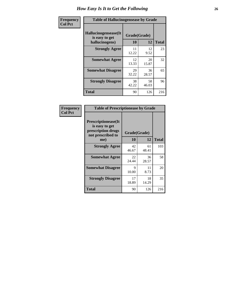| <b>Frequency</b> | <b>Table of Hallucinogensease by Grade</b>               |                    |              |     |
|------------------|----------------------------------------------------------|--------------------|--------------|-----|
| <b>Col Pct</b>   | Hallucinogensease(It<br>is easy to get<br>hallucinogens) | Grade(Grade)<br>10 | <b>Total</b> |     |
|                  | <b>Strongly Agree</b>                                    | 11<br>12.22        | 12<br>9.52   | 23  |
|                  | <b>Somewhat Agree</b>                                    | 12<br>13.33        | 20<br>15.87  | 32  |
|                  | <b>Somewhat Disagree</b>                                 | 29<br>32.22        | 36<br>28.57  | 65  |
|                  | <b>Strongly Disagree</b>                                 | 38<br>42.22        | 58<br>46.03  | 96  |
|                  | <b>Total</b>                                             | 90                 | 126          | 216 |

| Frequency<br>  Col Pct |
|------------------------|
|                        |

|                                                                                          | <b>Table of Prescriptionease by Grade</b> |              |              |  |  |  |  |  |  |  |  |
|------------------------------------------------------------------------------------------|-------------------------------------------|--------------|--------------|--|--|--|--|--|--|--|--|
| <b>Prescriptionease</b> (It<br>is easy to get<br>prescription drugs<br>not prescribed to |                                           | Grade(Grade) |              |  |  |  |  |  |  |  |  |
| me)                                                                                      | 10                                        | 12           | <b>Total</b> |  |  |  |  |  |  |  |  |
| <b>Strongly Agree</b>                                                                    | 42<br>46.67                               | 61<br>48.41  | 103          |  |  |  |  |  |  |  |  |
| <b>Somewhat Agree</b>                                                                    | 22<br>24.44                               | 36<br>28.57  | 58           |  |  |  |  |  |  |  |  |
| <b>Somewhat Disagree</b>                                                                 | 9<br>10.00                                | 11<br>8.73   | 20           |  |  |  |  |  |  |  |  |
| <b>Strongly Disagree</b>                                                                 | 17<br>18.89                               | 18<br>14.29  | 35           |  |  |  |  |  |  |  |  |
| Total                                                                                    | 90                                        | 126          | 216          |  |  |  |  |  |  |  |  |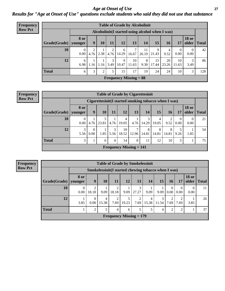*Age at Onset of Use* **27** *Results for "Age at Onset of Use" questions exclude students who said they did not use that substance*

| <b>Frequency</b> | <b>Table of Grade by Alcoholinit</b> |                  |                |      |             |            |                               |                                                  |             |             |                  |                       |              |
|------------------|--------------------------------------|------------------|----------------|------|-------------|------------|-------------------------------|--------------------------------------------------|-------------|-------------|------------------|-----------------------|--------------|
| <b>Row Pct</b>   |                                      |                  |                |      |             |            |                               | Alcoholinit (I started using alcohol when I was) |             |             |                  |                       |              |
|                  | Grade(Grade)                         | 8 or<br>younger  | 9              | 10   | <b>11</b>   | <b>12</b>  | 13                            | 14                                               | 15          | <b>16</b>   | 17               | <b>18 or</b><br>older | <b>Total</b> |
|                  | 10                                   | $\Omega$<br>0.00 | 4.76           |      | $2.38$ 4.76 | 6<br>14.29 | 7<br>16.67                    | 11<br>26.19                                      | Q<br>21.43  | 9.52        | $\theta$<br>0.00 | $\theta$<br>$0.00\,$  | 42           |
|                  | 12                                   | 6<br>6.98        | 1.16           | 1.16 | 3<br>3.49   | 9<br>10.47 | 10<br>11.63                   | 8<br>9.30                                        | 15<br>17.44 | 20<br>23.26 | 10<br>11.63      | 3<br>3.49             | 86           |
|                  | <b>Total</b>                         | 6                | 3 <sub>1</sub> | 2    | 5           | 15         | 17                            | 19                                               | 24          | 24          | 10               | 3                     | 128          |
|                  |                                      |                  |                |      |             |            | <b>Frequency Missing = 88</b> |                                                  |             |             |                  |                       |              |

#### **Frequency Row Pct**

|              | <b>Table of Grade by Cigarettesinit</b> |                                                      |            |                |                                             |            |            |            |                        |                  |                       |              |  |
|--------------|-----------------------------------------|------------------------------------------------------|------------|----------------|---------------------------------------------|------------|------------|------------|------------------------|------------------|-----------------------|--------------|--|
|              |                                         | Cigarettesinit(I started smoking tobacco when I was) |            |                |                                             |            |            |            |                        |                  |                       |              |  |
| Grade(Grade) | 8 or<br>younger                         | 9                                                    | 10         | 11             | 12                                          | 13         | 14         | 15         | <b>16</b>              | 17               | <b>18 or</b><br>older | <b>Total</b> |  |
| 10           | $\theta$<br>0.00                        | 4.76                                                 | 5<br>23.81 | 4.76           | 4<br>19.05                                  | 4.76       | 3<br>14.29 | 19.05      | $\overline{c}$<br>9.52 | $\Omega$<br>0.00 | 0.00                  | 21           |  |
| 12           | 3<br>5.56                               | $\Omega$<br>0.00                                     | 1.85       | 3<br>5.56      | 10<br>18.52                                 | 7<br>12.96 | 8<br>14.81 | 8<br>14.81 | 8<br>14.81             | 5<br>9.26        | 1.85                  | 54           |  |
| <b>Total</b> | 3                                       |                                                      | 6          | $\overline{4}$ | 14                                          | 8          | 11         | 12         | 10                     | 5                |                       | 75           |  |
|              |                                         |                                                      |            |                | <b>Frequency Missing <math>= 141</math></b> |            |            |            |                        |                  |                       |              |  |

|                        | <b>Table of Grade by Smokelessinit</b> |                                                     |            |                        |       |            |            |            |                  |                  |                       |              |  |  |
|------------------------|----------------------------------------|-----------------------------------------------------|------------|------------------------|-------|------------|------------|------------|------------------|------------------|-----------------------|--------------|--|--|
|                        |                                        | Smokelessinit(I started chewing tobacco when I was) |            |                        |       |            |            |            |                  |                  |                       |              |  |  |
| Grade(Grade)   younger | 8 or                                   | 9                                                   | <b>10</b>  | 11                     | 12    | 13         | 14         | 15         | 16               | 17               | <b>18 or</b><br>older | <b>Total</b> |  |  |
| 10                     | 0.00                                   | 2<br>18.18                                          | 9.09       | 2<br>18.18             | 9.09  | 3<br>27.27 | 9.09       | 9.09       | $\theta$<br>0.00 | $\theta$<br>0.00 | $\theta$<br>0.00      | 11           |  |  |
| 12                     | 3.85                                   | $\Omega$<br>$0.00\,$                                | 4<br>15.38 | $\overline{2}$<br>7.69 | 19.23 | 2<br>7.69  | 4<br>15.38 | 3<br>11.54 | 2<br>7.69        | 7.69             | 3.85                  | 26           |  |  |
| <b>Total</b>           |                                        | 2                                                   | 5          | 4                      | 6     | 5          | 5          | 4          | $\mathfrak{D}$   | $\mathfrak{D}$   |                       | 37           |  |  |
|                        | Frequency Missing $= 179$              |                                                     |            |                        |       |            |            |            |                  |                  |                       |              |  |  |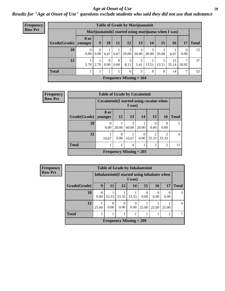#### *Age at Onset of Use* **28**

*Results for "Age at Onset of Use" questions exclude students who said they did not use that substance*

| Frequency      |              |                        |                  |                             |                      | <b>Table of Grade by Marijuanainit</b> |                  |            |            |                                                      |                  |                 |
|----------------|--------------|------------------------|------------------|-----------------------------|----------------------|----------------------------------------|------------------|------------|------------|------------------------------------------------------|------------------|-----------------|
| <b>Row Pct</b> |              |                        |                  |                             |                      |                                        |                  |            |            | Marijuanainit (I started using marijuana when I was) |                  |                 |
|                | Grade(Grade) | <b>8 or</b><br>younger | 9                | 10                          | 11                   | 12                                     | 13               | 14         | 15         | 16                                                   | 17               | <b>Total</b>    |
|                | 10           | $\theta$<br>0.00       | $\theta$<br>0.00 | 6.67                        | 6.67                 | 3<br>20.00                             | 3<br>20.00       | 3<br>20.00 | 3<br>20.00 | 6.67                                                 | $\Omega$<br>0.00 | 15              |
|                | 12           | 2.70                   |                  | $\Omega$<br>$2.70 \pm 0.00$ | $\Omega$<br>$0.00\,$ | 3<br>8.11                              | $\gamma$<br>5.41 | 13.51      | 13.51      | 13<br>35.14                                          | 7<br>18.92       | 37 <sub>1</sub> |
|                | <b>Total</b> |                        |                  |                             |                      | 6                                      | 5                | 8          | 8          | 14                                                   | 7                | 52              |
|                |              |                        |                  |                             |                      | <b>Frequency Missing = 164</b>         |                  |            |            |                                                      |                  |                 |

| <b>Frequency</b> |              | <b>Table of Grade by Cocaineinit</b>        |                  |                           |                      |                         |                         |              |
|------------------|--------------|---------------------------------------------|------------------|---------------------------|----------------------|-------------------------|-------------------------|--------------|
| <b>Row Pct</b>   |              | Cocaine in it (I started using cocaine when |                  | I was)                    |                      |                         |                         |              |
|                  | Grade(Grade) | 8 or<br>vounger                             | <b>12</b>        | 13                        | 14                   | 15                      | <b>16</b>               | <b>Total</b> |
|                  | 10           | $\Omega$<br>0.00                            | 20.00            | 3<br>60.00                | 20.00                | $\Omega$<br>0.00        | $\Omega$<br>0.00        | 5            |
|                  | 12           | 16.67                                       | $\theta$<br>0.00 | 16.67                     | $\Omega$<br>$0.00\,$ | $\mathfrak{D}$<br>33.33 | $\mathfrak{D}$<br>33.33 | 6            |
|                  | <b>Total</b> |                                             | 1                | 4                         |                      | $\overline{2}$          | $\overline{2}$          | 11           |
|                  |              |                                             |                  | Frequency Missing $= 205$ |                      |                         |                         |              |

**Frequency Row Pct**

|              |                                                       |                                                         | <b>Table of Grade by Inhalantsinit</b> |                  |           |       |       |  |  |  |
|--------------|-------------------------------------------------------|---------------------------------------------------------|----------------------------------------|------------------|-----------|-------|-------|--|--|--|
|              |                                                       | Inhalantsinit (I started using inhalants when<br>I was) |                                        |                  |           |       |       |  |  |  |
| Grade(Grade) | 9<br><b>Total</b><br>12<br>14<br>16<br>11<br>15<br>17 |                                                         |                                        |                  |           |       |       |  |  |  |
| 10           | 0<br>0.00                                             | 33.33                                                   | 33.33                                  | 33.33            | 0<br>0.00 | 0.00  | 0.00  |  |  |  |
| 12           | 25.00                                                 | 0.00                                                    | 0<br>0.00                              | $\Omega$<br>0.00 | 25.00     | 25.00 | 25.00 |  |  |  |
| <b>Total</b> |                                                       |                                                         |                                        |                  |           |       |       |  |  |  |
|              |                                                       |                                                         | Frequency Missing $= 209$              |                  |           |       |       |  |  |  |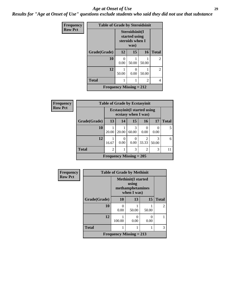#### *Age at Onset of Use* **29**

*Results for "Age at Onset of Use" questions exclude students who said they did not use that substance*

| Frequency      | <b>Table of Grade by Steroidsinit</b> |       |                                                            |       |                |  |  |
|----------------|---------------------------------------|-------|------------------------------------------------------------|-------|----------------|--|--|
| <b>Row Pct</b> |                                       |       | Steroidsinit(I<br>started using<br>steroids when I<br>was) |       |                |  |  |
|                | Grade(Grade)                          | 12    | 15                                                         | 16    | <b>Total</b>   |  |  |
|                | 10                                    | 0.00  | 50.00                                                      | 50.00 | $\overline{2}$ |  |  |
|                | 12                                    | 50.00 | $\mathbf{0}$<br>0.00                                       | 50.00 | $\overline{2}$ |  |  |
|                | <b>Total</b>                          |       |                                                            | 2     | 4              |  |  |
|                | <b>Frequency Missing = 212</b>        |       |                                                            |       |                |  |  |

| <b>Frequency</b> |              | <b>Table of Grade by Ecstasyinit</b>                       |           |                  |                         |            |              |
|------------------|--------------|------------------------------------------------------------|-----------|------------------|-------------------------|------------|--------------|
| <b>Row Pct</b>   |              | <b>Ecstasyinit</b> (I started using<br>ecstasy when I was) |           |                  |                         |            |              |
|                  | Grade(Grade) | 13                                                         | 14        | 15               | 16                      | 17         | <b>Total</b> |
|                  | 10           | 20.00                                                      | 20.00     | 3<br>60.00       | 0<br>0.00               | 0.00       |              |
|                  | 12           | 16.67                                                      | 0<br>0.00 | $\Omega$<br>0.00 | $\overline{c}$<br>33.33 | 3<br>50.00 | 6            |
|                  | <b>Total</b> | $\overline{c}$                                             | 1         | 3                | $\overline{2}$          | 3          |              |
|                  |              | Frequency Missing $= 205$                                  |           |                  |                         |            |              |

| Frequency      | <b>Table of Grade by Methinit</b> |                                                              |           |       |                |  |  |
|----------------|-----------------------------------|--------------------------------------------------------------|-----------|-------|----------------|--|--|
| <b>Row Pct</b> |                                   | <b>Methinit(I started</b><br>methamphetamines<br>when I was) |           |       |                |  |  |
|                | Grade(Grade)                      | 10                                                           | 13        | 15    | <b>Total</b>   |  |  |
|                | 10                                | $\mathbf{\Omega}$<br>0.00                                    | 50.00     | 50.00 | $\overline{2}$ |  |  |
|                | 12                                | 100.00                                                       | 0<br>0.00 | 0.00  |                |  |  |
|                | <b>Total</b>                      |                                                              |           |       | 3              |  |  |
|                |                                   | Frequency Missing $= 213$                                    |           |       |                |  |  |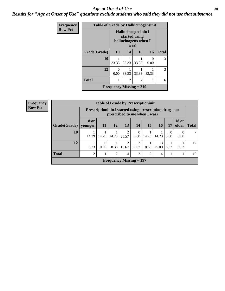#### Age at Onset of Use **30**

*Results for "Age at Onset of Use" questions exclude students who said they did not use that substance*

| Frequency      | <b>Table of Grade by Hallucinogensinit</b> |                                                              |                |                |           |              |
|----------------|--------------------------------------------|--------------------------------------------------------------|----------------|----------------|-----------|--------------|
| <b>Row Pct</b> |                                            | Hallucinogensinit(I<br>started using<br>hallucinogens when I |                |                |           |              |
|                | Grade(Grade)                               | 10                                                           | 14             | 15             | 16        | <b>Total</b> |
|                | 10                                         | 33.33                                                        | 33.33          | 33.33          | 0<br>0.00 | 3            |
|                | 12                                         | $\theta$<br>0.00                                             | 33.33          | 33.33          | 33.33     | 3            |
|                | <b>Total</b>                               |                                                              | $\overline{2}$ | $\overline{2}$ | 1         | 6            |
|                |                                            | Frequency Missing $= 210$                                    |                |                |           |              |

| <b>Frequency</b> | <b>Table of Grade by Prescriptioninit</b><br><b>Row Pct</b><br>Prescription in it (I started using prescription drugs not<br>prescribed to me when I was) |                 |                  |                |       |                           |                 |            |      |                       |              |
|------------------|-----------------------------------------------------------------------------------------------------------------------------------------------------------|-----------------|------------------|----------------|-------|---------------------------|-----------------|------------|------|-----------------------|--------------|
|                  |                                                                                                                                                           |                 |                  |                |       |                           |                 |            |      |                       |              |
|                  | Grade(Grade)                                                                                                                                              | 8 or<br>younger | 11               | 12             | 13    | 14                        | 15 <sup>1</sup> | <b>16</b>  | 17   | <b>18 or</b><br>older | <b>Total</b> |
|                  | 10                                                                                                                                                        | 14.29           | 14.29            | 14.29          | 28.57 | $\Omega$<br>0.00          | 14.29           | 14.29      | 0.00 | $\Omega$<br>0.00      |              |
|                  | 12                                                                                                                                                        | 8.33            | $\Omega$<br>0.00 | 8.33           | 16.67 | 2<br>16.67                | 8.33            | 3<br>25.00 | 8.33 | 8.33                  | 12           |
|                  | <b>Total</b>                                                                                                                                              | $\overline{2}$  |                  | $\mathfrak{D}$ | 4     | $\overline{c}$            | 2               | 4          |      |                       | 19           |
|                  |                                                                                                                                                           |                 |                  |                |       | Frequency Missing $= 197$ |                 |            |      |                       |              |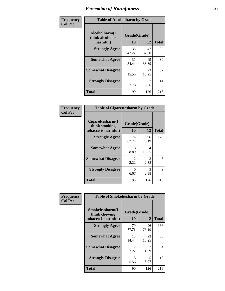| Frequency      | <b>Table of Alcoholharm by Grade</b>          |                    |             |              |  |
|----------------|-----------------------------------------------|--------------------|-------------|--------------|--|
| <b>Col Pct</b> | Alcoholharm(I<br>think alcohol is<br>harmful) | Grade(Grade)<br>10 | 12          | <b>Total</b> |  |
|                | <b>Strongly Agree</b>                         | 38<br>42.22        | 47<br>37.30 | 85           |  |
|                | <b>Somewhat Agree</b>                         | 31<br>34.44        | 49<br>38.89 | 80           |  |
|                | <b>Somewhat Disagree</b>                      | 14<br>15.56        | 23<br>18.25 | 37           |  |
|                | <b>Strongly Disagree</b>                      | 7<br>7.78          | 5.56        | 14           |  |
|                | <b>Total</b>                                  | 90                 | 126         | 216          |  |

|                                                          | <b>Table of Cigarettesharm by Grade</b> |             |              |  |  |  |  |
|----------------------------------------------------------|-----------------------------------------|-------------|--------------|--|--|--|--|
| Cigarettesharm(I<br>think smoking<br>tobacco is harmful) | Grade(Grade)<br>10                      | 12          | <b>Total</b> |  |  |  |  |
| <b>Strongly Agree</b>                                    | 74<br>82.22                             | 96<br>76.19 | 170          |  |  |  |  |
| <b>Somewhat Agree</b>                                    | 8<br>8.89                               | 24<br>19.05 | 32           |  |  |  |  |
| <b>Somewhat Disagree</b>                                 | $\mathfrak{D}$<br>2.22                  | 3<br>2.38   | 5            |  |  |  |  |
| <b>Strongly Disagree</b>                                 | 6<br>6.67                               | 3<br>2.38   | 9            |  |  |  |  |
| <b>Total</b>                                             | 90                                      | 126         | 216          |  |  |  |  |

| Frequency      | <b>Table of Smokelessharm by Grade</b>                  |                           |             |              |
|----------------|---------------------------------------------------------|---------------------------|-------------|--------------|
| <b>Col Pct</b> | Smokelessharm(I<br>think chewing<br>tobacco is harmful) | Grade(Grade)<br><b>10</b> | 12          | <b>Total</b> |
|                | <b>Strongly Agree</b>                                   | 70<br>77.78               | 96<br>76.19 | 166          |
|                | <b>Somewhat Agree</b>                                   | 13<br>14.44               | 23<br>18.25 | 36           |
|                | <b>Somewhat Disagree</b>                                | $\mathfrak{D}$<br>2.22    | 2<br>1.59   | 4            |
|                | <b>Strongly Disagree</b>                                | 5<br>5.56                 | 5<br>3.97   | 10           |
|                | <b>Total</b>                                            | 90                        | 126         | 216          |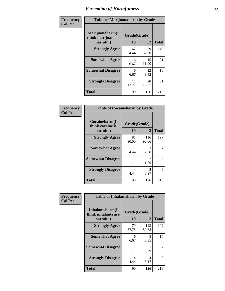| Frequency      | <b>Table of Marijuanaharm by Grade</b>            |                    |             |              |  |
|----------------|---------------------------------------------------|--------------------|-------------|--------------|--|
| <b>Col Pct</b> | Marijuanaharm(I<br>think marijuana is<br>harmful) | Grade(Grade)<br>10 | 12          | <b>Total</b> |  |
|                | <b>Strongly Agree</b>                             | 67<br>74.44        | 79<br>62.70 | 146          |  |
|                | <b>Somewhat Agree</b>                             | 6<br>6.67          | 15<br>11.90 | 21           |  |
|                | <b>Somewhat Disagree</b>                          | 6<br>6.67          | 12<br>9.52  | 18           |  |
|                | <b>Strongly Disagree</b>                          | 11<br>12.22        | 20<br>15.87 | 31           |  |
|                | <b>Total</b>                                      | 90                 | 126         | 216          |  |

| <b>Table of Cocaineharm by Grade</b>          |                    |              |              |  |  |  |  |
|-----------------------------------------------|--------------------|--------------|--------------|--|--|--|--|
| Cocaineharm(I<br>think cocaine is<br>harmful) | Grade(Grade)<br>10 | 12           | <b>Total</b> |  |  |  |  |
| <b>Strongly Agree</b>                         | 81<br>90.00        | 116<br>92.06 | 197          |  |  |  |  |
| <b>Somewhat Agree</b>                         | 4<br>4.44          | 3<br>2.38    | 7            |  |  |  |  |
| <b>Somewhat Disagree</b>                      | 1<br>1.11          | 2<br>1.59    | 3            |  |  |  |  |
| <b>Strongly Disagree</b>                      | 4<br>4.44          | 5<br>3.97    | 9            |  |  |  |  |
| <b>Total</b>                                  | 90                 | 126          | 216          |  |  |  |  |

| Frequency      | <b>Table of Inhalantsharm by Grade</b>             |                        |              |              |  |  |  |  |
|----------------|----------------------------------------------------|------------------------|--------------|--------------|--|--|--|--|
| <b>Col Pct</b> | Inhalantsharm(I<br>think inhalants are<br>harmful) | Grade(Grade)<br>10     | 12           | <b>Total</b> |  |  |  |  |
|                | <b>Strongly Agree</b>                              | 79<br>87.78            | 113<br>89.68 | 192          |  |  |  |  |
|                | <b>Somewhat Agree</b>                              | 6<br>6.67              | 8<br>6.35    | 14           |  |  |  |  |
|                | <b>Somewhat Disagree</b>                           | 1<br>1.11              | 0.79         | 2            |  |  |  |  |
|                | <b>Strongly Disagree</b>                           | $\overline{4}$<br>4.44 | 4<br>3.17    | 8            |  |  |  |  |
|                | Total                                              | 90                     | 126          | 216          |  |  |  |  |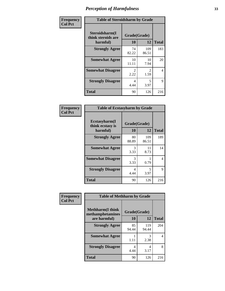| Frequency      | <b>Table of Steroidsharm by Grade</b>            |                        |                        |                |
|----------------|--------------------------------------------------|------------------------|------------------------|----------------|
| <b>Col Pct</b> | Steroidsharm(I<br>think steroids are<br>harmful) | Grade(Grade)<br>10     | 12                     | <b>Total</b>   |
|                | <b>Strongly Agree</b>                            | 74<br>82.22            | 109<br>86.51           | 183            |
|                | <b>Somewhat Agree</b>                            | 10<br>11.11            | 10<br>7.94             | 20             |
|                | <b>Somewhat Disagree</b>                         | $\mathfrak{D}$<br>2.22 | $\mathfrak{D}$<br>1.59 | $\overline{4}$ |
|                | <b>Strongly Disagree</b>                         | 4<br>4.44              | 5<br>3.97              | 9              |
|                | <b>Total</b>                                     | 90                     | 126                    | 216            |

| <b>Table of Ecstasyharm by Grade</b>          |                    |              |     |  |  |
|-----------------------------------------------|--------------------|--------------|-----|--|--|
| Ecstasyharm(I<br>think ecstasy is<br>harmful) | Grade(Grade)<br>10 | <b>Total</b> |     |  |  |
| <b>Strongly Agree</b>                         | 80<br>88.89        | 109<br>86.51 | 189 |  |  |
| <b>Somewhat Agree</b>                         | 3<br>3.33          | 11<br>8.73   | 14  |  |  |
| <b>Somewhat Disagree</b>                      | 3<br>3.33          | 0.79         | 4   |  |  |
| <b>Strongly Disagree</b>                      | 4<br>4.44          | 5<br>3.97    | 9   |  |  |
| <b>Total</b>                                  | 90                 | 126          | 216 |  |  |

| Frequency      | <b>Table of Methharm by Grade</b>            |              |              |              |  |
|----------------|----------------------------------------------|--------------|--------------|--------------|--|
| <b>Col Pct</b> | <b>Methharm</b> (I think<br>methamphetamines | Grade(Grade) |              |              |  |
|                | are harmful)                                 | 10           | 12           | <b>Total</b> |  |
|                | <b>Strongly Agree</b>                        | 85<br>94.44  | 119<br>94.44 | 204          |  |
|                | <b>Somewhat Agree</b>                        | 1.11         | 3<br>2.38    | 4            |  |
|                | <b>Strongly Disagree</b>                     | 4<br>4.44    | 4<br>3.17    | 8            |  |
|                | <b>Total</b>                                 | 90           | 126          | 216          |  |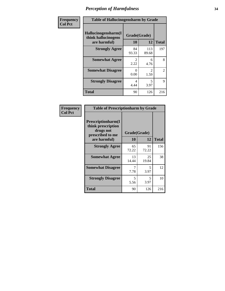| Frequency      | <b>Table of Hallucinogensharm by Grade</b>                 |                       |                        |                |
|----------------|------------------------------------------------------------|-----------------------|------------------------|----------------|
| <b>Col Pct</b> | Hallucinogensharm(I<br>think hallucinogens<br>are harmful) | Grade(Grade)<br>10    | 12                     | <b>Total</b>   |
|                | <b>Strongly Agree</b>                                      | 84<br>93.33           | 113<br>89.68           | 197            |
|                | <b>Somewhat Agree</b>                                      | $\mathcal{L}$<br>2.22 | 6<br>4.76              | 8              |
|                | <b>Somewhat Disagree</b>                                   | 0<br>0.00             | $\mathfrak{D}$<br>1.59 | $\overline{2}$ |
|                | <b>Strongly Disagree</b>                                   | 4<br>4.44             | 5<br>3.97              | 9              |
|                | <b>Total</b>                                               | 90                    | 126                    | 216            |

| <b>Table of Prescriptionharm by Grade</b>                                         |              |             |              |  |
|-----------------------------------------------------------------------------------|--------------|-------------|--------------|--|
| <b>Prescriptionharm(I)</b><br>think prescription<br>drugs not<br>prescribed to me | Grade(Grade) |             |              |  |
| are harmful)                                                                      | 10           | 12          | <b>Total</b> |  |
| <b>Strongly Agree</b>                                                             | 65<br>72.22  | 91<br>72.22 | 156          |  |
| <b>Somewhat Agree</b>                                                             | 13<br>14.44  | 25<br>19.84 | 38           |  |
| <b>Somewhat Disagree</b>                                                          | 7.78         | 5<br>3.97   | 12           |  |
| <b>Strongly Disagree</b>                                                          | 5<br>5.56    | 5<br>3.97   | 10           |  |
| <b>Total</b>                                                                      | 90           | 126         | 216          |  |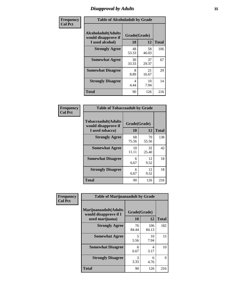# *Disapproval by Adults* **35**

| Frequency      | <b>Table of Alcoholadult by Grade</b>                                 |                    |             |              |
|----------------|-----------------------------------------------------------------------|--------------------|-------------|--------------|
| <b>Col Pct</b> | <b>Alcoholadult</b> (Adults<br>would disapprove if<br>I used alcohol) | Grade(Grade)<br>10 | 12          | <b>Total</b> |
|                | <b>Strongly Agree</b>                                                 | 48<br>53.33        | 58<br>46.03 | 106          |
|                | <b>Somewhat Agree</b>                                                 | 30<br>33.33        | 37<br>29.37 | 67           |
|                | <b>Somewhat Disagree</b>                                              | 8<br>8.89          | 21<br>16.67 | 29           |
|                | <b>Strongly Disagree</b>                                              | 4<br>4.44          | 10<br>7.94  | 14           |
|                | <b>Total</b>                                                          | 90                 | 126         | 216          |

| <b>Table of Tobaccoadult by Grade</b>                                 |                    |             |              |  |
|-----------------------------------------------------------------------|--------------------|-------------|--------------|--|
| <b>Tobaccoadult</b> (Adults<br>would disapprove if<br>I used tobacco) | Grade(Grade)<br>10 | 12          | <b>Total</b> |  |
| <b>Strongly Agree</b>                                                 | 68<br>75.56        | 70<br>55.56 | 138          |  |
| <b>Somewhat Agree</b>                                                 | 10<br>11.11        | 32<br>25.40 | 42           |  |
| <b>Somewhat Disagree</b>                                              | 6<br>6.67          | 12<br>9.52  | 18           |  |
| <b>Strongly Disagree</b>                                              | 6<br>6.67          | 12<br>9.52  | 18           |  |
| <b>Total</b>                                                          | 90                 | 126         | 216          |  |

| <b>Frequency</b> | <b>Table of Marijuanaadult by Grade</b>                           |                    |              |              |
|------------------|-------------------------------------------------------------------|--------------------|--------------|--------------|
| <b>Col Pct</b>   | Marijuanaadult(Adults<br>would disapprove if I<br>used marijuana) | Grade(Grade)<br>10 | 12           | <b>Total</b> |
|                  | <b>Strongly Agree</b>                                             | 76<br>84.44        | 106<br>84.13 | 182          |
|                  | <b>Somewhat Agree</b>                                             | 5<br>5.56          | 10<br>7.94   | 15           |
|                  | <b>Somewhat Disagree</b>                                          | 6<br>6.67          | 4<br>3.17    | 10           |
|                  | <b>Strongly Disagree</b>                                          | 3<br>3.33          | 6<br>4.76    | 9            |
|                  | <b>Total</b>                                                      | 90                 | 126          | 216          |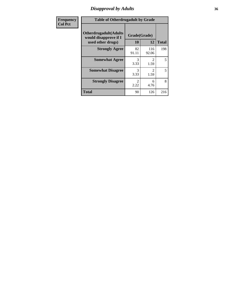# *Disapproval by Adults* **36**

| <b>Frequency</b> | <b>Table of Otherdrugadult by Grade</b>                                     |                        |                                     |              |
|------------------|-----------------------------------------------------------------------------|------------------------|-------------------------------------|--------------|
| <b>Col Pct</b>   | <b>Otherdrugadult</b> (Adults<br>would disapprove if I<br>used other drugs) | Grade(Grade)<br>10     | 12                                  | <b>Total</b> |
|                  | <b>Strongly Agree</b>                                                       | 82<br>91.11            | 116<br>92.06                        | 198          |
|                  | <b>Somewhat Agree</b>                                                       | 3<br>3.33              | $\mathcal{D}_{\mathcal{L}}$<br>1.59 | 5            |
|                  | <b>Somewhat Disagree</b>                                                    | 3<br>3.33              | $\mathcal{D}_{\mathcal{L}}$<br>1.59 | 5            |
|                  | <b>Strongly Disagree</b>                                                    | $\mathfrak{D}$<br>2.22 | 6<br>4.76                           | 8            |
|                  | <b>Total</b>                                                                | 90                     | 126                                 | 216          |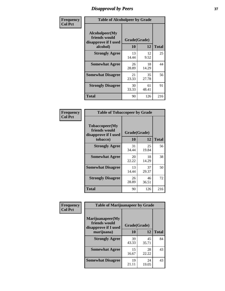# *Disapproval by Peers* **37**

| Frequency      | <b>Table of Alcoholpeer by Grade</b>                    |              |             |              |  |
|----------------|---------------------------------------------------------|--------------|-------------|--------------|--|
| <b>Col Pct</b> | Alcoholpeer(My<br>friends would<br>disapprove if I used | Grade(Grade) |             |              |  |
|                | alcohol)                                                | 10           | 12          | <b>Total</b> |  |
|                | <b>Strongly Agree</b>                                   | 13<br>14.44  | 12<br>9.52  | 25           |  |
|                | <b>Somewhat Agree</b>                                   | 26<br>28.89  | 18<br>14.29 | 44           |  |
|                | <b>Somewhat Disagree</b>                                | 21<br>23.33  | 35<br>27.78 | 56           |  |
|                | <b>Strongly Disagree</b>                                | 30<br>33.33  | 61<br>48.41 | 91           |  |
|                | Total                                                   | 90           | 126         | 216          |  |

| Frequency      | <b>Table of Tobaccopeer by Grade</b>                    |              |             |              |
|----------------|---------------------------------------------------------|--------------|-------------|--------------|
| <b>Col Pct</b> | Tobaccopeer(My<br>friends would<br>disapprove if I used | Grade(Grade) |             |              |
|                | tobacco)                                                | 10           | 12          | <b>Total</b> |
|                | <b>Strongly Agree</b>                                   | 31<br>34.44  | 25<br>19.84 | 56           |
|                | <b>Somewhat Agree</b>                                   | 20<br>22.22  | 18<br>14.29 | 38           |
|                | <b>Somewhat Disagree</b>                                | 13<br>14.44  | 37<br>29.37 | 50           |
|                | <b>Strongly Disagree</b>                                | 26<br>28.89  | 46<br>36.51 | 72           |
|                | <b>Total</b>                                            | 90           | 126         | 216          |

| Frequency      | <b>Table of Marijuanapeer by Grade</b>                    |              |             |              |
|----------------|-----------------------------------------------------------|--------------|-------------|--------------|
| <b>Col Pct</b> | Marijuanapeer(My<br>friends would<br>disapprove if I used | Grade(Grade) |             |              |
|                | marijuana)                                                | 10           | 12          | <b>Total</b> |
|                | <b>Strongly Agree</b>                                     | 39<br>43.33  | 45<br>35.71 | 84           |
|                | <b>Somewhat Agree</b>                                     | 15<br>16.67  | 28<br>22.22 | 43           |
|                | <b>Somewhat Disagree</b>                                  | 19<br>21.11  | 24<br>19.05 | 43           |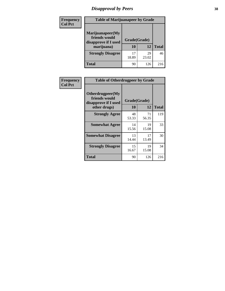# *Disapproval by Peers* **38**

| Frequency<br><b>Col Pct</b> | <b>Table of Marijuanapeer by Grade</b>                                  |                    |             |              |
|-----------------------------|-------------------------------------------------------------------------|--------------------|-------------|--------------|
|                             | Marijuanapeer(My<br>friends would<br>disapprove if I used<br>marijuana) | Grade(Grade)<br>10 | 12          | <b>Total</b> |
|                             | <b>Strongly Disagree</b>                                                | 17<br>18.89        | 29<br>23.02 | 46           |
|                             | Total                                                                   | 90                 | 126         | 216          |

| Frequency      | <b>Table of Otherdrugpeer by Grade</b>                                    |                    |             |              |
|----------------|---------------------------------------------------------------------------|--------------------|-------------|--------------|
| <b>Col Pct</b> | Otherdrugpeer(My<br>friends would<br>disapprove if I used<br>other drugs) | Grade(Grade)<br>10 | 12          | <b>Total</b> |
|                | <b>Strongly Agree</b>                                                     | 48<br>53.33        | 71<br>56.35 | 119          |
|                | <b>Somewhat Agree</b>                                                     | 14<br>15.56        | 19<br>15.08 | 33           |
|                | <b>Somewhat Disagree</b>                                                  | 13<br>14.44        | 17<br>13.49 | 30           |
|                | <b>Strongly Disagree</b>                                                  | 15<br>16.67        | 19<br>15.08 | 34           |
|                | <b>Total</b>                                                              | 90                 | 126         | 216          |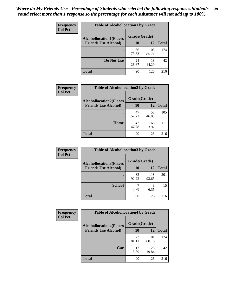| Frequency      | <b>Table of Alcohollocation1 by Grade</b> |              |              |              |
|----------------|-------------------------------------------|--------------|--------------|--------------|
| <b>Col Pct</b> | <b>Alcohollocation1(Places</b>            | Grade(Grade) |              |              |
|                | <b>Friends Use Alcohol)</b>               | 10           | 12           | <b>Total</b> |
|                |                                           | 66<br>73.33  | 108<br>85.71 | 174          |
|                | Do Not Use                                | 24<br>26.67  | 18<br>14.29  | 42           |
|                | <b>Total</b>                              | 90           | 126          | 216          |

| Frequency      | <b>Table of Alcohollocation2 by Grade</b>                     |                    |             |              |
|----------------|---------------------------------------------------------------|--------------------|-------------|--------------|
| <b>Col Pct</b> | <b>Alcohollocation2(Places</b><br><b>Friends Use Alcohol)</b> | Grade(Grade)<br>10 | 12          | <b>Total</b> |
|                |                                                               |                    |             |              |
|                |                                                               | 47<br>52.22        | 58<br>46.03 | 105          |
|                | Home                                                          | 43<br>47.78        | 68<br>53.97 | 111          |
|                | <b>Total</b>                                                  | 90                 | 126         | 216          |

| <b>Frequency</b> | <b>Table of Alcohollocation 3 by Grade</b> |              |              |              |
|------------------|--------------------------------------------|--------------|--------------|--------------|
| <b>Col Pct</b>   | <b>Alcohollocation3(Places</b>             | Grade(Grade) |              |              |
|                  | <b>Friends Use Alcohol)</b>                | <b>10</b>    | 12           | <b>Total</b> |
|                  |                                            | 83<br>92.22  | 118<br>93.65 | 201          |
|                  | <b>School</b>                              | 7.78         | 8<br>6.35    | 15           |
|                  | <b>Total</b>                               | 90           | 126          | 216          |

| <b>Frequency</b> | <b>Table of Alcohollocation4 by Grade</b> |              |              |              |
|------------------|-------------------------------------------|--------------|--------------|--------------|
| <b>Col Pct</b>   | <b>Alcohollocation4(Places</b>            | Grade(Grade) |              |              |
|                  | <b>Friends Use Alcohol)</b>               | 10           | 12           | <b>Total</b> |
|                  |                                           | 73<br>81.11  | 101<br>80.16 | 174          |
|                  | Car                                       | 17<br>18.89  | 25<br>19.84  | 42           |
|                  | <b>Total</b>                              | 90           | 126          | 216          |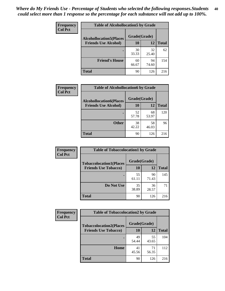| Frequency<br><b>Col Pct</b> | <b>Table of Alcohollocation5 by Grade</b> |              |             |              |
|-----------------------------|-------------------------------------------|--------------|-------------|--------------|
|                             | <b>Alcohollocation5(Places</b>            | Grade(Grade) |             |              |
|                             | <b>Friends Use Alcohol)</b>               | 10           | 12          | <b>Total</b> |
|                             |                                           | 30<br>33.33  | 32<br>25.40 | 62           |
|                             | <b>Friend's House</b>                     | 60<br>66.67  | 94<br>74.60 | 154          |
|                             | <b>Total</b>                              | 90           | 126         | 216          |

| <b>Frequency</b> | <b>Table of Alcohollocation6 by Grade</b> |              |             |              |
|------------------|-------------------------------------------|--------------|-------------|--------------|
| <b>Col Pct</b>   | <b>Alcohollocation6(Places</b>            | Grade(Grade) |             |              |
|                  | <b>Friends Use Alcohol)</b>               | 10           | 12          | <b>Total</b> |
|                  |                                           | 52<br>57.78  | 68<br>53.97 | 120          |
|                  | <b>Other</b>                              | 38<br>42.22  | 58<br>46.03 | 96           |
|                  | <b>Total</b>                              | 90           | 126         | 216          |

| <b>Frequency</b> | <b>Table of Tobaccolocation1 by Grade</b> |              |             |              |
|------------------|-------------------------------------------|--------------|-------------|--------------|
| <b>Col Pct</b>   | <b>Tobaccolocation1(Places</b>            | Grade(Grade) |             |              |
|                  | <b>Friends Use Tobacco)</b>               | 10           | 12          | <b>Total</b> |
|                  |                                           | 55<br>61.11  | 90<br>71.43 | 145          |
|                  | Do Not Use                                | 35<br>38.89  | 36<br>28.57 | 71           |
|                  | <b>Total</b>                              | 90           | 126         | 216          |

| <b>Frequency</b> | <b>Table of Tobaccolocation2 by Grade</b> |              |             |              |  |
|------------------|-------------------------------------------|--------------|-------------|--------------|--|
| <b>Col Pct</b>   | <b>Tobaccolocation2(Places</b>            | Grade(Grade) |             |              |  |
|                  | <b>Friends Use Tobacco)</b>               | 10           | 12          | <b>Total</b> |  |
|                  |                                           | 49<br>54.44  | 55<br>43.65 | 104          |  |
|                  | Home                                      | 41<br>45.56  | 71<br>56.35 | 112          |  |
|                  | <b>Total</b>                              | 90           | 126         | 216          |  |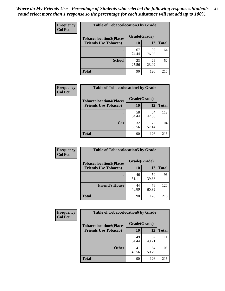| Frequency      | <b>Table of Tobaccolocation 3 by Grade</b> |              |             |              |  |
|----------------|--------------------------------------------|--------------|-------------|--------------|--|
| <b>Col Pct</b> | <b>Tobaccolocation3(Places</b>             | Grade(Grade) |             |              |  |
|                | <b>Friends Use Tobacco)</b>                | 10           | <b>12</b>   | <b>Total</b> |  |
|                | ٠                                          | 67<br>74.44  | 97<br>76.98 | 164          |  |
|                | <b>School</b>                              | 23<br>25.56  | 29<br>23.02 | 52           |  |
|                | <b>Total</b>                               | 90           | 126         | 216          |  |

| Frequency      | <b>Table of Tobaccolocation4 by Grade</b>                     |                           |             |              |
|----------------|---------------------------------------------------------------|---------------------------|-------------|--------------|
| <b>Col Pct</b> | <b>Tobaccolocation4(Places</b><br><b>Friends Use Tobacco)</b> | Grade(Grade)<br><b>10</b> | 12          | <b>Total</b> |
|                |                                                               | 58<br>64.44               | 54<br>42.86 | 112          |
|                | Car                                                           | 32<br>35.56               | 72<br>57.14 | 104          |
|                | <b>Total</b>                                                  | 90                        | 126         | 216          |

| Frequency      | <b>Table of Tobaccolocation5 by Grade</b> |              |             |              |
|----------------|-------------------------------------------|--------------|-------------|--------------|
| <b>Col Pct</b> | <b>Tobaccolocation5(Places</b>            | Grade(Grade) |             |              |
|                | <b>Friends Use Tobacco)</b>               | 10           | <b>12</b>   | <b>Total</b> |
|                |                                           | 46<br>51.11  | 50<br>39.68 | 96           |
|                | <b>Friend's House</b>                     | 44<br>48.89  | 76<br>60.32 | 120          |
|                | <b>Total</b>                              | 90           | 126         | 216          |

| <b>Frequency</b> | <b>Table of Tobaccolocation6 by Grade</b> |              |             |              |  |
|------------------|-------------------------------------------|--------------|-------------|--------------|--|
| <b>Col Pct</b>   | <b>Tobaccolocation6(Places</b>            | Grade(Grade) |             |              |  |
|                  | <b>Friends Use Tobacco)</b>               | 10           | 12          | <b>Total</b> |  |
|                  |                                           | 49<br>54.44  | 62<br>49.21 | 111          |  |
|                  | <b>Other</b>                              | 41<br>45.56  | 64<br>50.79 | 105          |  |
|                  | <b>Total</b>                              | 90           | 126         | 216          |  |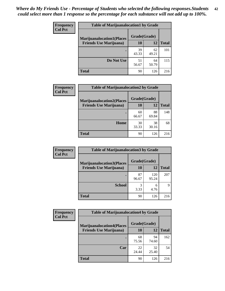| <b>Frequency</b> | <b>Table of Marijuanalocation1 by Grade</b> |              |             |              |
|------------------|---------------------------------------------|--------------|-------------|--------------|
| <b>Col Pct</b>   | <b>Marijuanalocation1(Places</b>            | Grade(Grade) |             |              |
|                  | <b>Friends Use Marijuana</b> )              | 10           | 12          | <b>Total</b> |
|                  |                                             | 39<br>43.33  | 62<br>49.21 | 101          |
|                  | Do Not Use                                  | 51<br>56.67  | 64<br>50.79 | 115          |
|                  | Total                                       | 90           | 126         | 216          |

| <b>Frequency</b> | <b>Table of Marijuanalocation2 by Grade</b> |              |             |              |
|------------------|---------------------------------------------|--------------|-------------|--------------|
| <b>Col Pct</b>   | <b>Marijuanalocation2(Places</b>            | Grade(Grade) |             |              |
|                  | <b>Friends Use Marijuana</b> )              | 10           | 12          | <b>Total</b> |
|                  |                                             | 60<br>66.67  | 88<br>69.84 | 148          |
|                  | Home                                        | 30<br>33.33  | 38<br>30.16 | 68           |
|                  | <b>Total</b>                                | 90           | 126         | 216          |

| Frequency<br><b>Col Pct</b> | <b>Table of Marijuanalocation3 by Grade</b> |              |              |       |
|-----------------------------|---------------------------------------------|--------------|--------------|-------|
|                             | <b>Marijuanalocation3</b> (Places           | Grade(Grade) |              |       |
|                             | <b>Friends Use Marijuana</b> )              | 10           | 12           | Total |
|                             |                                             | 87<br>96.67  | 120<br>95.24 | 207   |
|                             | <b>School</b>                               | 3<br>3.33    | 6<br>4.76    | Q     |
|                             | <b>Total</b>                                | 90           | 126          | 216   |

| Frequency      | <b>Table of Marijuanalocation4 by Grade</b> |              |             |              |
|----------------|---------------------------------------------|--------------|-------------|--------------|
| <b>Col Pct</b> | <b>Marijuanalocation4(Places</b>            | Grade(Grade) |             |              |
|                | <b>Friends Use Marijuana</b> )              | 10           | 12          | <b>Total</b> |
|                |                                             | 68<br>75.56  | 94<br>74.60 | 162          |
|                | Car                                         | 22<br>24.44  | 32<br>25.40 | 54           |
|                | <b>Total</b>                                | 90           | 126         | 216          |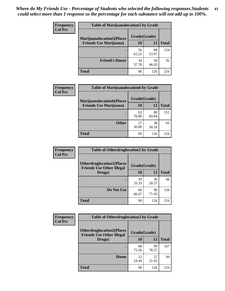| <b>Frequency</b> | <b>Table of Marijuanalocation5 by Grade</b> |              |             |              |
|------------------|---------------------------------------------|--------------|-------------|--------------|
| <b>Col Pct</b>   | <b>Marijuanalocation5</b> (Places           | Grade(Grade) |             |              |
|                  | <b>Friends Use Marijuana</b> )              | 10           | 12          | <b>Total</b> |
|                  |                                             | 56<br>62.22  | 68<br>53.97 | 124          |
|                  | <b>Friend's House</b>                       | 34<br>37.78  | 58<br>46.03 | 92           |
|                  | <b>Total</b>                                | 90           | 126         | 216          |

| <b>Frequency</b> | <b>Table of Marijuanalocation6 by Grade</b>                        |                    |             |              |
|------------------|--------------------------------------------------------------------|--------------------|-------------|--------------|
| <b>Col Pct</b>   | <b>Marijuanalocation6(Places</b><br><b>Friends Use Marijuana</b> ) | Grade(Grade)<br>10 | 12          | <b>Total</b> |
|                  |                                                                    | 63<br>70.00        | 88<br>69.84 | 151          |
|                  | <b>Other</b>                                                       | 27<br>30.00        | 38<br>30.16 | 65           |
|                  | <b>Total</b>                                                       | 90                 | 126         | 216          |

| <b>Frequency</b> | <b>Table of Otherdruglocation1 by Grade</b>                          |              |             |              |
|------------------|----------------------------------------------------------------------|--------------|-------------|--------------|
| <b>Col Pct</b>   | <b>Otherdruglocation1(Places</b><br><b>Friends Use Other Illegal</b> | Grade(Grade) |             |              |
|                  | Drugs)                                                               | 10           | 12          | <b>Total</b> |
|                  |                                                                      | 30<br>33.33  | 36<br>28.57 | 66           |
|                  | Do Not Use                                                           | 60<br>66.67  | 90<br>71.43 | 150          |
|                  | <b>Total</b>                                                         | 90           | 126         | 216          |

| <b>Frequency</b>                                                                       | <b>Table of Otherdruglocation2 by Grade</b> |              |             |              |
|----------------------------------------------------------------------------------------|---------------------------------------------|--------------|-------------|--------------|
| <b>Col Pct</b><br><b>Otherdruglocation2(Places</b><br><b>Friends Use Other Illegal</b> |                                             | Grade(Grade) |             |              |
|                                                                                        | Drugs)                                      | <b>10</b>    | 12          | <b>Total</b> |
|                                                                                        |                                             | 68<br>75.56  | 99<br>78.57 | 167          |
|                                                                                        | Home                                        | 22<br>24.44  | 27<br>21.43 | 49           |
|                                                                                        | <b>Total</b>                                | 90           | 126         | 216          |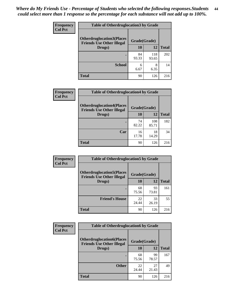| <b>Frequency</b> | <b>Table of Otherdruglocation 3 by Grade</b>                         |              |              |              |
|------------------|----------------------------------------------------------------------|--------------|--------------|--------------|
| <b>Col Pct</b>   | <b>Otherdruglocation3(Places</b><br><b>Friends Use Other Illegal</b> | Grade(Grade) |              |              |
|                  | Drugs)                                                               | 10           | 12           | <b>Total</b> |
|                  | ٠                                                                    | 84<br>93.33  | 118<br>93.65 | 202          |
|                  | <b>School</b>                                                        | 6<br>6.67    | 8<br>6.35    | 14           |
|                  | <b>Total</b>                                                         | 90           | 126          | 216          |

| Frequency      | <b>Table of Otherdruglocation4 by Grade</b>                          |              |              |              |  |
|----------------|----------------------------------------------------------------------|--------------|--------------|--------------|--|
| <b>Col Pct</b> | <b>Otherdruglocation4(Places</b><br><b>Friends Use Other Illegal</b> | Grade(Grade) |              |              |  |
|                | Drugs)                                                               | 10           | 12           | <b>Total</b> |  |
|                |                                                                      | 74<br>82.22  | 108<br>85.71 | 182          |  |
|                | Car                                                                  | 16<br>17.78  | 18<br>14.29  | 34           |  |
|                | <b>Total</b>                                                         | 90           | 126          | 216          |  |

| Frequency      | <b>Table of Otherdruglocation5 by Grade</b>                          |              |             |              |
|----------------|----------------------------------------------------------------------|--------------|-------------|--------------|
| <b>Col Pct</b> | <b>Otherdruglocation5(Places</b><br><b>Friends Use Other Illegal</b> | Grade(Grade) |             |              |
|                | Drugs)                                                               | 10           | 12          | <b>Total</b> |
|                |                                                                      | 68<br>75.56  | 93<br>73.81 | 161          |
|                | <b>Friend's House</b>                                                | 22<br>24.44  | 33<br>26.19 | 55           |
|                | <b>Total</b>                                                         | 90           | 126         | 216          |

| <b>Frequency</b> | <b>Table of Otherdruglocation6 by Grade</b>                          |              |             |              |
|------------------|----------------------------------------------------------------------|--------------|-------------|--------------|
| <b>Col Pct</b>   | <b>Otherdruglocation6(Places</b><br><b>Friends Use Other Illegal</b> | Grade(Grade) |             |              |
|                  | Drugs)                                                               | <b>10</b>    | 12          | <b>Total</b> |
|                  |                                                                      | 68<br>75.56  | 99<br>78.57 | 167          |
|                  | <b>Other</b>                                                         | 22<br>24.44  | 27<br>21.43 | 49           |
|                  | <b>Total</b>                                                         | 90           | 126         | 216          |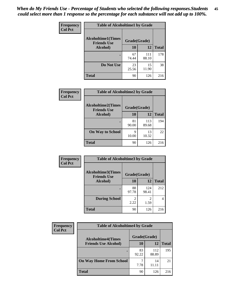| Frequency      | <b>Table of Alcoholtime1 by Grade</b>           |              |              |              |
|----------------|-------------------------------------------------|--------------|--------------|--------------|
| <b>Col Pct</b> | <b>Alcoholtime1(Times</b><br><b>Friends Use</b> | Grade(Grade) |              |              |
|                | Alcohol)                                        | 10           | 12           | <b>Total</b> |
|                |                                                 | 67<br>74.44  | 111<br>88.10 | 178          |
|                | Do Not Use                                      | 23<br>25.56  | 15<br>11.90  | 38           |
|                | <b>Total</b>                                    | 90           | 126          | 216          |

| Frequency<br><b>Col Pct</b> | <b>Table of Alcoholtime2 by Grade</b>           |              |              |              |
|-----------------------------|-------------------------------------------------|--------------|--------------|--------------|
|                             | <b>Alcoholtime2(Times</b><br><b>Friends Use</b> | Grade(Grade) |              |              |
|                             | Alcohol)                                        | 10           | 12           | <b>Total</b> |
|                             |                                                 | 81<br>90.00  | 113<br>89.68 | 194          |
|                             | <b>On Way to School</b>                         | q<br>10.00   | 13<br>10.32  | 22           |
|                             | <b>Total</b>                                    | 90           | 126          | 216          |

| Frequency<br><b>Col Pct</b> | <b>Table of Alcoholtime3 by Grade</b>           |              |              |              |
|-----------------------------|-------------------------------------------------|--------------|--------------|--------------|
|                             | <b>Alcoholtime3(Times</b><br><b>Friends Use</b> | Grade(Grade) |              |              |
|                             | <b>Alcohol</b> )                                | 10           | 12           | <b>Total</b> |
|                             |                                                 | 88<br>97.78  | 124<br>98.41 | 212          |
|                             | <b>During School</b>                            | 2<br>2.22    | 1.59         | 4            |
|                             | <b>Total</b>                                    | 90           | 126          | 216          |

| <b>Frequency</b> | <b>Table of Alcoholtime4 by Grade</b> |              |              |              |
|------------------|---------------------------------------|--------------|--------------|--------------|
| <b>Col Pct</b>   | <b>Alcoholtime4(Times</b>             | Grade(Grade) |              |              |
|                  | <b>Friends Use Alcohol)</b>           | 10           | 12           | <b>Total</b> |
|                  | ٠                                     | 83<br>92.22  | 112<br>88.89 | 195          |
|                  | <b>On Way Home From School</b>        | 7.78         | 14<br>11.11  | 21           |
|                  | <b>Total</b>                          | 90           | 126          | 216          |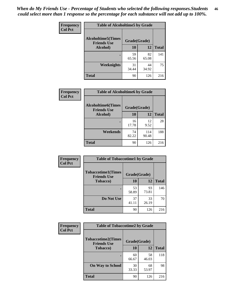*When do My Friends Use - Percentage of Students who selected the following responses.Students could select more than 1 response so the percentage for each substance will not add up to 100%.* **46**

| <b>Frequency</b> | <b>Table of Alcoholtime5 by Grade</b>            |              |             |              |
|------------------|--------------------------------------------------|--------------|-------------|--------------|
| <b>Col Pct</b>   | <b>Alcoholtime5</b> (Times<br><b>Friends Use</b> | Grade(Grade) |             |              |
|                  | Alcohol)                                         | 10           | <b>12</b>   | <b>Total</b> |
|                  |                                                  | 59<br>65.56  | 82<br>65.08 | 141          |
|                  | Weeknights                                       | 31<br>34.44  | 44<br>34.92 | 75           |
|                  | <b>Total</b>                                     | 90           | 126         | 216          |

| Frequency      | <b>Table of Alcoholtime6 by Grade</b>           |              |              |              |
|----------------|-------------------------------------------------|--------------|--------------|--------------|
| <b>Col Pct</b> | <b>Alcoholtime6(Times</b><br><b>Friends Use</b> | Grade(Grade) |              |              |
|                | Alcohol)                                        | 10           | 12           | <b>Total</b> |
|                |                                                 | 16<br>17.78  | 12<br>9.52   | 28           |
|                | Weekends                                        | 74<br>82.22  | 114<br>90.48 | 188          |
|                | <b>Total</b>                                    | 90           | 126          | 216          |

| <b>Frequency</b> | <b>Table of Tobaccotime1 by Grade</b>           |              |             |              |
|------------------|-------------------------------------------------|--------------|-------------|--------------|
| <b>Col Pct</b>   | <b>Tobaccotime1(Times</b><br><b>Friends Use</b> | Grade(Grade) |             |              |
|                  | <b>Tobacco</b> )                                | 10           | 12          | <b>Total</b> |
|                  | ٠                                               | 53<br>58.89  | 93<br>73.81 | 146          |
|                  | Do Not Use                                      | 37<br>41.11  | 33<br>26.19 | 70           |
|                  | <b>Total</b>                                    | 90           | 126         | 216          |

| Frequency      | <b>Table of Tobaccotime2 by Grade</b>           |              |             |              |
|----------------|-------------------------------------------------|--------------|-------------|--------------|
| <b>Col Pct</b> | <b>Tobaccotime2(Times</b><br><b>Friends Use</b> | Grade(Grade) |             |              |
|                | <b>Tobacco</b> )                                | 10           | 12          | <b>Total</b> |
|                |                                                 | 60<br>66.67  | 58<br>46.03 | 118          |
|                | <b>On Way to School</b>                         | 30<br>33.33  | 68<br>53.97 | 98           |
|                | <b>Total</b>                                    | 90           | 126         | 216          |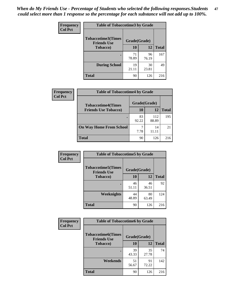*When do My Friends Use - Percentage of Students who selected the following responses.Students could select more than 1 response so the percentage for each substance will not add up to 100%.* **47**

| <b>Frequency</b> | <b>Table of Tobaccotime3 by Grade</b>           |              |             |              |  |
|------------------|-------------------------------------------------|--------------|-------------|--------------|--|
| <b>Col Pct</b>   | <b>Tobaccotime3(Times</b><br><b>Friends Use</b> | Grade(Grade) |             |              |  |
|                  | <b>Tobacco</b> )                                | 10           | 12          | <b>Total</b> |  |
|                  |                                                 | 71<br>78.89  | 96<br>76.19 | 167          |  |
|                  | <b>During School</b>                            | 19<br>21.11  | 30<br>23.81 | 49           |  |
|                  | <b>Total</b>                                    | 90           | 126         | 216          |  |

| <b>Frequency</b><br><b>Col Pct</b> | <b>Table of Tobaccotime4 by Grade</b> |              |              |              |
|------------------------------------|---------------------------------------|--------------|--------------|--------------|
|                                    | <b>Tobaccotime4(Times</b>             | Grade(Grade) |              |              |
|                                    | <b>Friends Use Tobacco)</b>           | 10           | 12           | <b>Total</b> |
|                                    |                                       | 83<br>92.22  | 112<br>88.89 | 195          |
|                                    | <b>On Way Home From School</b>        | 7.78         | 14<br>11.11  | 21           |
|                                    | Total                                 | 90           | 126          | 216          |

| <b>Frequency</b> | <b>Table of Tobaccotime5 by Grade</b>           |              |             |              |
|------------------|-------------------------------------------------|--------------|-------------|--------------|
| <b>Col Pct</b>   | <b>Tobaccotime5(Times</b><br><b>Friends Use</b> | Grade(Grade) |             |              |
|                  | <b>Tobacco</b> )                                | 10           | 12          | <b>Total</b> |
|                  |                                                 | 46<br>51.11  | 46<br>36.51 | 92           |
|                  | Weeknights                                      | 44<br>48.89  | 80<br>63.49 | 124          |
|                  | <b>Total</b>                                    | 90           | 126         | 216          |

| <b>Frequency</b> | <b>Table of Tobaccotime6 by Grade</b>           |              |             |              |
|------------------|-------------------------------------------------|--------------|-------------|--------------|
| <b>Col Pct</b>   | <b>Tobaccotime6(Times</b><br><b>Friends Use</b> | Grade(Grade) |             |              |
|                  | <b>Tobacco</b> )                                | 10           | 12          | <b>Total</b> |
|                  | ٠                                               | 39<br>43.33  | 35<br>27.78 | 74           |
|                  | Weekends                                        | 51<br>56.67  | 91<br>72.22 | 142          |
|                  | <b>Total</b>                                    | 90           | 126         | 216          |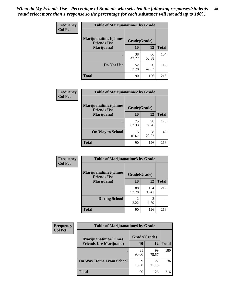| Frequency      | <b>Table of Marijuanatime1 by Grade</b>           |              |             |              |
|----------------|---------------------------------------------------|--------------|-------------|--------------|
| <b>Col Pct</b> | <b>Marijuanatime1(Times</b><br><b>Friends Use</b> | Grade(Grade) |             |              |
|                | Marijuana)                                        | 10           | 12          | <b>Total</b> |
|                |                                                   | 38<br>42.22  | 66<br>52.38 | 104          |
|                | Do Not Use                                        | 52<br>57.78  | 60<br>47.62 | 112          |
|                | <b>Total</b>                                      | 90           | 126         | 216          |

| Frequency      | <b>Table of Marijuanatime2 by Grade</b>           |              |             |              |
|----------------|---------------------------------------------------|--------------|-------------|--------------|
| <b>Col Pct</b> | <b>Marijuanatime2(Times</b><br><b>Friends Use</b> | Grade(Grade) |             |              |
|                | Marijuana)                                        | 10           | 12          | <b>Total</b> |
|                |                                                   | 75<br>83.33  | 98<br>77.78 | 173          |
|                | <b>On Way to School</b>                           | 15<br>16.67  | 28<br>22.22 | 43           |
|                | <b>Total</b>                                      | 90           | 126         | 216          |

| <b>Frequency</b> | <b>Table of Marijuanatime3 by Grade</b>    |                        |                        |              |
|------------------|--------------------------------------------|------------------------|------------------------|--------------|
| <b>Col Pct</b>   | Marijuanatime3(Times<br><b>Friends Use</b> | Grade(Grade)           |                        |              |
|                  | Marijuana)                                 | 10                     | 12                     | <b>Total</b> |
|                  |                                            | 88<br>97.78            | 124<br>98.41           | 212          |
|                  | <b>During School</b>                       | $\mathfrak{D}$<br>2.22 | $\mathfrak{D}$<br>1.59 | 4            |
|                  | <b>Total</b>                               | 90                     | 126                    | 216          |

| <b>Frequency</b> | <b>Table of Marijuanatime4 by Grade</b> |              |             |              |
|------------------|-----------------------------------------|--------------|-------------|--------------|
| <b>Col Pct</b>   | <b>Marijuanatime4</b> (Times            | Grade(Grade) |             |              |
|                  | <b>Friends Use Marijuana</b> )          | 10           | 12          | <b>Total</b> |
|                  |                                         | 81<br>90.00  | 99<br>78.57 | 180          |
|                  | <b>On Way Home From School</b>          | 9<br>10.00   | 27<br>21.43 | 36           |
|                  | <b>Total</b>                            | 90           | 126         | 216          |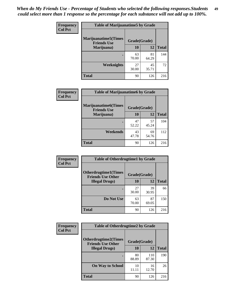| Frequency      | <b>Table of Marijuanatime5 by Grade</b>            |              |             |              |
|----------------|----------------------------------------------------|--------------|-------------|--------------|
| <b>Col Pct</b> | <b>Marijuanatime5</b> (Times<br><b>Friends Use</b> | Grade(Grade) |             |              |
|                | Marijuana)                                         | 10           | <b>12</b>   | <b>Total</b> |
|                |                                                    | 63<br>70.00  | 81<br>64.29 | 144          |
|                | Weeknights                                         | 27<br>30.00  | 45<br>35.71 | 72           |
|                | <b>Total</b>                                       | 90           | 126         | 216          |

| Frequency      | <b>Table of Marijuanatime6 by Grade</b>    |              |             |              |
|----------------|--------------------------------------------|--------------|-------------|--------------|
| <b>Col Pct</b> | Marijuanatime6(Times<br><b>Friends Use</b> | Grade(Grade) |             |              |
|                | Marijuana)                                 | 10           | 12          | <b>Total</b> |
|                |                                            | 47<br>52.22  | 57<br>45.24 | 104          |
|                | Weekends                                   | 43<br>47.78  | 69<br>54.76 | 112          |
|                | <b>Total</b>                               | 90           | 126         | 216          |

| <b>Frequency</b> | <b>Table of Otherdrugtime1 by Grade</b>                 |              |             |              |
|------------------|---------------------------------------------------------|--------------|-------------|--------------|
| <b>Col Pct</b>   | <b>Otherdrugtime1(Times</b><br><b>Friends Use Other</b> | Grade(Grade) |             |              |
|                  | <b>Illegal Drugs</b> )                                  | 10           | 12          | <b>Total</b> |
|                  |                                                         | 27<br>30.00  | 39<br>30.95 | 66           |
|                  | Do Not Use                                              | 63<br>70.00  | 87<br>69.05 | 150          |
|                  | <b>Total</b>                                            | 90           | 126         | 216          |

| <b>Frequency</b> | <b>Table of Otherdrugtime2 by Grade</b>                 |              |              |              |  |  |  |
|------------------|---------------------------------------------------------|--------------|--------------|--------------|--|--|--|
| <b>Col Pct</b>   | <b>Otherdrugtime2(Times</b><br><b>Friends Use Other</b> | Grade(Grade) |              |              |  |  |  |
|                  | <b>Illegal Drugs</b> )                                  | 10           | 12           | <b>Total</b> |  |  |  |
|                  |                                                         | 80<br>88.89  | 110<br>87.30 | 190          |  |  |  |
|                  | <b>On Way to School</b>                                 | 10<br>11.11  | 16<br>12.70  | 26           |  |  |  |
|                  | <b>Total</b>                                            | 90           | 126          | 216          |  |  |  |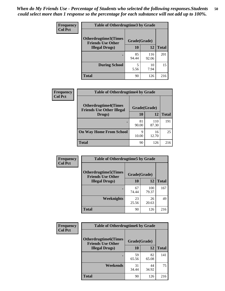| <b>Frequency</b> | <b>Table of Otherdrugtime3 by Grade</b>          |              |              |              |  |  |
|------------------|--------------------------------------------------|--------------|--------------|--------------|--|--|
| <b>Col Pct</b>   | Otherdrugtime3(Times<br><b>Friends Use Other</b> | Grade(Grade) |              |              |  |  |
|                  | <b>Illegal Drugs</b> )                           | 10           | 12           | <b>Total</b> |  |  |
|                  |                                                  | 85<br>94.44  | 116<br>92.06 | 201          |  |  |
|                  | <b>During School</b>                             | 5<br>5.56    | 10<br>7.94   | 15           |  |  |
|                  | <b>Total</b>                                     | 90           | 126          | 216          |  |  |

| Frequency      | <b>Table of Otherdrugtime4 by Grade</b>                         |              |              |              |  |  |
|----------------|-----------------------------------------------------------------|--------------|--------------|--------------|--|--|
| <b>Col Pct</b> | <b>Otherdrugtime4(Times</b><br><b>Friends Use Other Illegal</b> | Grade(Grade) |              |              |  |  |
|                | Drugs)                                                          | 10           | 12           | <b>Total</b> |  |  |
|                | ٠                                                               | 81<br>90.00  | 110<br>87.30 | 191          |  |  |
|                | <b>On Way Home From School</b>                                  | 9<br>10.00   | 16<br>12.70  | 25           |  |  |
|                | <b>Total</b>                                                    | 90           | 126          | 216          |  |  |

| <b>Frequency</b> | <b>Table of Otherdrugtime5 by Grade</b>                  |              |              |              |  |  |  |
|------------------|----------------------------------------------------------|--------------|--------------|--------------|--|--|--|
| <b>Col Pct</b>   | <b>Otherdrugtime5</b> (Times<br><b>Friends Use Other</b> | Grade(Grade) |              |              |  |  |  |
|                  | <b>Illegal Drugs</b> )                                   | 10           | 12           | <b>Total</b> |  |  |  |
|                  |                                                          | 67<br>74.44  | 100<br>79.37 | 167          |  |  |  |
|                  | Weeknights                                               | 23<br>25.56  | 26<br>20.63  | 49           |  |  |  |
|                  | Total                                                    | 90           | 126          | 216          |  |  |  |

| Frequency      | <b>Table of Otherdrugtime6 by Grade</b>                 |              |             |              |  |  |
|----------------|---------------------------------------------------------|--------------|-------------|--------------|--|--|
| <b>Col Pct</b> | <b>Otherdrugtime6(Times</b><br><b>Friends Use Other</b> | Grade(Grade) |             |              |  |  |
|                | <b>Illegal Drugs</b> )                                  | 10           | 12          | <b>Total</b> |  |  |
|                |                                                         | 59<br>65.56  | 82<br>65.08 | 141          |  |  |
|                | Weekends                                                | 31<br>34.44  | 44<br>34.92 | 75           |  |  |
|                | Total                                                   | 90           | 126         | 216          |  |  |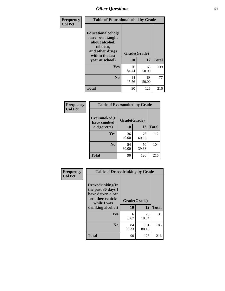| Frequency      | <b>Table of Educationalcohol by Grade</b>                                                                  |              |             |              |  |  |
|----------------|------------------------------------------------------------------------------------------------------------|--------------|-------------|--------------|--|--|
| <b>Col Pct</b> | Educationalcohol(I<br>have been taught<br>about alcohol,<br>tobacco,<br>and other drugs<br>within the last | Grade(Grade) |             |              |  |  |
|                | year at school)                                                                                            | 10           | 12          | <b>Total</b> |  |  |
|                | <b>Yes</b>                                                                                                 | 76<br>84.44  | 63<br>50.00 | 139          |  |  |
|                | N <sub>0</sub>                                                                                             | 14<br>15.56  | 63<br>50.00 | 77           |  |  |
|                | <b>Total</b>                                                                                               | 90           | 126         | 216          |  |  |

| Frequency      | <b>Table of Eversmoked by Grade</b> |              |             |              |  |  |  |
|----------------|-------------------------------------|--------------|-------------|--------------|--|--|--|
| <b>Col Pct</b> | Eversmoked(I<br>have smoked         | Grade(Grade) |             |              |  |  |  |
|                | a cigarette)                        | 10           | 12          | <b>Total</b> |  |  |  |
|                | Yes                                 | 36<br>40.00  | 76<br>60.32 | 112          |  |  |  |
|                | N <sub>0</sub>                      | 54<br>60.00  | 50<br>39.68 | 104          |  |  |  |
|                | <b>Total</b>                        | 90           | 126         | 216          |  |  |  |

| Frequency      | <b>Table of Drovedrinking by Grade</b>                                                                              |                    |              |              |  |  |
|----------------|---------------------------------------------------------------------------------------------------------------------|--------------------|--------------|--------------|--|--|
| <b>Col Pct</b> | Drovedrinking(In<br>the past 30 days I<br>have driven a car<br>or other vehicle<br>while I was<br>drinking alcohol) | Grade(Grade)<br>10 | 12           | <b>Total</b> |  |  |
|                | <b>Yes</b>                                                                                                          | 6<br>6.67          | 25<br>19.84  | 31           |  |  |
|                | N <sub>0</sub>                                                                                                      | 84<br>93.33        | 101<br>80.16 | 185          |  |  |
|                | <b>Total</b>                                                                                                        | 90                 | 126          | 216          |  |  |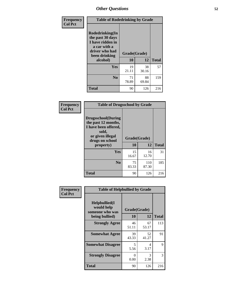| Frequency      | <b>Table of Rodedrinking by Grade</b>                                                                                  |                          |             |              |  |  |  |
|----------------|------------------------------------------------------------------------------------------------------------------------|--------------------------|-------------|--------------|--|--|--|
| <b>Col Pct</b> | Rodedrinking(In<br>the past 30 days<br>I have ridden in<br>a car with a<br>driver who had<br>been drinking<br>alcohol) | Grade(Grade)<br>10<br>12 |             | <b>Total</b> |  |  |  |
|                | <b>Yes</b>                                                                                                             | 19<br>21.11              | 38<br>30.16 | 57           |  |  |  |
|                | N <sub>0</sub>                                                                                                         | 71<br>78.89              | 88<br>69.84 | 159          |  |  |  |
|                | <b>Total</b>                                                                                                           | 90                       | 126         | 216          |  |  |  |

#### **Frequency Col Pct**

| <b>Table of Drugsschool by Grade</b>                                                                                      |              |              |              |  |  |  |  |
|---------------------------------------------------------------------------------------------------------------------------|--------------|--------------|--------------|--|--|--|--|
| <b>Drugsschool</b> (During<br>the past 12 months,<br>I have been offered,<br>sold,<br>or given illegal<br>drugs on school | Grade(Grade) |              |              |  |  |  |  |
| property)                                                                                                                 | 10           | 12           | <b>Total</b> |  |  |  |  |
| Yes                                                                                                                       | 15<br>16.67  | 16<br>12.70  | 31           |  |  |  |  |
| N <sub>0</sub>                                                                                                            | 75<br>83.33  | 110<br>87.30 | 185          |  |  |  |  |
| Total                                                                                                                     | 90           | 126          | 216          |  |  |  |  |

| Frequency      | <b>Table of Helpbullied by Grade</b>                                   |                                 |             |              |  |  |  |
|----------------|------------------------------------------------------------------------|---------------------------------|-------------|--------------|--|--|--|
| <b>Col Pct</b> | $Helpb$ ullied $(I$<br>would help<br>someone who was<br>being bullied) | Grade(Grade)<br><b>10</b><br>12 |             | <b>Total</b> |  |  |  |
|                | <b>Strongly Agree</b>                                                  | 46<br>51.11                     | 67<br>53.17 | 113          |  |  |  |
|                | <b>Somewhat Agree</b>                                                  | 39<br>43.33                     | 52<br>41.27 | 91           |  |  |  |
|                | <b>Somewhat Disagree</b>                                               | 5<br>5.56                       | 4<br>3.17   | 9            |  |  |  |
|                | <b>Strongly Disagree</b>                                               | 0<br>0.00                       | 3<br>2.38   | 3            |  |  |  |
|                | Total                                                                  | 90                              | 126         | 216          |  |  |  |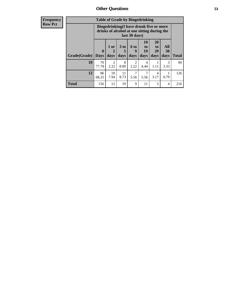| <b>Frequency</b><br><b>Row Pct</b> |                           | <b>Table of Grade by Bingedrinking</b><br>Bingedrinking(I have drunk five or more<br>drinks of alcohol at one sitting during the<br>last 30 days) |                   |                |                     |                                  |                        |                   |              |
|------------------------------------|---------------------------|---------------------------------------------------------------------------------------------------------------------------------------------------|-------------------|----------------|---------------------|----------------------------------|------------------------|-------------------|--------------|
|                                    | <b>Grade</b> (Grade) Days | $\mathbf{0}$                                                                                                                                      | 1 or<br>2<br>days | $3$ to<br>days | $6$ to<br>9<br>days | 10<br>$\mathbf{t}$<br>19<br>days | 20<br>to<br>29<br>days | All<br>30<br>days | <b>Total</b> |
|                                    | 10                        | 70<br>77.78                                                                                                                                       | 2<br>2.22         | 8<br>8.89      | 2<br>2.22           | 4<br>4.44                        | 1.11                   | 3<br>3.33         | 90           |
|                                    | 12                        | 86<br>68.25                                                                                                                                       | 10<br>7.94        | 11<br>8.73     | 7<br>5.56           | 5.56                             | 4<br>3.17              | 0.79              | 126          |
|                                    | <b>Total</b>              | 156                                                                                                                                               | 12                | 19             | 9                   | 11                               | 5                      | $\overline{4}$    | 216          |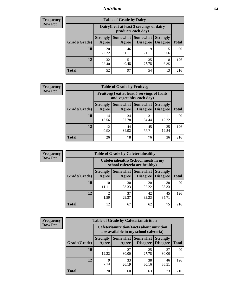### *Nutrition* **54**

| <b>Frequency</b><br>Row Pct |
|-----------------------------|
|                             |

| <b>Table of Grade by Dairy</b> |                                                                                                                    |                                                                 |             |           |     |  |  |  |
|--------------------------------|--------------------------------------------------------------------------------------------------------------------|-----------------------------------------------------------------|-------------|-----------|-----|--|--|--|
|                                |                                                                                                                    | Dairy (I eat at least 3 servings of dairy<br>products each day) |             |           |     |  |  |  |
| Grade(Grade)                   | Somewhat<br><b>Somewhat</b><br><b>Strongly</b><br><b>Strongly</b><br><b>Disagree</b><br>Disagree<br>Agree<br>Agree |                                                                 |             |           |     |  |  |  |
| 10                             | 20<br>22.22                                                                                                        | 46<br>51.11                                                     | 19<br>21.11 | 5<br>5.56 | 90  |  |  |  |
| 12                             | 32<br>25.40                                                                                                        | 51<br>40.48                                                     | 35<br>27.78 | 8<br>6.35 | 126 |  |  |  |
| <b>Total</b>                   | 52                                                                                                                 | 97                                                              | 54          | 13        | 216 |  |  |  |

| <b>Frequency</b> |  |
|------------------|--|
| <b>Row Pct</b>   |  |

| V | <b>Table of Grade by Fruitveg</b> |                          |                                                                              |             |             |     |  |  |
|---|-----------------------------------|--------------------------|------------------------------------------------------------------------------|-------------|-------------|-----|--|--|
|   |                                   |                          | Fruitveg(I eat at least 5 servings of fruits<br>and vegetables each day)     |             |             |     |  |  |
|   | Grade(Grade)                      | <b>Strongly</b><br>Agree | Somewhat Somewhat<br><b>Strongly</b><br><b>Disagree</b><br>Disagree<br>Agree |             |             |     |  |  |
|   | 10                                | 14<br>15.56              | 34<br>37.78                                                                  | 31<br>34.44 | 11<br>12.22 | 90  |  |  |
|   | 12                                | 12<br>9.52               | 44<br>34.92                                                                  | 45<br>35.71 | 25<br>19.84 | 126 |  |  |
|   | <b>Total</b>                      | 26                       | 78                                                                           | 76          | 36          | 216 |  |  |

| <b>Frequency</b> | <b>Table of Grade by Cafeteriahealthy</b> |                                                                       |             |                                   |                                    |              |
|------------------|-------------------------------------------|-----------------------------------------------------------------------|-------------|-----------------------------------|------------------------------------|--------------|
| <b>Row Pct</b>   |                                           | Cafeteriahealthy (School meals in my<br>school cafeteria are healthy) |             |                                   |                                    |              |
|                  | Grade(Grade)                              | <b>Strongly</b><br>Agree                                              | Agree       | Somewhat   Somewhat  <br>Disagree | <b>Strongly</b><br><b>Disagree</b> | <b>Total</b> |
|                  | 10                                        | 10<br>11.11                                                           | 30<br>33.33 | 20<br>22.22                       | 30<br>33.33                        | 90           |
|                  | 12                                        | ◠<br>1.59                                                             | 37<br>29.37 | 42<br>33.33                       | 45<br>35.71                        | 126          |
|                  | Total                                     | 12                                                                    | 67          | 62                                | 75                                 | 216          |

| <b>Frequency</b> |
|------------------|
| <b>Row Pct</b>   |

| <b>Table of Grade by Cafeterianutrition</b> |              |                                                                                                               |                                                                                           |             |             |     |  |  |  |
|---------------------------------------------|--------------|---------------------------------------------------------------------------------------------------------------|-------------------------------------------------------------------------------------------|-------------|-------------|-----|--|--|--|
|                                             |              |                                                                                                               | <b>Cafeterianutrition</b> (Facts about nutrition<br>are available in my school cafeteria) |             |             |     |  |  |  |
|                                             | Grade(Grade) | Somewhat  <br>Somewhat<br><b>Strongly</b><br><b>Strongly</b><br><b>Disagree</b><br>Agree<br>Disagree<br>Agree |                                                                                           |             |             |     |  |  |  |
|                                             | 10           | 11<br>12.22                                                                                                   | 27<br>30.00                                                                               | 25<br>27.78 | 27<br>30.00 | 90  |  |  |  |
|                                             | 12           | 9<br>7.14                                                                                                     | 33<br>26.19                                                                               | 38<br>30.16 | 46<br>36.51 | 126 |  |  |  |
|                                             | <b>Total</b> | 20                                                                                                            | 60                                                                                        | 63          | 73          | 216 |  |  |  |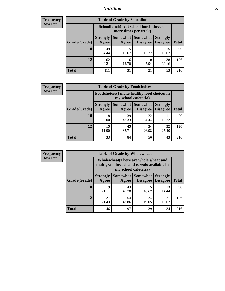### *Nutrition* **55**

| <b>Frequency</b> |
|------------------|
| <b>Row Pct</b>   |

| <b>Table of Grade by Schoollunch</b> |                                                                                                                                             |                                                                 |             |             |     |  |  |  |
|--------------------------------------|---------------------------------------------------------------------------------------------------------------------------------------------|-----------------------------------------------------------------|-------------|-------------|-----|--|--|--|
|                                      |                                                                                                                                             | Schoollunch(I eat school lunch three or<br>more times per week) |             |             |     |  |  |  |
| Grade(Grade)                         | Somewhat  <br><b>Somewhat</b><br><b>Strongly</b><br><b>Strongly</b><br><b>Disagree</b><br><b>Disagree</b><br><b>Total</b><br>Agree<br>Agree |                                                                 |             |             |     |  |  |  |
| 10                                   | 49<br>54.44                                                                                                                                 | 15<br>16.67                                                     | 11<br>12.22 | 15<br>16.67 | 90  |  |  |  |
| 12                                   | 62<br>49.21                                                                                                                                 | 16<br>12.70                                                     | 10<br>7.94  | 38<br>30.16 | 126 |  |  |  |
| <b>Total</b>                         | 111                                                                                                                                         | 31                                                              | 21          | 53          | 216 |  |  |  |

| <b>Frequency</b> |  |
|------------------|--|
| <b>Row Pct</b>   |  |

| <b>Table of Grade by Foodchoices</b>                                |                          |             |                               |                                    |              |  |  |  |
|---------------------------------------------------------------------|--------------------------|-------------|-------------------------------|------------------------------------|--------------|--|--|--|
| Foodchoices (I make healthy food choices in<br>my school cafeteria) |                          |             |                               |                                    |              |  |  |  |
| Grade(Grade)                                                        | <b>Strongly</b><br>Agree | Agree       | Somewhat Somewhat<br>Disagree | <b>Strongly</b><br><b>Disagree</b> | <b>Total</b> |  |  |  |
| 10                                                                  | 18<br>20.00              | 39<br>43.33 | 22<br>24.44                   | 12.22                              | 90           |  |  |  |
| 12                                                                  | 15<br>11.90              | 45<br>35.71 | 34<br>26.98                   | 32<br>25.40                        | 126          |  |  |  |
| <b>Total</b>                                                        | 33                       | 84          | 56                            | 43                                 | 216          |  |  |  |

| <b>Frequency</b> | <b>Table of Grade by Wholewheat</b> |                                                                                                             |             |                                   |                                    |              |  |  |
|------------------|-------------------------------------|-------------------------------------------------------------------------------------------------------------|-------------|-----------------------------------|------------------------------------|--------------|--|--|
| <b>Row Pct</b>   |                                     | Wholewheat (There are whole wheat and<br>multigrain breads and cereals available in<br>my school cafeteria) |             |                                   |                                    |              |  |  |
|                  | Grade(Grade)                        | <b>Strongly</b><br>Agree                                                                                    | Agree       | Somewhat   Somewhat  <br>Disagree | <b>Strongly</b><br><b>Disagree</b> | <b>Total</b> |  |  |
|                  | 10                                  | 19<br>21.11                                                                                                 | 43<br>47.78 | 15<br>16.67                       | 13<br>14.44                        | 90           |  |  |
|                  | 12                                  | 27<br>21.43                                                                                                 | 54<br>42.86 | 24<br>19.05                       | 21<br>16.67                        | 126          |  |  |
|                  | <b>Total</b>                        | 46                                                                                                          | 97          | 39                                | 34                                 | 216          |  |  |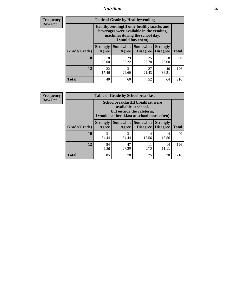### *Nutrition* **56**

**Frequency Row Pct**

| <b>Table of Grade by Healthyvending</b> |                                                                                                                                               |                          |                                    |                                    |              |  |
|-----------------------------------------|-----------------------------------------------------------------------------------------------------------------------------------------------|--------------------------|------------------------------------|------------------------------------|--------------|--|
|                                         | Healthyvending (If only healthy snacks and<br>beverages were available in the vending<br>machines during the school day,<br>I would buy them) |                          |                                    |                                    |              |  |
| Grade(Grade)                            | <b>Strongly</b><br>Agree                                                                                                                      | <b>Somewhat</b><br>Agree | <b>Somewhat</b><br><b>Disagree</b> | <b>Strongly</b><br><b>Disagree</b> | <b>Total</b> |  |
| 10                                      | 18<br>20.00                                                                                                                                   | 29<br>32.22              | 25<br>27.78                        | 18<br>20.00                        | 90           |  |
| 12                                      | 22<br>17.46                                                                                                                                   | 31<br>24.60              | 27<br>21.43                        | 46<br>36.51                        | 126          |  |
| <b>Total</b>                            | 40                                                                                                                                            | 60                       | 52                                 | 64                                 | 216          |  |

**Frequency Row Pct**

| <b>Table of Grade by Schoolbreakfast</b> |                                                                                                                                        |             |                                      |                                    |              |  |
|------------------------------------------|----------------------------------------------------------------------------------------------------------------------------------------|-------------|--------------------------------------|------------------------------------|--------------|--|
|                                          | Schoolbreakfast(If breakfast were<br>available at school,<br>but outside the cafeteria,<br>I would eat breakfast at school more often) |             |                                      |                                    |              |  |
| Grade(Grade)                             | <b>Strongly</b><br>Agree                                                                                                               | Agree       | Somewhat Somewhat<br><b>Disagree</b> | <b>Strongly</b><br><b>Disagree</b> | <b>Total</b> |  |
| 10                                       | 31<br>34.44                                                                                                                            | 31<br>34.44 | 14<br>15.56                          | 14<br>15.56                        | 90           |  |
| 12                                       | 54<br>42.86                                                                                                                            | 47<br>37.30 | 11<br>8.73                           | 14<br>11.11                        | 126          |  |
| <b>Total</b>                             | 85                                                                                                                                     | 78          | 25                                   | 28                                 | 216          |  |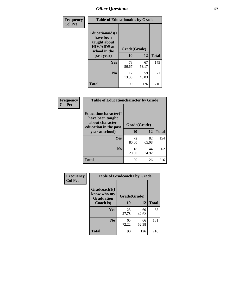| Frequency<br><b>Col Pct</b> | <b>Table of Educationaids by Grade</b>                                                                    |                    |             |              |
|-----------------------------|-----------------------------------------------------------------------------------------------------------|--------------------|-------------|--------------|
|                             | <b>Educationaids</b> (I<br>have been<br>taught about<br><b>HIV/AIDS</b> at<br>school in the<br>past year) | Grade(Grade)<br>10 | 12          | <b>Total</b> |
|                             | <b>Yes</b>                                                                                                | 78<br>86.67        | 67<br>53.17 | 145          |
|                             | N <sub>0</sub>                                                                                            | 12<br>13.33        | 59<br>46.83 | 71           |
|                             | <b>Total</b>                                                                                              | 90                 | 126         | 216          |

| <b>Frequency</b><br><b>Col Pct</b> | <b>Table of Educationcharacter by Grade</b>                                          |              |             |              |
|------------------------------------|--------------------------------------------------------------------------------------|--------------|-------------|--------------|
|                                    | Educationcharacter(I<br>have been taught<br>about character<br>education in the past | Grade(Grade) |             |              |
|                                    | year at school)                                                                      | 10           | 12          | <b>Total</b> |
|                                    | <b>Yes</b>                                                                           | 72<br>80.00  | 82<br>65.08 | 154          |
|                                    | N <sub>0</sub>                                                                       | 18<br>20.00  | 44<br>34.92 | 62           |
|                                    | <b>Total</b>                                                                         | 90           | 126         | 216          |

| Frequency      | <b>Table of Gradcoach1 by Grade</b>              |              |             |              |
|----------------|--------------------------------------------------|--------------|-------------|--------------|
| <b>Col Pct</b> | Gradcoach1(I<br>know who my<br><b>Graduation</b> | Grade(Grade) |             |              |
|                | Coach is)                                        | 10           | 12          | <b>Total</b> |
|                | Yes                                              | 25<br>27.78  | 60<br>47.62 | 85           |
|                | N <sub>0</sub>                                   | 65<br>72.22  | 66<br>52.38 | 131          |
|                | <b>Total</b>                                     | 90           | 126         | 216          |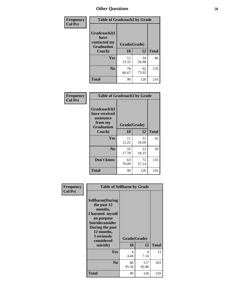| Frequency      | <b>Table of Gradcoach2 by Grade</b> |              |             |              |
|----------------|-------------------------------------|--------------|-------------|--------------|
| <b>Col Pct</b> |                                     |              |             |              |
|                | Gradcoach2(I<br>have                |              |             |              |
|                | contacted my<br><b>Graduation</b>   | Grade(Grade) |             |              |
|                | Coach)                              | 10           | 12          | <b>Total</b> |
|                | Yes                                 | 12<br>13.33  | 34<br>26.98 | 46           |
|                | N <sub>0</sub>                      | 78<br>86.67  | 92<br>73.02 | 170          |
|                | <b>Total</b>                        | 90           | 126         | 216          |

| <b>Frequency</b><br><b>Col Pct</b> | <b>Table of Gradcoach3 by Grade</b>                                         |              |             |              |
|------------------------------------|-----------------------------------------------------------------------------|--------------|-------------|--------------|
|                                    | Gradcoach3(I<br>have received<br>assistance<br>from my<br><b>Graduation</b> | Grade(Grade) |             |              |
|                                    | Coach)                                                                      | 10           | 12          | <b>Total</b> |
|                                    | Yes                                                                         | 11<br>12.22  | 31<br>24.60 | 42           |
|                                    | N <sub>0</sub>                                                              | 16<br>17.78  | 23<br>18.25 | 39           |
|                                    | Don't know                                                                  | 63<br>70.00  | 72<br>57.14 | 135          |
|                                    | <b>Total</b>                                                                | 90           | 126         | 216          |

| Frequency<br><b>Col Pct</b> | <b>Table of Selfharm by Grade</b>                                                                                                                                                      |                                  |                    |              |
|-----------------------------|----------------------------------------------------------------------------------------------------------------------------------------------------------------------------------------|----------------------------------|--------------------|--------------|
|                             | <b>Selfharm</b> (During<br>the past 12<br>months,<br>I harmed myself<br>on purpose<br><b>Suicideconsider</b><br>During the past<br>12 months,<br>I seriously<br>considered<br>suicide) | 10                               | Grade(Grade)<br>12 | <b>Total</b> |
|                             | Yes                                                                                                                                                                                    | $\overline{\mathcal{A}}$<br>4.44 | 9<br>7.14          | 13           |
|                             | N <sub>0</sub>                                                                                                                                                                         | 86<br>95.56                      | 117<br>92.86       | 203          |
|                             | <b>Total</b>                                                                                                                                                                           | 90                               | 126                | 216          |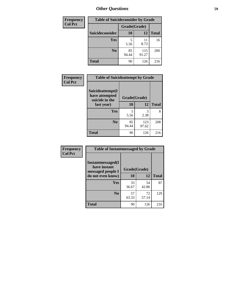| <b>Frequency</b> | <b>Table of Suicideconsider by Grade</b> |              |              |              |
|------------------|------------------------------------------|--------------|--------------|--------------|
| <b>Col Pct</b>   |                                          | Grade(Grade) |              |              |
|                  | Suicideconsider                          | <b>10</b>    | 12           | <b>Total</b> |
|                  | <b>Yes</b>                               | 5<br>5.56    | 11<br>8.73   | 16           |
|                  | N <sub>0</sub>                           | 85<br>94.44  | 115<br>91.27 | 200          |
|                  | <b>Total</b>                             | 90           | 126          | 216          |

| Frequency<br><b>Col Pct</b> | <b>Table of Suicideattempt by Grade</b>              |              |              |              |
|-----------------------------|------------------------------------------------------|--------------|--------------|--------------|
|                             | Suicideattempt(I<br>have attempted<br>suicide in the | Grade(Grade) |              |              |
|                             | last year)                                           | 10           | 12           | <b>Total</b> |
|                             | Yes                                                  | 5<br>5.56    | 3<br>2.38    | 8            |
|                             | N <sub>0</sub>                                       | 85<br>94.44  | 123<br>97.62 | 208          |
|                             | <b>Total</b>                                         | 90           | 126          | 216          |

| Frequency      | <b>Table of Instantmessaged by Grade</b>                       |              |             |              |
|----------------|----------------------------------------------------------------|--------------|-------------|--------------|
| <b>Col Pct</b> | <b>Instantmessaged</b> (I<br>have instant<br>messaged people I | Grade(Grade) |             |              |
|                | do not even know)                                              | 10           | 12          | <b>Total</b> |
|                | Yes                                                            | 33<br>36.67  | 54<br>42.86 | 87           |
|                | N <sub>0</sub>                                                 | 57<br>63.33  | 72<br>57.14 | 129          |
|                | <b>Total</b>                                                   | 90           | 126         | 216          |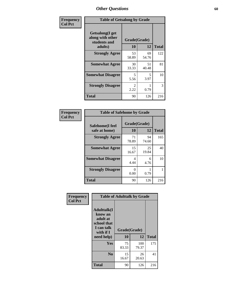| Frequency      | <b>Table of Getsalong by Grade</b>                          |                        |             |              |
|----------------|-------------------------------------------------------------|------------------------|-------------|--------------|
| <b>Col Pct</b> | <b>Getsalong</b> (I get<br>along with other<br>students and | Grade(Grade)           |             |              |
|                | adults)                                                     | 10                     | 12          | <b>Total</b> |
|                | <b>Strongly Agree</b>                                       | 53<br>58.89            | 69<br>54.76 | 122          |
|                | <b>Somewhat Agree</b>                                       | 30<br>33.33            | 51<br>40.48 | 81           |
|                | <b>Somewhat Disagree</b>                                    | 5<br>5.56              | 5<br>3.97   | 10           |
|                | <b>Strongly Disagree</b>                                    | $\mathfrak{D}$<br>2.22 | 0.79        | 3            |
|                | <b>Total</b>                                                | 90                     | 126         | 216          |

| Frequency      | <b>Table of Safehome by Grade</b> |                    |             |              |
|----------------|-----------------------------------|--------------------|-------------|--------------|
| <b>Col Pct</b> | Safehome(I feel<br>safe at home)  | Grade(Grade)<br>10 | 12          | <b>Total</b> |
|                | <b>Strongly Agree</b>             | 71<br>78.89        | 94<br>74.60 | 165          |
|                | <b>Somewhat Agree</b>             | 15<br>16.67        | 25<br>19.84 | 40           |
|                | <b>Somewhat Disagree</b>          | 4<br>4.44          | 6<br>4.76   | 10           |
|                | <b>Strongly Disagree</b>          | ∩<br>0.00          | 0.79        |              |
|                | <b>Total</b>                      | 90                 | 126         | 216          |

| Frequency      |                                                                                     | <b>Table of Adulttalk by Grade</b> |              |              |
|----------------|-------------------------------------------------------------------------------------|------------------------------------|--------------|--------------|
| <b>Col Pct</b> | <b>Adulttalk(I</b><br>know an<br>adult at<br>school that<br>I can talk<br>with if I | Grade(Grade)                       |              |              |
|                | need help)                                                                          | 10                                 | 12           | <b>Total</b> |
|                | <b>Yes</b>                                                                          | 75<br>83.33                        | 100<br>79.37 | 175          |
|                | N <sub>0</sub>                                                                      | 15<br>16.67                        | 26<br>20.63  | 41           |
|                | <b>Total</b>                                                                        | 90                                 | 126          | 216          |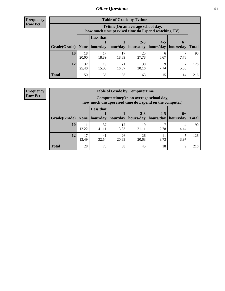**Frequency Row Pct**

| <b>Table of Grade by Tytime</b> |             |                                                                                         |             |             |           |           |              |  |  |
|---------------------------------|-------------|-----------------------------------------------------------------------------------------|-------------|-------------|-----------|-----------|--------------|--|--|
|                                 |             | Tytime (On an average school day,<br>how much unsupervised time do I spend watching TV) |             |             |           |           |              |  |  |
|                                 |             | <b>Less that</b><br>$2 - 3$<br>$4 - 5$<br>$6+$                                          |             |             |           |           |              |  |  |
| Grade(Grade)   None             |             | hour/day                                                                                | hour/day    | hours/day   | hours/day | hours/day | <b>Total</b> |  |  |
| 10                              | 18<br>20.00 | 17<br>18.89                                                                             | 17<br>18.89 | 25<br>27.78 | 6<br>6.67 | 7.78      | 90           |  |  |
| 12                              | 32<br>25.40 | 19<br>15.08                                                                             | 21<br>16.67 | 38<br>30.16 | 7.14      | 5.56      | 126          |  |  |
| <b>Total</b>                    | 50          | 36                                                                                      | 38          | 63          | 15        | 14        | 216          |  |  |

**Frequency Row Pct**

| <b>Table of Grade by Computertime</b> |             |                                                                                                   |             |                      |                        |                   |              |  |  |
|---------------------------------------|-------------|---------------------------------------------------------------------------------------------------|-------------|----------------------|------------------------|-------------------|--------------|--|--|
|                                       |             | Computertime (On an average school day,<br>how much unsupervised time do I spend on the computer) |             |                      |                        |                   |              |  |  |
| Grade(Grade)                          | None        | <b>Less that</b><br>hour/day $ $                                                                  | hour/day    | $2 - 3$<br>hours/day | $4 - 5$<br>  hours/day | $6+$<br>hours/day | <b>Total</b> |  |  |
| 10                                    | 11<br>12.22 | 37<br>41.11                                                                                       | 12<br>13.33 | 19<br>21.11          | 7.78                   | 4.44              | 90           |  |  |
| 12                                    | 17<br>13.49 | 41<br>32.54                                                                                       | 26<br>20.63 | 26<br>20.63          | 11<br>8.73             | 3.97              | 126          |  |  |
| <b>Total</b>                          | 28          | 78                                                                                                | 38          | 45                   | 18                     | 9                 | 216          |  |  |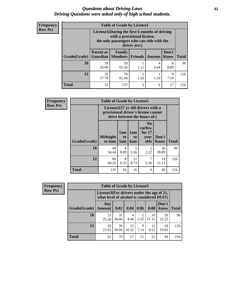#### *Questions about Driving Laws* **62** *Driving Questions were asked only of high school students.*

| <b>Frequency</b> |
|------------------|
| <b>Row Pct</b>   |

| <b>Table of Grade by License1</b> |                                                                               |                                                                                                                                           |         |           |                      |              |  |  |  |
|-----------------------------------|-------------------------------------------------------------------------------|-------------------------------------------------------------------------------------------------------------------------------------------|---------|-----------|----------------------|--------------|--|--|--|
|                                   |                                                                               | License1(During the first 6 months of driving<br>with a provisional license,<br>the only passengers who can ride with the<br>driver are:) |         |           |                      |              |  |  |  |
| Grade(Grade)                      | <b>Parent or</b>                                                              | Family<br><b>Guardian</b>   Members                                                                                                       | Friends | Anyone    | Don't<br><b>Know</b> | <b>Total</b> |  |  |  |
| 10                                | 18<br>20.00                                                                   | 59<br>65.56                                                                                                                               | 1.11    | 4<br>4.44 | 8<br>8.89            | 90           |  |  |  |
| 12                                | 35<br>78<br>$\mathcal{P}$<br>2<br>9<br>27.78<br>7.14<br>1.59<br>1.59<br>61.90 |                                                                                                                                           |         |           |                      |              |  |  |  |
| Total                             | 53                                                                            | 137                                                                                                                                       | 3       | 6         | 17                   | 216          |  |  |  |

| <b>Frequency</b> |              | <b>Table of Grade by License2</b>                                                                        |                  |                              |                                                      |               |              |  |  |
|------------------|--------------|----------------------------------------------------------------------------------------------------------|------------------|------------------------------|------------------------------------------------------|---------------|--------------|--|--|
| <b>Row Pct</b>   |              | License2(17 yr old drivers with a<br>provisional driver's license cannot<br>drive between the hours of:) |                  |                              |                                                      |               |              |  |  |
|                  | Grade(Grade) | <b>Midnight</b><br>to 6am                                                                                | 1am<br>to<br>5am | 1am<br>t <sub>0</sub><br>6am | N <sub>0</sub><br>curfew<br>for $17$<br>vear<br>olds | Don't<br>Know | <b>Total</b> |  |  |
|                  | 10           | 49<br>54.44                                                                                              | 8<br>8.89        | 5<br>5.56                    | $\mathcal{L}$<br>2.22                                | 26<br>28.89   | 90           |  |  |
|                  | 12           | 86<br>68.25                                                                                              | 8<br>6.35        | 11<br>8.73                   | $\overline{7}$<br>5.56                               | 14<br>11.11   | 126          |  |  |
|                  | <b>Total</b> | 135                                                                                                      | 16               | 16                           | 9                                                    | 40            | 216          |  |  |

| <b>Frequency</b> |              | <b>Table of Grade by License3</b> |                                                                                        |             |                        |             |               |              |
|------------------|--------------|-----------------------------------|----------------------------------------------------------------------------------------|-------------|------------------------|-------------|---------------|--------------|
| <b>Row Pct</b>   |              |                                   | License3(For drivers under the age of 21,<br>what level of alcohol is considered DUI?) |             |                        |             |               |              |
|                  | Grade(Grade) | Any<br><b>Amount</b>              | 0.02                                                                                   | 0.04        | 0.06                   | 0.08        | Don't<br>know | <b>Total</b> |
|                  | 10           | 23<br>25.56                       | 31<br>34.44                                                                            | 4<br>4.44   | $\mathfrak{D}$<br>2.22 | 10<br>11.11 | 20<br>22.22   | 90           |
|                  | 12           | 29<br>23.02                       | 39<br>30.95                                                                            | 13<br>10.32 | 9<br>7.14              | 12<br>9.52  | 24<br>19.05   | 126          |
|                  | <b>Total</b> | 52                                | 70                                                                                     | 17          | 11                     | 22          | 44            | 216          |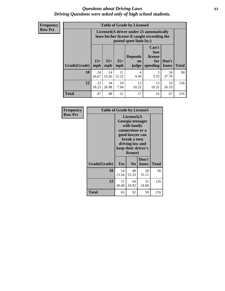#### *Questions about Driving Laws* **63** *Driving Questions were asked only of high school students.*

**Frequency Row Pct**

| <b>Table of Grade by License4</b> |             |                                                                                                                                                                                                                                                                                |             |                        |             |             |     |  |
|-----------------------------------|-------------|--------------------------------------------------------------------------------------------------------------------------------------------------------------------------------------------------------------------------------------------------------------------------------|-------------|------------------------|-------------|-------------|-----|--|
|                                   |             | License4(A driver under 21 automatically<br>loses his/her license if caught exceeding the<br>posted speet limit by:)<br>Can't<br>lose<br><b>Depends</b><br>license<br>$15+$<br>$25+$<br>$35+$<br>Don't<br>for<br>on<br><b>Total</b><br>mph<br>mph<br>speeding<br>know<br>judge |             |                        |             |             |     |  |
| Grade(Grade)                      | mph         |                                                                                                                                                                                                                                                                                |             |                        |             |             |     |  |
| 10                                | 24<br>26.67 | 14<br>15.56                                                                                                                                                                                                                                                                    | 11<br>12.22 | $\overline{4}$<br>4.44 | 3<br>3.33   | 34<br>37.78 | 90  |  |
| 12                                | 23<br>18.25 | 34<br>26.98                                                                                                                                                                                                                                                                    | 10<br>7.94  | 13<br>10.32            | 13<br>10.32 | 33<br>26.19 | 126 |  |
| <b>Total</b>                      | 47          | 48                                                                                                                                                                                                                                                                             | 21          | 17                     | 16          | 67          | 216 |  |

| Frequency      |              | <b>Table of Grade by License5</b>                                                                                                                           |                |               |       |  |  |
|----------------|--------------|-------------------------------------------------------------------------------------------------------------------------------------------------------------|----------------|---------------|-------|--|--|
| <b>Row Pct</b> |              | License5(A)<br>Georgia teenager<br>with family<br>connections or a<br>good lawyer can<br>break a teen<br>driving law and<br>keep their driver's<br>license) |                |               |       |  |  |
|                | Grade(Grade) | <b>Yes</b>                                                                                                                                                  | N <sub>0</sub> | Don't<br>know | Total |  |  |
|                | 10           | 14<br>15.56                                                                                                                                                 | 48<br>53.33    | 28<br>31.11   | 90    |  |  |
|                | 12           | 51<br>40.48                                                                                                                                                 | 44<br>34.92    | 31<br>24.60   | 126   |  |  |
|                | <b>Total</b> | 65                                                                                                                                                          | 92             | 59            | 216   |  |  |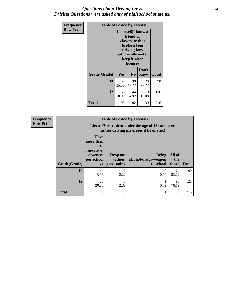#### *Questions about Driving Laws* **64** *Driving Questions were asked only of high school students.*

| <b>Frequency</b> | <b>Table of Grade by License6</b> |             |                                                                                                                           |                    |              |  |
|------------------|-----------------------------------|-------------|---------------------------------------------------------------------------------------------------------------------------|--------------------|--------------|--|
| <b>Row Pct</b>   |                                   |             | License <sub>6</sub> (I know a<br>friend or<br>classmate that<br>broke a teen<br>driving law,<br>keep his/her<br>license) | but was allowed to |              |  |
|                  | Grade(Grade)                      | Yes         | N <sub>0</sub>                                                                                                            | Don't<br>know      | <b>Total</b> |  |
|                  | 10                                | 32<br>35.56 | 38<br>42.22                                                                                                               | 20<br>22.22        | 90           |  |
|                  | 12                                | 63<br>50.00 | 44<br>34.92                                                                                                               | 19<br>15.08        | 126          |  |
|                  | <b>Total</b>                      | 95          | 82                                                                                                                        | 39                 | 216          |  |

| <b>Frequency</b> |              | <b>Table of Grade by License7</b>                                           |                                   |                                                                                               |                        |              |  |  |  |
|------------------|--------------|-----------------------------------------------------------------------------|-----------------------------------|-----------------------------------------------------------------------------------------------|------------------------|--------------|--|--|--|
| <b>Row Pct</b>   |              |                                                                             |                                   | License7(A student under the age of 18 cam loser<br>his/her driving privileges if he or she:) |                        |              |  |  |  |
|                  | Grade(Grade) | <b>Have</b><br>more than<br>10<br>unexcused<br>absences<br>per school<br>yr | Drop out<br>without<br>graduating | <b>Bring</b><br>alcohol/drugs/weapon<br>to school                                             | All of<br>the<br>above | <b>Total</b> |  |  |  |
|                  | 10           | 14<br>15.56                                                                 | $\mathfrak{D}$<br>2.22            | $\theta$<br>0.00                                                                              | 74<br>82.22            | 90           |  |  |  |
|                  | 12           | 26<br>20.63                                                                 | 3<br>2.38                         | 0.79                                                                                          | 96<br>76.19            | 126          |  |  |  |
|                  | <b>Total</b> | 40                                                                          | 5                                 |                                                                                               | 170                    | 216          |  |  |  |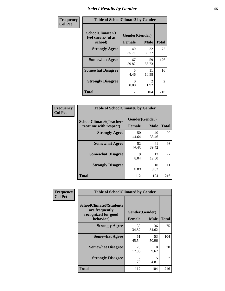# *Select Results by Gender* **65**

| Frequency      | <b>Table of SchoolClimate2 by Gender</b>          |                                 |                       |                |  |
|----------------|---------------------------------------------------|---------------------------------|-----------------------|----------------|--|
| <b>Col Pct</b> | SchoolClimate2(I<br>feel successful at<br>school) | Gender(Gender)<br><b>Female</b> | <b>Male</b>           | <b>Total</b>   |  |
|                | <b>Strongly Agree</b>                             | 40<br>35.71                     | 32<br>30.77           | 72             |  |
|                | <b>Somewhat Agree</b>                             | 67<br>59.82                     | 59<br>56.73           | 126            |  |
|                | <b>Somewhat Disagree</b>                          | 5<br>4.46                       | 11<br>10.58           | 16             |  |
|                | <b>Strongly Disagree</b>                          | 0<br>0.00                       | $\mathcal{L}$<br>1.92 | $\overline{2}$ |  |
|                | <b>Total</b>                                      | 112                             | 104                   | 216            |  |

| Frequency      | <b>Table of SchoolClimate6 by Gender</b>                 |                                 |             |              |  |
|----------------|----------------------------------------------------------|---------------------------------|-------------|--------------|--|
| <b>Col Pct</b> | <b>SchoolClimate6(Teachers</b><br>treat me with respect) | Gender(Gender)<br><b>Female</b> | <b>Male</b> | <b>Total</b> |  |
|                | <b>Strongly Agree</b>                                    | 50<br>44.64                     | 40<br>38.46 | 90           |  |
|                | <b>Somewhat Agree</b>                                    | 52<br>46.43                     | 41<br>39.42 | 93           |  |
|                | <b>Somewhat Disagree</b>                                 | 9<br>8.04                       | 13<br>12.50 | 22           |  |
|                | <b>Strongly Disagree</b>                                 | 1<br>0.89                       | 10<br>9.62  | 11           |  |
|                | <b>Total</b>                                             | 112                             | 104         | 216          |  |

| <b>Frequency</b> | <b>Table of SchoolClimate8 by Gender</b>                                             |               |                               |              |
|------------------|--------------------------------------------------------------------------------------|---------------|-------------------------------|--------------|
| <b>Col Pct</b>   | <b>SchoolClimate8(Students</b><br>are frequently<br>recognized for good<br>behavior) | <b>Female</b> | Gender(Gender)<br><b>Male</b> | <b>Total</b> |
|                  |                                                                                      |               |                               |              |
|                  | <b>Strongly Agree</b>                                                                | 39<br>34.82   | 36<br>34.62                   | 75           |
|                  | <b>Somewhat Agree</b>                                                                | 51<br>45.54   | 53<br>50.96                   | 104          |
|                  | <b>Somewhat Disagree</b>                                                             | 20<br>17.86   | 10<br>9.62                    | 30           |
|                  | <b>Strongly Disagree</b>                                                             | 2<br>1.79     | 5<br>4.81                     |              |
|                  | Total                                                                                | 112           | 104                           | 216          |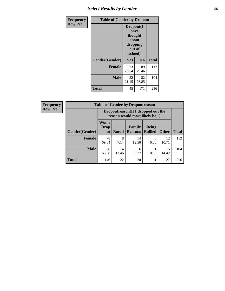# *Select Results by Gender* **66**

| Frequency      | <b>Table of Gender by Dropout</b> |                                                                        |                |              |
|----------------|-----------------------------------|------------------------------------------------------------------------|----------------|--------------|
| <b>Row Pct</b> |                                   | Dropout(I<br>have<br>thought<br>about<br>dropping<br>out of<br>school) |                |              |
|                | Gender(Gender)                    | Yes                                                                    | N <sub>0</sub> | <b>Total</b> |
|                | <b>Female</b>                     | 23<br>20.54                                                            | 89<br>79.46    | 112          |
|                | <b>Male</b>                       | 22<br>21.15                                                            | 82<br>78.85    | 104          |
|                | <b>Total</b>                      | 45                                                                     | 171            | 216          |

| <b>Frequency</b> | <b>Table of Gender by Dropoutreason</b> |                                                                    |              |                          |                                |              |              |
|------------------|-----------------------------------------|--------------------------------------------------------------------|--------------|--------------------------|--------------------------------|--------------|--------------|
| <b>Row Pct</b>   |                                         | Dropoutreason(If I dropped out the<br>reason would most likely be) |              |                          |                                |              |              |
|                  | Gender(Gender)                          | Won't<br><b>Drop</b><br>out                                        | <b>Bored</b> | Family<br><b>Reasons</b> | <b>Being</b><br><b>Bullied</b> | <b>Other</b> | <b>Total</b> |
|                  | <b>Female</b>                           | 78<br>69.64                                                        | 8<br>7.14    | 14<br>12.50              | 0<br>0.00                      | 12<br>10.71  | 112          |
|                  | <b>Male</b>                             | 68<br>65.38                                                        | 14<br>13.46  | 6<br>5.77                | 0.96                           | 15<br>14.42  | 104          |
|                  | <b>Total</b>                            | 146                                                                | 22           | 20                       |                                | 27           | 216          |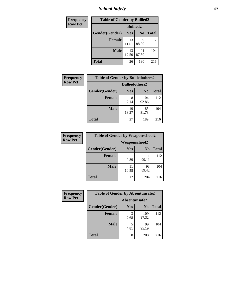*School Safety* **67**

| Frequency      | <b>Table of Gender by Bullied2</b> |                 |                |              |
|----------------|------------------------------------|-----------------|----------------|--------------|
| <b>Row Pct</b> |                                    | <b>Bullied2</b> |                |              |
|                | Gender(Gender)                     | Yes             | N <sub>0</sub> | <b>Total</b> |
|                | <b>Female</b>                      | 13<br>11.61     | 99<br>88.39    | 112          |
|                | <b>Male</b>                        | 13<br>12.50     | 91<br>87.50    | 104          |
|                | <b>Total</b>                       | 26              | 190            | 216          |

| <b>Frequency</b> | <b>Table of Gender by Bulliedothers2</b> |                       |                |              |
|------------------|------------------------------------------|-----------------------|----------------|--------------|
| <b>Row Pct</b>   |                                          | <b>Bulliedothers2</b> |                |              |
|                  | Gender(Gender)                           | Yes                   | N <sub>0</sub> | <b>Total</b> |
|                  | <b>Female</b>                            | 8<br>7.14             | 104<br>92.86   | 112          |
|                  | Male                                     | 19<br>18.27           | 85<br>81.73    | 104          |
|                  | <b>Total</b>                             | 27                    | 189            | 216          |

| <b>Frequency</b> | <b>Table of Gender by Weaponschool2</b> |                      |                |              |
|------------------|-----------------------------------------|----------------------|----------------|--------------|
| <b>Row Pct</b>   |                                         | <b>Weaponschool2</b> |                |              |
|                  | Gender(Gender)                          | Yes                  | N <sub>0</sub> | <b>Total</b> |
|                  | Female                                  | 0.89                 | 111<br>99.11   | 112          |
|                  | <b>Male</b>                             | 11<br>10.58          | 93<br>89.42    | 104          |
|                  | <b>Total</b>                            | 12                   | 204            | 216          |

| Frequency      | <b>Table of Gender by Absentunsafe2</b> |               |                |              |
|----------------|-----------------------------------------|---------------|----------------|--------------|
| <b>Row Pct</b> |                                         | Absentunsafe2 |                |              |
|                | Gender(Gender)                          | Yes           | N <sub>0</sub> | <b>Total</b> |
|                | <b>Female</b>                           | 2.68          | 109<br>97.32   | 112          |
|                | <b>Male</b>                             | 4.81          | 99<br>95.19    | 104          |
|                | <b>Total</b>                            | 8             | 208            | 216          |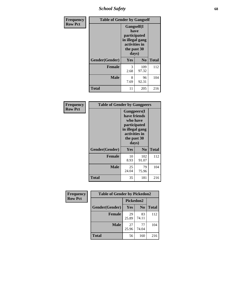*School Safety* **68**

| Frequency      | <b>Table of Gender by Gangself</b> |                                                                                                |                |              |
|----------------|------------------------------------|------------------------------------------------------------------------------------------------|----------------|--------------|
| <b>Row Pct</b> |                                    | Gangself(I<br>have<br>participated<br>in illegal gang<br>activities in<br>the past 30<br>days) |                |              |
|                | Gender(Gender)                     | Yes                                                                                            | N <sub>0</sub> | <b>Total</b> |
|                | <b>Female</b>                      | 3<br>2.68                                                                                      | 109<br>97.32   | 112          |
|                | <b>Male</b>                        | 8<br>7.69                                                                                      | 96<br>92.31    | 104          |
|                | <b>Total</b>                       | 11                                                                                             | 205            | 216          |

| Frequency      | <b>Table of Gender by Gangpeers</b> |                                                                                                                             |                |              |
|----------------|-------------------------------------|-----------------------------------------------------------------------------------------------------------------------------|----------------|--------------|
| <b>Row Pct</b> |                                     | <b>Gangpeers</b> (I<br>have friends<br>who have<br>participated<br>in illegal gang<br>activities in<br>the past 30<br>days) |                |              |
|                |                                     |                                                                                                                             |                |              |
|                | Gender(Gender)                      | Yes                                                                                                                         | N <sub>0</sub> | <b>Total</b> |
|                | <b>Female</b>                       | 10<br>8.93                                                                                                                  | 102<br>91.07   | 112          |
|                | <b>Male</b>                         | 25<br>24.04                                                                                                                 | 79<br>75.96    | 104          |
|                | <b>Total</b>                        | 35                                                                                                                          | 181            | 216          |

| Frequency      | <b>Table of Gender by Pickedon2</b> |             |                |              |
|----------------|-------------------------------------|-------------|----------------|--------------|
| <b>Row Pct</b> |                                     | Pickedon2   |                |              |
|                | Gender(Gender)                      | Yes         | N <sub>0</sub> | <b>Total</b> |
|                | <b>Female</b>                       | 29<br>25.89 | 83<br>74.11    | 112          |
|                | <b>Male</b>                         | 27<br>25.96 | 77<br>74.04    | 104          |
|                | <b>Total</b>                        | 56          | 160            | 216          |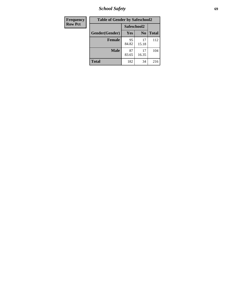*School Safety* **69**

| Frequency      | <b>Table of Gender by Safeschool2</b><br>Safeschool2 |             |                |              |  |
|----------------|------------------------------------------------------|-------------|----------------|--------------|--|
| <b>Row Pct</b> |                                                      |             |                |              |  |
|                | Gender(Gender)                                       | Yes         | N <sub>0</sub> | <b>Total</b> |  |
|                | <b>Female</b>                                        | 95<br>84.82 | 17<br>15.18    | 112          |  |
|                | <b>Male</b>                                          | 87<br>83.65 | 17<br>16.35    | 104          |  |
|                | <b>Total</b>                                         | 182         | 34             | 216          |  |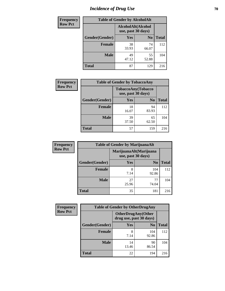# *Incidence of Drug Use* **70**

| <b>Frequency</b> | <b>Table of Gender by AlcoholAlt</b> |             |                |              |
|------------------|--------------------------------------|-------------|----------------|--------------|
| <b>Row Pct</b>   |                                      |             |                |              |
|                  | Gender(Gender)                       | <b>Yes</b>  | N <sub>0</sub> | <b>Total</b> |
|                  | <b>Female</b>                        | 38<br>33.93 | 74<br>66.07    | 112          |
|                  | <b>Male</b>                          | 49<br>47.12 | 55<br>52.88    | 104          |
|                  | <b>Total</b>                         | 87          | 129            | 216          |

| <b>Frequency</b> | <b>Table of Gender by TobaccoAny</b> |                    |                    |              |
|------------------|--------------------------------------|--------------------|--------------------|--------------|
| <b>Row Pct</b>   |                                      | use, past 30 days) | TobaccoAny(Tobacco |              |
|                  | Gender(Gender)                       | Yes                | N <sub>0</sub>     | <b>Total</b> |
|                  | <b>Female</b>                        | 18<br>16.07        | 94<br>83.93        | 112          |
|                  | <b>Male</b>                          | 39<br>37.50        | 65<br>62.50        | 104          |
|                  | <b>Total</b>                         | 57                 | 159                | 216          |

| <b>Frequency</b> | <b>Table of Gender by MarijuanaAlt</b> |                    |                        |              |  |
|------------------|----------------------------------------|--------------------|------------------------|--------------|--|
| <b>Row Pct</b>   |                                        | use, past 30 days) | MarijuanaAlt(Marijuana |              |  |
|                  | Gender(Gender)                         | <b>Yes</b>         | N <sub>0</sub>         | <b>Total</b> |  |
|                  | Female                                 | 8<br>7.14          | 104<br>92.86           | 112          |  |
|                  | <b>Male</b>                            | 27<br>25.96        | 77<br>74.04            | 104          |  |
|                  | <b>Total</b>                           | 35                 | 181                    | 216          |  |

| <b>Frequency</b> | <b>Table of Gender by OtherDrugAny</b> |                         |                           |              |  |
|------------------|----------------------------------------|-------------------------|---------------------------|--------------|--|
| <b>Row Pct</b>   |                                        | drug use, past 30 days) | <b>OtherDrugAny(Other</b> |              |  |
|                  | Gender(Gender)                         | <b>Yes</b>              | N <sub>0</sub>            | <b>Total</b> |  |
|                  | <b>Female</b>                          | 8<br>7.14               | 104<br>92.86              | 112          |  |
|                  | <b>Male</b>                            | 14<br>13.46             | 90<br>86.54               | 104          |  |
|                  | <b>Total</b>                           | 22                      | 194                       | 216          |  |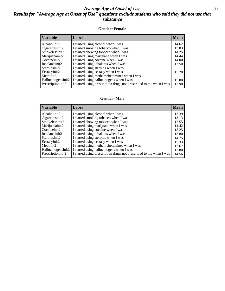#### *Average Age at Onset of Use* **71** *Results for "Average Age at Onset of Use" questions exclude students who said they did not use that substance*

#### **Gender=Female**

| <b>Variable</b>    | Label                                                              | <b>Mean</b> |
|--------------------|--------------------------------------------------------------------|-------------|
| Alcoholinit2       | I started using alcohol when I was                                 | 14.62       |
| Cigarettesinit2    | I started smoking tobacco when I was                               | 13.83       |
| Smokelessinit2     | I started chewing tobacco when I was                               | 14.25       |
| Marijuanainit2     | I started using marijuana when I was                               | 14.44       |
| Cocaineinit2       | I started using cocaine when I was                                 | 14.00       |
| Inhalantsinit2     | I started using inhalants when I was                               | 12.50       |
| Steroidsinit2      | I started using steroids when I was                                |             |
| Ecstasyinit2       | I started using ecstasy when I was                                 | 15.20       |
| Methinit2          | I started using methamphetamines when I was                        |             |
| Hallucinogensinit2 | I started using hallucinogens when I was                           | 15.00       |
| Prescription in t2 | I started using prescription drugs not prescribed to me when I was | 12.90       |

#### **Gender=Male**

| <b>Variable</b>    | Label                                                              | <b>Mean</b> |
|--------------------|--------------------------------------------------------------------|-------------|
| Alcoholinit2       | I started using alcohol when I was                                 | 13.39       |
| Cigarettesinit2    | I started smoking tobacco when I was                               | 13.13       |
| Smokelessinit2     | I started chewing tobacco when I was                               | 12.55       |
| Marijuanainit2     | I started using marijuana when I was                               | 14.42       |
| Cocaineinit2       | I started using cocaine when I was                                 | 13.25       |
| Inhalantsinit2     | I started using inhalants when I was                               | 13.80       |
| Steroidsinit2      | I started using steroids when I was                                | 14.75       |
| Ecstasyinit2       | I started using ecstasy when I was                                 | 15.33       |
| Methinit2          | I started using methamphetamines when I was                        | 12.67       |
| Hallucinogensinit2 | I started using hallucinogens when I was                           | 13.80       |
| Prescriptioninit2  | I started using prescription drugs not prescribed to me when I was | 14.56       |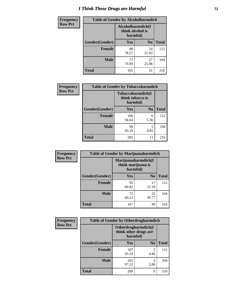# *I Think These Drugs are Harmful* **72**

| Frequency      | <b>Table of Gender by Alcoholharmdich</b> |                                                   |                |              |  |
|----------------|-------------------------------------------|---------------------------------------------------|----------------|--------------|--|
| <b>Row Pct</b> |                                           | Alcoholharmdich(I<br>think alcohol is<br>harmful) |                |              |  |
|                | Gender(Gender)                            | <b>Yes</b>                                        | N <sub>0</sub> | <b>Total</b> |  |
|                | <b>Female</b>                             | 88<br>78.57                                       | 24<br>21.43    | 112          |  |
|                | <b>Male</b>                               | 77<br>74.04                                       | 27<br>25.96    | 104          |  |
|                | <b>Total</b>                              | 165                                               | 51             | 216          |  |

| Frequency      | <b>Table of Gender by Tobaccoharmdich</b> |                  |                               |              |  |
|----------------|-------------------------------------------|------------------|-------------------------------|--------------|--|
| <b>Row Pct</b> |                                           | think tobacco is | Tobaccoharmdich(I<br>harmful) |              |  |
|                | Gender(Gender)                            | Yes              | N <sub>0</sub>                | <b>Total</b> |  |
|                | <b>Female</b>                             | 106<br>94.64     | 6<br>5.36                     | 112          |  |
|                | <b>Male</b>                               | 99<br>95.19      | 5<br>4.81                     | 104          |  |
|                | <b>Total</b>                              | 205              | 11                            | 216          |  |

| Frequency      | <b>Table of Gender by Marijuanaharmdich</b> |                                                       |                |              |  |
|----------------|---------------------------------------------|-------------------------------------------------------|----------------|--------------|--|
| <b>Row Pct</b> |                                             | Marijuanaharmdich(I<br>think marijuana is<br>harmful) |                |              |  |
|                | Gender(Gender)                              | <b>Yes</b>                                            | N <sub>0</sub> | <b>Total</b> |  |
|                | <b>Female</b>                               | 95<br>84.82                                           | 17<br>15.18    | 112          |  |
|                | <b>Male</b>                                 | 72<br>69.23                                           | 32<br>30.77    | 104          |  |
|                | <b>Total</b>                                | 167                                                   | 49             | 216          |  |

| Frequency      | <b>Table of Gender by Otherdrugharmdich</b> |                                   |                     |              |  |
|----------------|---------------------------------------------|-----------------------------------|---------------------|--------------|--|
| <b>Row Pct</b> |                                             | think other drugs are<br>harmful) | Otherdrugharmdich(I |              |  |
|                | Gender(Gender)                              | <b>Yes</b>                        | N <sub>0</sub>      | <b>Total</b> |  |
|                | <b>Female</b>                               | 107<br>95.54                      | 5<br>4.46           | 112          |  |
|                | <b>Male</b>                                 | 101<br>97.12                      | 3<br>2.88           | 104          |  |
|                | <b>Total</b>                                | 208                               | 8                   | 216          |  |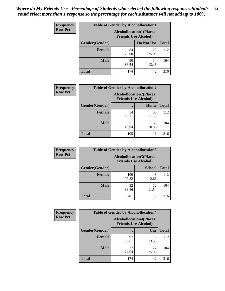| <b>Frequency</b> | <b>Table of Gender by Alcohollocation1</b> |                                                               |             |              |
|------------------|--------------------------------------------|---------------------------------------------------------------|-------------|--------------|
| <b>Row Pct</b>   |                                            | <b>Alcohollocation1(Places</b><br><b>Friends Use Alcohol)</b> |             |              |
|                  | Gender(Gender)                             |                                                               | Do Not Use  | <b>Total</b> |
|                  | <b>Female</b>                              | 84<br>75.00                                                   | 28<br>25.00 | 112          |
|                  | <b>Male</b>                                | 90<br>86.54                                                   | 14<br>13.46 | 104          |
|                  | <b>Total</b>                               | 174                                                           | 42          | 216          |

| <b>Frequency</b> | <b>Table of Gender by Alcohollocation2</b> |                                                               |             |              |
|------------------|--------------------------------------------|---------------------------------------------------------------|-------------|--------------|
| <b>Row Pct</b>   |                                            | <b>Alcohollocation2(Places</b><br><b>Friends Use Alcohol)</b> |             |              |
|                  | Gender(Gender)                             |                                                               | Home        | <b>Total</b> |
|                  | Female                                     | 54<br>48.21                                                   | 58<br>51.79 | 112          |
|                  | <b>Male</b>                                | 51<br>49.04                                                   | 53<br>50.96 | 104          |
|                  | <b>Total</b>                               | 105                                                           | 111         | 216          |

| Frequency      | <b>Table of Gender by Alcohollocation3</b> |                                                               |               |              |
|----------------|--------------------------------------------|---------------------------------------------------------------|---------------|--------------|
| <b>Row Pct</b> |                                            | <b>Alcohollocation3(Places</b><br><b>Friends Use Alcohol)</b> |               |              |
|                | Gender(Gender)                             |                                                               | <b>School</b> | <b>Total</b> |
|                | <b>Female</b>                              | 109<br>97.32                                                  | 3<br>2.68     | 112          |
|                | <b>Male</b>                                | 92<br>88.46                                                   | 12<br>11.54   | 104          |
|                | <b>Total</b>                               | 201                                                           | 15            | 216          |

| <b>Frequency</b> | <b>Table of Gender by Alcohollocation4</b> |                                                               |             |              |
|------------------|--------------------------------------------|---------------------------------------------------------------|-------------|--------------|
| <b>Row Pct</b>   |                                            | <b>Alcohollocation4(Places</b><br><b>Friends Use Alcohol)</b> |             |              |
|                  | Gender(Gender)                             |                                                               | Car         | <b>Total</b> |
|                  | <b>Female</b>                              | 97<br>86.61                                                   | 15<br>13.39 | 112          |
|                  | <b>Male</b>                                | 77<br>74.04                                                   | 27<br>25.96 | 104          |
|                  | <b>Total</b>                               | 174                                                           | 42          | 216          |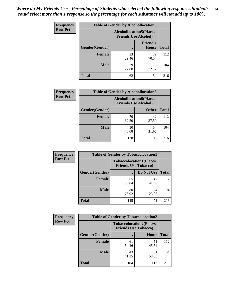| <b>Frequency</b> | <b>Table of Gender by Alcohollocation5</b> |                                                               |                          |              |
|------------------|--------------------------------------------|---------------------------------------------------------------|--------------------------|--------------|
| <b>Row Pct</b>   |                                            | <b>Alcohollocation5(Places</b><br><b>Friends Use Alcohol)</b> |                          |              |
|                  | Gender(Gender)                             |                                                               | <b>Friend's</b><br>House | <b>Total</b> |
|                  | <b>Female</b>                              | 33<br>29.46                                                   | 79<br>70.54              | 112          |
|                  | <b>Male</b>                                | 29<br>27.88                                                   | 75<br>72.12              | 104          |
|                  | <b>Total</b>                               | 62                                                            | 154                      | 216          |

| Frequency      | <b>Table of Gender by Alcohollocation6</b> |             |                                                               |              |
|----------------|--------------------------------------------|-------------|---------------------------------------------------------------|--------------|
| <b>Row Pct</b> |                                            |             | <b>Alcohollocation6(Places</b><br><b>Friends Use Alcohol)</b> |              |
|                | Gender(Gender)                             |             | <b>Other</b>                                                  | <b>Total</b> |
|                | <b>Female</b>                              | 70<br>62.50 | 42<br>37.50                                                   | 112          |
|                | <b>Male</b>                                | 50<br>48.08 | 54<br>51.92                                                   | 104          |
|                | <b>Total</b>                               | 120         | 96                                                            | 216          |

| Frequency      | <b>Table of Gender by Tobaccolocation1</b> |                                                               |             |              |  |
|----------------|--------------------------------------------|---------------------------------------------------------------|-------------|--------------|--|
| <b>Row Pct</b> |                                            | <b>Tobaccolocation1(Places</b><br><b>Friends Use Tobacco)</b> |             |              |  |
|                | <b>Gender</b> (Gender)                     |                                                               | Do Not Use  | <b>Total</b> |  |
|                | <b>Female</b>                              | 65<br>58.04                                                   | 47<br>41.96 | 112          |  |
|                | <b>Male</b>                                | 80<br>76.92                                                   | 24<br>23.08 | 104          |  |
|                | <b>Total</b>                               | 145                                                           | 71          | 216          |  |

| <b>Frequency</b> | <b>Table of Gender by Tobaccolocation2</b> |                                                               |             |              |
|------------------|--------------------------------------------|---------------------------------------------------------------|-------------|--------------|
| <b>Row Pct</b>   |                                            | <b>Tobaccolocation2(Places</b><br><b>Friends Use Tobacco)</b> |             |              |
|                  | Gender(Gender)                             |                                                               | Home        | <b>Total</b> |
|                  | Female                                     | 61<br>54.46                                                   | 51<br>45.54 | 112          |
|                  | <b>Male</b>                                | 43<br>41.35                                                   | 61<br>58.65 | 104          |
|                  | <b>Total</b>                               | 104                                                           | 112         | 216          |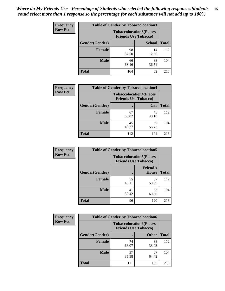| <b>Frequency</b> | <b>Table of Gender by Tobaccolocation3</b> |             |                                                               |              |  |
|------------------|--------------------------------------------|-------------|---------------------------------------------------------------|--------------|--|
| <b>Row Pct</b>   |                                            |             | <b>Tobaccolocation3(Places</b><br><b>Friends Use Tobacco)</b> |              |  |
|                  | Gender(Gender)                             |             | <b>School</b>                                                 | <b>Total</b> |  |
|                  | <b>Female</b>                              | 98<br>87.50 | 14<br>12.50                                                   | 112          |  |
|                  | <b>Male</b>                                | 66<br>63.46 | 38<br>36.54                                                   | 104          |  |
|                  | Total                                      | 164         | 52                                                            | 216          |  |

| <b>Frequency</b> | <b>Table of Gender by Tobaccolocation4</b> |             |                                                               |              |
|------------------|--------------------------------------------|-------------|---------------------------------------------------------------|--------------|
| <b>Row Pct</b>   |                                            |             | <b>Tobaccolocation4(Places</b><br><b>Friends Use Tobacco)</b> |              |
|                  | Gender(Gender)                             |             | Car                                                           | <b>Total</b> |
|                  | <b>Female</b>                              | 67<br>59.82 | 45<br>40.18                                                   | 112          |
|                  | <b>Male</b>                                | 45<br>43.27 | 59<br>56.73                                                   | 104          |
|                  | <b>Total</b>                               | 112         | 104                                                           | 216          |

| <b>Frequency</b> | <b>Table of Gender by Tobaccolocation5</b> |                                                               |                                 |              |
|------------------|--------------------------------------------|---------------------------------------------------------------|---------------------------------|--------------|
| <b>Row Pct</b>   |                                            | <b>Tobaccolocation5(Places</b><br><b>Friends Use Tobacco)</b> |                                 |              |
|                  | Gender(Gender)                             |                                                               | <b>Friend's</b><br><b>House</b> | <b>Total</b> |
|                  | <b>Female</b>                              | 55<br>49.11                                                   | 57<br>50.89                     | 112          |
|                  | <b>Male</b>                                | 41<br>39.42                                                   | 63<br>60.58                     | 104          |
|                  | <b>Total</b>                               | 96                                                            | 120                             | 216          |

| <b>Frequency</b> | <b>Table of Gender by Tobaccolocation6</b> |                                                               |              |              |  |
|------------------|--------------------------------------------|---------------------------------------------------------------|--------------|--------------|--|
| <b>Row Pct</b>   |                                            | <b>Tobaccolocation6(Places</b><br><b>Friends Use Tobacco)</b> |              |              |  |
|                  | Gender(Gender)                             |                                                               | <b>Other</b> | <b>Total</b> |  |
|                  | Female                                     | 74<br>66.07                                                   | 38<br>33.93  | 112          |  |
|                  | <b>Male</b>                                | 37<br>35.58                                                   | 67<br>64.42  | 104          |  |
|                  | <b>Total</b>                               | 111                                                           | 105          | 216          |  |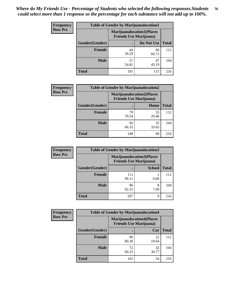| <b>Frequency</b> | <b>Table of Gender by Marijuanalocation1</b> |                                |                                  |              |
|------------------|----------------------------------------------|--------------------------------|----------------------------------|--------------|
| <b>Row Pct</b>   |                                              | <b>Friends Use Marijuana</b> ) | <b>Marijuanalocation1(Places</b> |              |
|                  | Gender(Gender)                               |                                | Do Not Use                       | <b>Total</b> |
|                  | <b>Female</b>                                | 44<br>39.29                    | 68<br>60.71                      | 112          |
|                  | <b>Male</b>                                  | 57<br>54.81                    | 47<br>45.19                      | 104          |
|                  | Total                                        | 101                            | 115                              | 216          |

| <b>Frequency</b> | <b>Table of Gender by Marijuanalocation2</b> |                                                                    |             |              |
|------------------|----------------------------------------------|--------------------------------------------------------------------|-------------|--------------|
| <b>Row Pct</b>   |                                              | <b>Marijuanalocation2(Places</b><br><b>Friends Use Marijuana</b> ) |             |              |
|                  | Gender(Gender)                               |                                                                    | Home        | <b>Total</b> |
|                  | Female                                       | 79<br>70.54                                                        | 33<br>29.46 | 112          |
|                  | <b>Male</b>                                  | 69<br>66.35                                                        | 35<br>33.65 | 104          |
|                  | <b>Total</b>                                 | 148                                                                | 68          | 216          |

| Frequency      |                | <b>Table of Gender by Marijuanalocation3</b> |                                                                    |              |
|----------------|----------------|----------------------------------------------|--------------------------------------------------------------------|--------------|
| <b>Row Pct</b> |                |                                              | <b>Marijuanalocation3(Places</b><br><b>Friends Use Marijuana</b> ) |              |
|                | Gender(Gender) |                                              | <b>School</b>                                                      | <b>Total</b> |
|                | Female         | 111<br>99.11                                 | 0.89                                                               | 112          |
|                | <b>Male</b>    | 96<br>92.31                                  | 7.69                                                               | 104          |
|                | <b>Total</b>   | 207                                          | Q                                                                  | 216          |

| <b>Frequency</b> | <b>Table of Gender by Marijuanalocation4</b> |             |                                                                    |              |  |
|------------------|----------------------------------------------|-------------|--------------------------------------------------------------------|--------------|--|
| <b>Row Pct</b>   |                                              |             | <b>Marijuanalocation4(Places</b><br><b>Friends Use Marijuana</b> ) |              |  |
|                  | Gender(Gender)                               |             | Car                                                                | <b>Total</b> |  |
|                  | <b>Female</b>                                | 90<br>80.36 | 22<br>19.64                                                        | 112          |  |
|                  | <b>Male</b>                                  | 72<br>69.23 | 32<br>30.77                                                        | 104          |  |
|                  | <b>Total</b>                                 | 162         | 54                                                                 | 216          |  |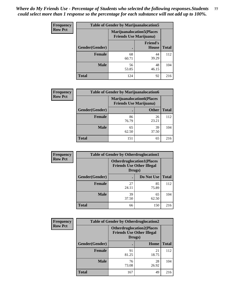| <b>Frequency</b> | <b>Table of Gender by Marijuanalocation5</b> |                                                                     |                          |              |
|------------------|----------------------------------------------|---------------------------------------------------------------------|--------------------------|--------------|
| <b>Row Pct</b>   |                                              | <b>Marijuanalocation5</b> (Places<br><b>Friends Use Marijuana</b> ) |                          |              |
|                  | Gender(Gender)                               |                                                                     | <b>Friend's</b><br>House | <b>Total</b> |
|                  | <b>Female</b>                                | 68<br>60.71                                                         | 44<br>39.29              | 112          |
|                  | <b>Male</b>                                  | 56<br>53.85                                                         | 48<br>46.15              | 104          |
|                  | <b>Total</b>                                 | 124                                                                 | 92                       | 216          |

| <b>Frequency</b> | <b>Table of Gender by Marijuanalocation6</b> |                                |                                  |              |
|------------------|----------------------------------------------|--------------------------------|----------------------------------|--------------|
| <b>Row Pct</b>   |                                              | <b>Friends Use Marijuana</b> ) | <b>Marijuanalocation6(Places</b> |              |
|                  | <b>Gender</b> (Gender)                       |                                | <b>Other</b>                     | <b>Total</b> |
|                  | <b>Female</b>                                | 86<br>76.79                    | 26<br>23.21                      | 112          |
|                  | <b>Male</b>                                  | 65<br>62.50                    | 39<br>37.50                      | 104          |
|                  | <b>Total</b>                                 | 151                            | 65                               | 216          |

| <b>Frequency</b> | <b>Table of Gender by Otherdruglocation1</b> |                                                                                |             |              |
|------------------|----------------------------------------------|--------------------------------------------------------------------------------|-------------|--------------|
| <b>Row Pct</b>   |                                              | <b>Otherdruglocation1(Places</b><br><b>Friends Use Other Illegal</b><br>Drugs) |             |              |
|                  | Gender(Gender)                               |                                                                                | Do Not Use  | <b>Total</b> |
|                  | Female                                       | 27<br>24.11                                                                    | 85<br>75.89 | 112          |
|                  | <b>Male</b>                                  | 39<br>37.50                                                                    | 65<br>62.50 | 104          |
|                  | <b>Total</b>                                 | 66                                                                             | 150         | 216          |

| <b>Frequency</b> | <b>Table of Gender by Otherdruglocation2</b> |             |                                                                                 |              |
|------------------|----------------------------------------------|-------------|---------------------------------------------------------------------------------|--------------|
| <b>Row Pct</b>   |                                              |             | <b>Otherdruglocation2(Places)</b><br><b>Friends Use Other Illegal</b><br>Drugs) |              |
|                  | Gender(Gender)                               |             | Home                                                                            | <b>Total</b> |
|                  | <b>Female</b>                                | 91<br>81.25 | 21<br>18.75                                                                     | 112          |
|                  | <b>Male</b>                                  | 76<br>73.08 | 28<br>26.92                                                                     | 104          |
|                  | <b>Total</b>                                 | 167         | 49                                                                              | 216          |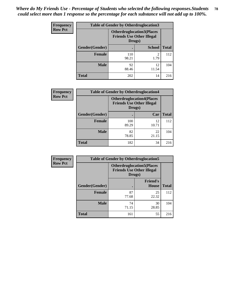| <b>Frequency</b> | <b>Table of Gender by Otherdruglocation3</b> |                                                                                |               |              |
|------------------|----------------------------------------------|--------------------------------------------------------------------------------|---------------|--------------|
| <b>Row Pct</b>   |                                              | <b>Otherdruglocation3(Places</b><br><b>Friends Use Other Illegal</b><br>Drugs) |               |              |
|                  | Gender(Gender)                               |                                                                                | <b>School</b> | <b>Total</b> |
|                  | <b>Female</b>                                | 110<br>98.21                                                                   | 2<br>1.79     | 112          |
|                  | <b>Male</b>                                  | 92<br>88.46                                                                    | 12<br>11.54   | 104          |
|                  | <b>Total</b>                                 | 202                                                                            | 14            | 216          |

| <b>Frequency</b> | <b>Table of Gender by Otherdruglocation4</b> |                                                                                |             |              |
|------------------|----------------------------------------------|--------------------------------------------------------------------------------|-------------|--------------|
| <b>Row Pct</b>   |                                              | <b>Otherdruglocation4(Places</b><br><b>Friends Use Other Illegal</b><br>Drugs) |             |              |
|                  | Gender(Gender)                               |                                                                                | Car         | <b>Total</b> |
|                  | <b>Female</b>                                | 100<br>89.29                                                                   | 12<br>10.71 | 112          |
|                  | <b>Male</b>                                  | 82<br>78.85                                                                    | 22<br>21.15 | 104          |
|                  | <b>Total</b>                                 | 182                                                                            | 34          | 216          |

| Frequency      | <b>Table of Gender by Otherdruglocation5</b> |                                                                                |                                 |              |
|----------------|----------------------------------------------|--------------------------------------------------------------------------------|---------------------------------|--------------|
| <b>Row Pct</b> |                                              | <b>Otherdruglocation5(Places</b><br><b>Friends Use Other Illegal</b><br>Drugs) |                                 |              |
|                | Gender(Gender)                               |                                                                                | <b>Friend's</b><br><b>House</b> | <b>Total</b> |
|                | <b>Female</b>                                | 87<br>77.68                                                                    | 25<br>22.32                     | 112          |
|                | <b>Male</b>                                  | 74<br>71.15                                                                    | 30<br>28.85                     | 104          |
|                | <b>Total</b>                                 | 161                                                                            | 55                              | 216          |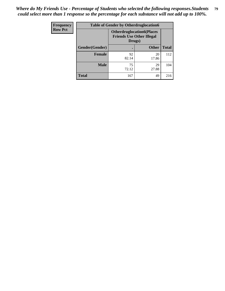| Frequency      | <b>Table of Gender by Otherdruglocation6</b> |                                            |                                  |              |
|----------------|----------------------------------------------|--------------------------------------------|----------------------------------|--------------|
| <b>Row Pct</b> |                                              | <b>Friends Use Other Illegal</b><br>Drugs) | <b>Otherdruglocation6(Places</b> |              |
|                | Gender(Gender)                               |                                            | <b>Other</b>                     | <b>Total</b> |
|                | <b>Female</b>                                | 92<br>82.14                                | 20<br>17.86                      | 112          |
|                | <b>Male</b>                                  | 75<br>72.12                                | 29<br>27.88                      | 104          |
|                | <b>Total</b>                                 | 167                                        | 49                               | 216          |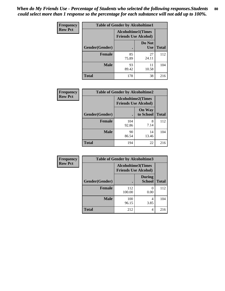| <b>Frequency</b> | <b>Table of Gender by Alcoholtime1</b> |                                                          |                      |              |
|------------------|----------------------------------------|----------------------------------------------------------|----------------------|--------------|
| <b>Row Pct</b>   |                                        | <b>Alcoholtime1(Times</b><br><b>Friends Use Alcohol)</b> |                      |              |
|                  | Gender(Gender)                         |                                                          | Do Not<br><b>Use</b> | <b>Total</b> |
|                  | <b>Female</b>                          | 85<br>75.89                                              | 27<br>24.11          | 112          |
|                  | <b>Male</b>                            | 93<br>89.42                                              | 11<br>10.58          | 104          |
|                  | <b>Total</b>                           | 178                                                      | 38                   | 216          |

| <b>Frequency</b> | <b>Table of Gender by Alcoholtime2</b> |                                                          |                            |              |
|------------------|----------------------------------------|----------------------------------------------------------|----------------------------|--------------|
| <b>Row Pct</b>   |                                        | <b>Alcoholtime2(Times</b><br><b>Friends Use Alcohol)</b> |                            |              |
|                  | Gender(Gender)                         |                                                          | <b>On Way</b><br>to School | <b>Total</b> |
|                  | <b>Female</b>                          | 104<br>92.86                                             | 8<br>7.14                  | 112          |
|                  | <b>Male</b>                            | 90<br>86.54                                              | 14<br>13.46                | 104          |
|                  | <b>Total</b>                           | 194                                                      | 22                         | 216          |

| Frequency      | <b>Table of Gender by Alcoholtime3</b> |                                                   |                                |              |
|----------------|----------------------------------------|---------------------------------------------------|--------------------------------|--------------|
| <b>Row Pct</b> |                                        | Alcoholtime3(Times<br><b>Friends Use Alcohol)</b> |                                |              |
|                | Gender(Gender)                         |                                                   | <b>During</b><br><b>School</b> | <b>Total</b> |
|                | Female                                 | 112<br>100.00                                     | 0<br>0.00                      | 112          |
|                | <b>Male</b>                            | 100<br>96.15                                      | 4<br>3.85                      | 104          |
|                | <b>Total</b>                           | 212                                               | 4                              | 216          |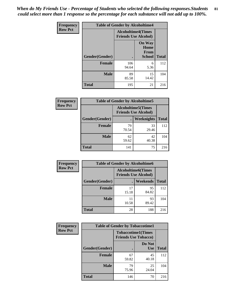*When do My Friends Use - Percentage of Students who selected the following responses.Students could select more than 1 response so the percentage for each substance will not add up to 100%.* **81**

| <b>Frequency</b> | <b>Table of Gender by Alcoholtime4</b> |                                                          |                                                |              |
|------------------|----------------------------------------|----------------------------------------------------------|------------------------------------------------|--------------|
| <b>Row Pct</b>   |                                        | <b>Alcoholtime4(Times</b><br><b>Friends Use Alcohol)</b> |                                                |              |
|                  | Gender(Gender)                         |                                                          | <b>On Way</b><br>Home<br>From<br><b>School</b> | <b>Total</b> |
|                  | <b>Female</b>                          | 106<br>94.64                                             | 6<br>5.36                                      | 112          |
|                  | <b>Male</b>                            | 89<br>85.58                                              | 15<br>14.42                                    | 104          |
|                  | <b>Total</b>                           | 195                                                      | 21                                             | 216          |

| <b>Frequency</b> | <b>Table of Gender by Alcoholtime5</b> |                                                           |                   |              |
|------------------|----------------------------------------|-----------------------------------------------------------|-------------------|--------------|
| <b>Row Pct</b>   |                                        | <b>Alcoholtime5</b> (Times<br><b>Friends Use Alcohol)</b> |                   |              |
|                  | Gender(Gender)                         |                                                           | <b>Weeknights</b> | <b>Total</b> |
|                  | <b>Female</b>                          | 79<br>70.54                                               | 33<br>29.46       | 112          |
|                  | <b>Male</b>                            | 62<br>59.62                                               | 42<br>40.38       | 104          |
|                  | <b>Total</b>                           | 141                                                       | 75                | 216          |

| <b>Frequency</b> | <b>Table of Gender by Alcoholtime6</b> |             |                                                           |              |
|------------------|----------------------------------------|-------------|-----------------------------------------------------------|--------------|
| <b>Row Pct</b>   |                                        |             | <b>Alcoholtime6</b> (Times<br><b>Friends Use Alcohol)</b> |              |
|                  | Gender(Gender)                         |             | Weekends                                                  | <b>Total</b> |
|                  | Female                                 | 17<br>15.18 | 95<br>84.82                                               | 112          |
|                  | <b>Male</b>                            | 11<br>10.58 | 93<br>89.42                                               | 104          |
|                  | <b>Total</b>                           | 28          | 188                                                       | 216          |

| <b>Frequency</b> | <b>Table of Gender by Tobaccotime1</b> |                                                          |                      |              |
|------------------|----------------------------------------|----------------------------------------------------------|----------------------|--------------|
| <b>Row Pct</b>   |                                        | <b>Tobaccotime1(Times</b><br><b>Friends Use Tobacco)</b> |                      |              |
|                  | Gender(Gender)                         |                                                          | Do Not<br><b>Use</b> | <b>Total</b> |
|                  | <b>Female</b>                          | 67<br>59.82                                              | 45<br>40.18          | 112          |
|                  | <b>Male</b>                            | 79<br>75.96                                              | 25<br>24.04          | 104          |
|                  | <b>Total</b>                           | 146                                                      | 70                   | 216          |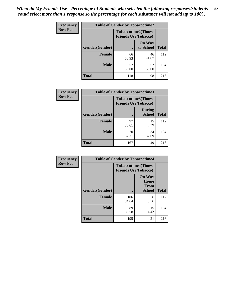| <b>Frequency</b> | <b>Table of Gender by Tobaccotime2</b> |                                                          |                            |              |
|------------------|----------------------------------------|----------------------------------------------------------|----------------------------|--------------|
| <b>Row Pct</b>   |                                        | <b>Tobaccotime2(Times</b><br><b>Friends Use Tobacco)</b> |                            |              |
|                  | Gender(Gender)                         |                                                          | <b>On Way</b><br>to School | <b>Total</b> |
|                  | <b>Female</b>                          | 66<br>58.93                                              | 46<br>41.07                | 112          |
|                  | <b>Male</b>                            | 52<br>50.00                                              | 52<br>50.00                | 104          |
|                  | <b>Total</b>                           | 118                                                      | 98                         | 216          |

| Frequency      | <b>Table of Gender by Tobaccotime3</b> |                                                          |                                |              |
|----------------|----------------------------------------|----------------------------------------------------------|--------------------------------|--------------|
| <b>Row Pct</b> |                                        | <b>Tobaccotime3(Times</b><br><b>Friends Use Tobacco)</b> |                                |              |
|                | Gender(Gender)                         | г                                                        | <b>During</b><br><b>School</b> | <b>Total</b> |
|                | Female                                 | 97<br>86.61                                              | 15<br>13.39                    | 112          |
|                | <b>Male</b>                            | 70<br>67.31                                              | 34<br>32.69                    | 104          |
|                | <b>Total</b>                           | 167                                                      | 49                             | 216          |

| <b>Frequency</b> | <b>Table of Gender by Tobaccotime4</b> |                                                          |                                                       |              |
|------------------|----------------------------------------|----------------------------------------------------------|-------------------------------------------------------|--------------|
| <b>Row Pct</b>   |                                        | <b>Tobaccotime4(Times</b><br><b>Friends Use Tobacco)</b> |                                                       |              |
|                  | Gender(Gender)                         |                                                          | <b>On Way</b><br>Home<br><b>From</b><br><b>School</b> | <b>Total</b> |
|                  | <b>Female</b>                          | 106<br>94.64                                             | 6<br>5.36                                             | 112          |
|                  | <b>Male</b>                            | 89<br>85.58                                              | 15<br>14.42                                           | 104          |
|                  | <b>Total</b>                           | 195                                                      | 21                                                    | 216          |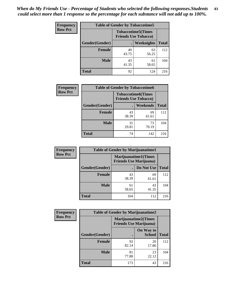| Frequency      | <b>Table of Gender by Tobaccotime5</b> |             |                                                           |              |  |
|----------------|----------------------------------------|-------------|-----------------------------------------------------------|--------------|--|
| <b>Row Pct</b> |                                        |             | <b>Tobaccotime5</b> (Times<br><b>Friends Use Tobacco)</b> |              |  |
|                | <b>Gender</b> (Gender)                 |             | Weeknights                                                | <b>Total</b> |  |
|                | <b>Female</b>                          | 49<br>43.75 | 63<br>56.25                                               | 112          |  |
|                | <b>Male</b>                            | 43<br>41.35 | 61<br>58.65                                               | 104          |  |
|                | <b>Total</b>                           | 92          | 124                                                       | 216          |  |

| Frequency      | <b>Table of Gender by Tobaccotime6</b> |                                                          |                 |              |
|----------------|----------------------------------------|----------------------------------------------------------|-----------------|--------------|
| <b>Row Pct</b> |                                        | <b>Tobaccotime6(Times</b><br><b>Friends Use Tobacco)</b> |                 |              |
|                | Gender(Gender)                         |                                                          | <b>Weekends</b> | <b>Total</b> |
|                | <b>Female</b>                          | 43<br>38.39                                              | 69<br>61.61     | 112          |
|                | <b>Male</b>                            | 31<br>29.81                                              | 73<br>70.19     | 104          |
|                | <b>Total</b>                           | 74                                                       | 142             | 216          |

| <b>Frequency</b> | <b>Table of Gender by Marijuanatime1</b> |                                |                             |              |
|------------------|------------------------------------------|--------------------------------|-----------------------------|--------------|
| <b>Row Pct</b>   |                                          | <b>Friends Use Marijuana</b> ) | <b>Marijuanatime1(Times</b> |              |
|                  | Gender(Gender)                           |                                | Do Not Use                  | <b>Total</b> |
|                  | <b>Female</b>                            | 43<br>38.39                    | 69<br>61.61                 | 112          |
|                  | <b>Male</b>                              | 61<br>58.65                    | 43<br>41.35                 | 104          |
|                  | <b>Total</b>                             | 104                            | 112                         | 216          |

| <b>Frequency</b> | <b>Table of Gender by Marijuanatime2</b> |                                                               |                            |              |
|------------------|------------------------------------------|---------------------------------------------------------------|----------------------------|--------------|
| <b>Row Pct</b>   |                                          | <b>Marijuanatime2(Times</b><br><b>Friends Use Marijuana</b> ) |                            |              |
|                  | Gender(Gender)                           |                                                               | On Way to<br><b>School</b> | <b>Total</b> |
|                  | <b>Female</b>                            | 92<br>82.14                                                   | 20<br>17.86                | 112          |
|                  | <b>Male</b>                              | 81<br>77.88                                                   | 23<br>22.12                | 104          |
|                  | <b>Total</b>                             | 173                                                           | 43                         | 216          |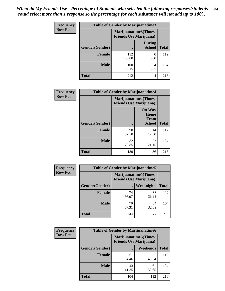*When do My Friends Use - Percentage of Students who selected the following responses.Students could select more than 1 response so the percentage for each substance will not add up to 100%.* **84**

| <b>Frequency</b> | Table of Gender by Marijuanatime3 |                                                                |                                |              |
|------------------|-----------------------------------|----------------------------------------------------------------|--------------------------------|--------------|
| <b>Row Pct</b>   |                                   | <b>Marijuanatime3</b> (Times<br><b>Friends Use Marijuana</b> ) |                                |              |
|                  | Gender(Gender)                    |                                                                | <b>During</b><br><b>School</b> | <b>Total</b> |
|                  | <b>Female</b>                     | 112<br>100.00                                                  | 0<br>0.00                      | 112          |
|                  | <b>Male</b>                       | 100<br>96.15                                                   | 4<br>3.85                      | 104          |
|                  | <b>Total</b>                      | 212                                                            | 4                              | 216          |

| Frequency      | <b>Table of Gender by Marijuanatime4</b> |                                                               |                                                |              |
|----------------|------------------------------------------|---------------------------------------------------------------|------------------------------------------------|--------------|
| <b>Row Pct</b> |                                          | <b>Marijuanatime4(Times</b><br><b>Friends Use Marijuana</b> ) |                                                |              |
|                | Gender(Gender)                           |                                                               | <b>On Way</b><br>Home<br>From<br><b>School</b> | <b>Total</b> |
|                | <b>Female</b>                            | 98<br>87.50                                                   | 14<br>12.50                                    | 112          |
|                | <b>Male</b>                              | 82<br>78.85                                                   | 22<br>21.15                                    | 104          |
|                | <b>Total</b>                             | 180                                                           | 36                                             | 216          |

| Frequency      | <b>Table of Gender by Marijuanatime5</b> |             |                                                                |              |  |
|----------------|------------------------------------------|-------------|----------------------------------------------------------------|--------------|--|
| <b>Row Pct</b> |                                          |             | <b>Marijuanatime5</b> (Times<br><b>Friends Use Marijuana</b> ) |              |  |
|                | Gender(Gender)                           |             | <b>Weeknights</b>                                              | <b>Total</b> |  |
|                | <b>Female</b>                            | 74<br>66.07 | 38<br>33.93                                                    | 112          |  |
|                | <b>Male</b>                              | 70<br>67.31 | 34<br>32.69                                                    | 104          |  |
|                | <b>Total</b>                             | 144         | 72                                                             | 216          |  |

| Frequency      | <b>Table of Gender by Marijuanatime6</b> |                                                               |                 |              |
|----------------|------------------------------------------|---------------------------------------------------------------|-----------------|--------------|
| <b>Row Pct</b> |                                          | <b>Marijuanatime6(Times</b><br><b>Friends Use Marijuana</b> ) |                 |              |
|                | Gender(Gender)                           |                                                               | <b>Weekends</b> | <b>Total</b> |
|                | <b>Female</b>                            | 61<br>54.46                                                   | 51<br>45.54     | 112          |
|                | <b>Male</b>                              | 43<br>41.35                                                   | 61<br>58.65     | 104          |
|                | <b>Total</b>                             | 104                                                           | 112             | 216          |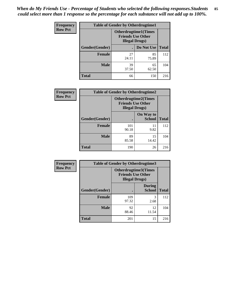*When do My Friends Use - Percentage of Students who selected the following responses.Students could select more than 1 response so the percentage for each substance will not add up to 100%.* **85**

| <b>Frequency</b> | <b>Table of Gender by Otherdrugtime1</b> |                        |                                                          |              |
|------------------|------------------------------------------|------------------------|----------------------------------------------------------|--------------|
| <b>Row Pct</b>   |                                          | <b>Illegal Drugs</b> ) | <b>Otherdrugtime1</b> (Times<br><b>Friends Use Other</b> |              |
|                  | Gender(Gender)                           |                        | Do Not Use                                               | <b>Total</b> |
|                  | <b>Female</b>                            | 27<br>24.11            | 85<br>75.89                                              | 112          |
|                  | <b>Male</b>                              | 39<br>37.50            | 65<br>62.50                                              | 104          |
|                  | <b>Total</b>                             | 66                     | 150                                                      | 216          |

| <b>Frequency</b> | <b>Table of Gender by Otherdrugtime2</b> |                                                                                   |                            |              |
|------------------|------------------------------------------|-----------------------------------------------------------------------------------|----------------------------|--------------|
| <b>Row Pct</b>   |                                          | <b>Otherdrugtime2(Times</b><br><b>Friends Use Other</b><br><b>Illegal Drugs</b> ) |                            |              |
|                  | Gender(Gender)                           |                                                                                   | On Way to<br><b>School</b> | <b>Total</b> |
|                  | <b>Female</b>                            | 101<br>90.18                                                                      | 11<br>9.82                 | 112          |
|                  | <b>Male</b>                              | 89<br>85.58                                                                       | 15<br>14.42                | 104          |
|                  | <b>Total</b>                             | 190                                                                               | 26                         | 216          |

| Frequency      | <b>Table of Gender by Otherdrugtime3</b> |                        |                                                  |              |
|----------------|------------------------------------------|------------------------|--------------------------------------------------|--------------|
| <b>Row Pct</b> |                                          | <b>Illegal Drugs</b> ) | Otherdrugtime3(Times<br><b>Friends Use Other</b> |              |
|                | Gender(Gender)                           |                        | <b>During</b><br><b>School</b>                   | <b>Total</b> |
|                | <b>Female</b>                            | 109<br>97.32           | 3<br>2.68                                        | 112          |
|                | <b>Male</b>                              | 92<br>88.46            | 12<br>11.54                                      | 104          |
|                | <b>Total</b>                             | 201                    | 15                                               | 216          |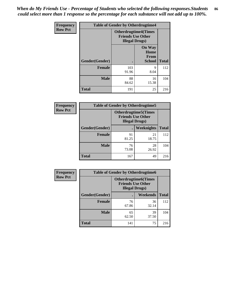*When do My Friends Use - Percentage of Students who selected the following responses.Students could select more than 1 response so the percentage for each substance will not add up to 100%.* **86**

| <b>Frequency</b> | <b>Table of Gender by Otherdrugtime4</b> |                                                    |                                                       |              |
|------------------|------------------------------------------|----------------------------------------------------|-------------------------------------------------------|--------------|
| <b>Row Pct</b>   |                                          | <b>Friends Use Other</b><br><b>Illegal Drugs</b> ) | <b>Otherdrugtime4(Times</b>                           |              |
|                  | Gender(Gender)                           |                                                    | <b>On Way</b><br>Home<br><b>From</b><br><b>School</b> | <b>Total</b> |
|                  | Female                                   | 103<br>91.96                                       | 9<br>8.04                                             | 112          |
|                  | <b>Male</b>                              | 88<br>84.62                                        | 16<br>15.38                                           | 104          |
|                  | <b>Total</b>                             | 191                                                | 25                                                    | 216          |

| Frequency      | <b>Table of Gender by Otherdrugtime5</b> |                                                                                    |                   |              |
|----------------|------------------------------------------|------------------------------------------------------------------------------------|-------------------|--------------|
| <b>Row Pct</b> |                                          | <b>Otherdrugtime5</b> (Times<br><b>Friends Use Other</b><br><b>Illegal Drugs</b> ) |                   |              |
|                | Gender(Gender)                           |                                                                                    | <b>Weeknights</b> | <b>Total</b> |
|                | <b>Female</b>                            | 91<br>81.25                                                                        | 21<br>18.75       | 112          |
|                | <b>Male</b>                              | 76<br>73.08                                                                        | 28<br>26.92       | 104          |
|                | <b>Total</b>                             | 167                                                                                | 49                | 216          |

| Frequency      | <b>Table of Gender by Otherdrugtime6</b> |                                                                                   |             |              |
|----------------|------------------------------------------|-----------------------------------------------------------------------------------|-------------|--------------|
| <b>Row Pct</b> |                                          | <b>Otherdrugtime6(Times</b><br><b>Friends Use Other</b><br><b>Illegal Drugs</b> ) |             |              |
|                | Gender(Gender)                           |                                                                                   | Weekends    | <b>Total</b> |
|                | <b>Female</b>                            | 76<br>67.86                                                                       | 36<br>32.14 | 112          |
|                | <b>Male</b>                              | 65<br>62.50                                                                       | 39<br>37.50 | 104          |
|                | <b>Total</b>                             | 141                                                                               | 75          | 216          |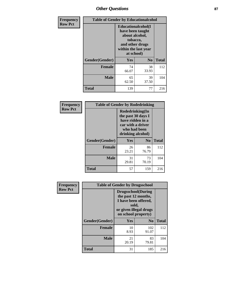## *Other Questions* **87**

| Frequency      | <b>Table of Gender by Educationalcohol</b> |                                                                                                                                       |                |              |  |
|----------------|--------------------------------------------|---------------------------------------------------------------------------------------------------------------------------------------|----------------|--------------|--|
| <b>Row Pct</b> |                                            | <b>Educationalcohol</b> (I<br>have been taught<br>about alcohol,<br>tobacco,<br>and other drugs<br>within the last year<br>at school) |                |              |  |
|                | Gender(Gender)                             | <b>Yes</b>                                                                                                                            | N <sub>0</sub> | <b>Total</b> |  |
|                | <b>Female</b>                              | 74<br>66.07                                                                                                                           | 38<br>33.93    | 112          |  |
|                | <b>Male</b>                                | 65<br>62.50                                                                                                                           | 39<br>37.50    | 104          |  |
|                | Total                                      | 139                                                                                                                                   | 77             | 216          |  |

| Frequency      | <b>Table of Gender by Rodedrinking</b> |                                                                                                                     |                        |              |  |
|----------------|----------------------------------------|---------------------------------------------------------------------------------------------------------------------|------------------------|--------------|--|
| <b>Row Pct</b> |                                        | Rodedrinking(In<br>the past 30 days I<br>have ridden in a<br>car with a driver<br>who had been<br>drinking alcohol) |                        |              |  |
|                | Gender(Gender)                         | Yes                                                                                                                 | $\mathbf{N}\mathbf{0}$ | <b>Total</b> |  |
|                | <b>Female</b>                          | 26<br>23.21                                                                                                         | 86<br>76.79            | 112          |  |
|                | <b>Male</b>                            | 31<br>29.81                                                                                                         | 73<br>70.19            | 104          |  |
|                | <b>Total</b>                           | 57                                                                                                                  | 159                    | 216          |  |

| Frequency      | <b>Table of Gender by Drugsschool</b> |                                                                                                                                     |                |              |  |
|----------------|---------------------------------------|-------------------------------------------------------------------------------------------------------------------------------------|----------------|--------------|--|
| <b>Row Pct</b> |                                       | <b>Drugsschool</b> (During<br>the past 12 months,<br>I have been offered,<br>sold,<br>or given illegal drugs<br>on school property) |                |              |  |
|                | Gender(Gender)                        | Yes                                                                                                                                 | N <sub>0</sub> | <b>Total</b> |  |
|                | <b>Female</b>                         | 10<br>8.93                                                                                                                          | 102<br>91.07   | 112          |  |
|                | <b>Male</b>                           | 21<br>20.19                                                                                                                         | 83<br>79.81    | 104          |  |
|                | <b>Total</b>                          | 31                                                                                                                                  | 185            | 216          |  |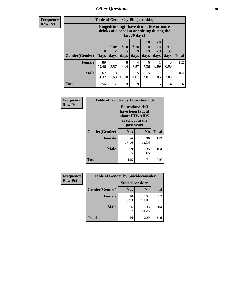### *Other Questions* **88**

**Frequency Row Pct**

| <b>Table of Gender by Bingedrinking</b> |                            |                                                                                                         |                   |                   |                               |                               |                   |              |
|-----------------------------------------|----------------------------|---------------------------------------------------------------------------------------------------------|-------------------|-------------------|-------------------------------|-------------------------------|-------------------|--------------|
|                                         |                            | Bingedrinking(I have drunk five or more<br>drinks of alcohol at one sitting during the<br>last 30 days) |                   |                   |                               |                               |                   |              |
| <b>Gender</b> (Gender)                  | $\mathbf 0$<br><b>Days</b> | 1 or<br>2<br>days                                                                                       | 3 to<br>5<br>days | 6 to<br>q<br>days | <b>10</b><br>to<br>19<br>days | <b>20</b><br>to<br>29<br>days | All<br>30<br>days | <b>Total</b> |
| <b>Female</b>                           | 89<br>79.46                | 4<br>3.57                                                                                               | 8<br>7.14         | 4<br>3.57         | 6<br>5.36                     | 0.89                          | 0<br>0.00         | 112          |
| <b>Male</b>                             | 67<br>64.42                | 8<br>7.69                                                                                               | 11<br>10.58       | 5<br>4.81         | 5<br>4.81                     | 4<br>3.85                     | 4<br>3.85         | 104          |
|                                         |                            |                                                                                                         |                   |                   |                               |                               |                   |              |

| Frequency      | <b>Table of Gender by Educationaids</b> |                                                                                                 |             |              |  |
|----------------|-----------------------------------------|-------------------------------------------------------------------------------------------------|-------------|--------------|--|
| <b>Row Pct</b> |                                         | <b>Educationaids</b> (I<br>have been taught<br>about HIV/AIDS<br>at school in the<br>past year) |             |              |  |
|                | Gender(Gender)                          | Yes                                                                                             | $\bf N_0$   | <b>Total</b> |  |
|                | <b>Female</b>                           | 76<br>67.86                                                                                     | 36<br>32.14 | 112          |  |
|                | <b>Male</b>                             | 69<br>66.35                                                                                     | 35<br>33.65 | 104          |  |
|                | <b>Total</b>                            | 145                                                                                             | 71          | 216          |  |

| <b>Frequency</b> | <b>Table of Gender by Suicideconsider</b> |                 |                |              |  |
|------------------|-------------------------------------------|-----------------|----------------|--------------|--|
| <b>Row Pct</b>   |                                           | Suicideconsider |                |              |  |
|                  | Gender(Gender)                            | <b>Yes</b>      | N <sub>0</sub> | <b>Total</b> |  |
|                  | <b>Female</b>                             | 10<br>8.93      | 102<br>91.07   | 112          |  |
|                  | <b>Male</b>                               | 6<br>5.77       | 98<br>94.23    | 104          |  |
|                  | <b>Total</b>                              | 16              | 200            | 216          |  |